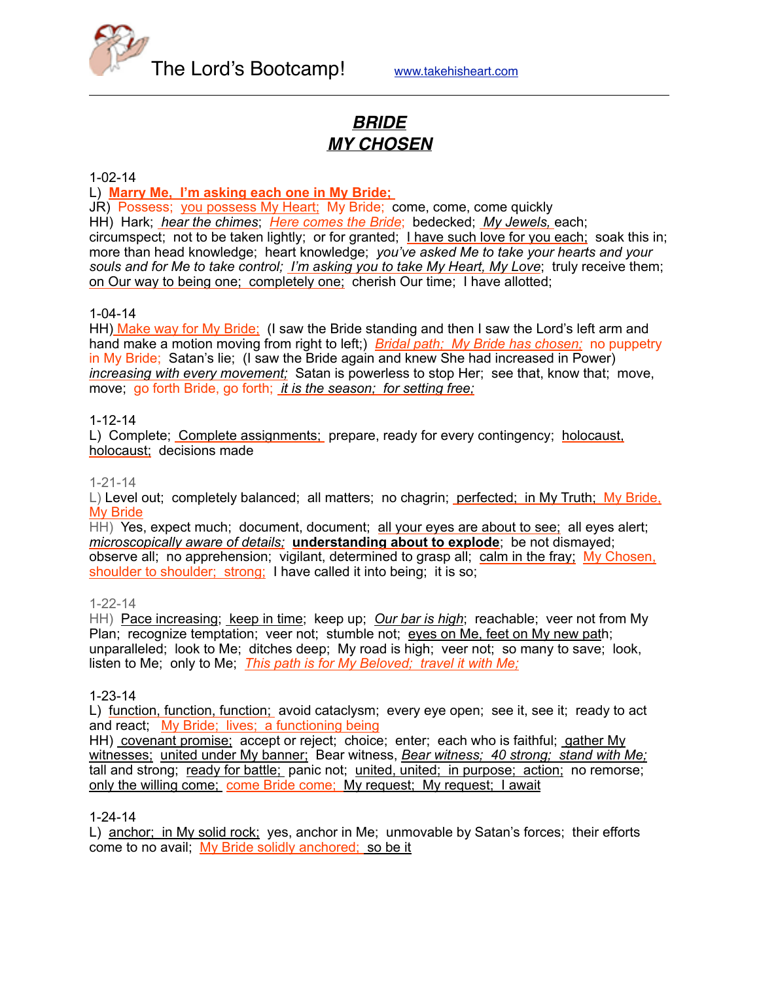

# *BRIDE MY CHOSEN*

1-02-14

L) **Marry Me, I'm asking each one in My Bride;** 

JR) Possess; you possess My Heart; My Bride; come, come, come quickly HH) Hark; *hear the chimes*; *Here comes the Bride*; bedecked; *My Jewels,* each; circumspect; not to be taken lightly; or for granted; I have such love for you each; soak this in; more than head knowledge; heart knowledge; *you've asked Me to take your hearts and your souls and for Me to take control; I'm asking you to take My Heart, My Love*; truly receive them; on Our way to being one; completely one; cherish Our time; I have allotted;

1-04-14

HH) Make way for My Bride; (I saw the Bride standing and then I saw the Lord's left arm and hand make a motion moving from right to left;) *Bridal path; My Bride has chosen;* no puppetry in My Bride; Satan's lie; (I saw the Bride again and knew She had increased in Power) *increasing with every movement;* Satan is powerless to stop Her; see that, know that; move, move; go forth Bride, go forth; *it is the season; for setting free;*

#### 1-12-14

L) Complete; Complete assignments; prepare, ready for every contingency; holocaust, holocaust; decisions made

#### 1-21-14

L) Level out; completely balanced; all matters; no chagrin; perfected; in My Truth; My Bride, My Bride

HH) Yes, expect much; document, document; all your eyes are about to see; all eyes alert; *microscopically aware of details;* **understanding about to explode**; be not dismayed; observe all; no apprehension; vigilant, determined to grasp all; calm in the fray; My Chosen, shoulder to shoulder; strong; I have called it into being; it is so;

#### 1-22-14

HH) Pace increasing; keep in time; keep up; *Our bar is high*; reachable; veer not from My Plan; recognize temptation; veer not; stumble not; eyes on Me, feet on My new path; unparalleled; look to Me; ditches deep; My road is high; veer not; so many to save; look, listen to Me; only to Me; *This path is for My Beloved; travel it with Me;*

### 1-23-14

L) function, function, function; avoid cataclysm; every eye open; see it, see it; ready to act and react; My Bride; lives; a functioning being

HH) covenant promise; accept or reject; choice; enter; each who is faithful; gather My witnesses; united under My banner; Bear witness, *Bear witness; 40 strong; stand with Me;* tall and strong; ready for battle; panic not; united, united; in purpose; action; no remorse; only the willing come; come Bride come; My request; My request; I await

### 1-24-14

L) anchor; in My solid rock; yes, anchor in Me; unmovable by Satan's forces; their efforts come to no avail; My Bride solidly anchored; so be it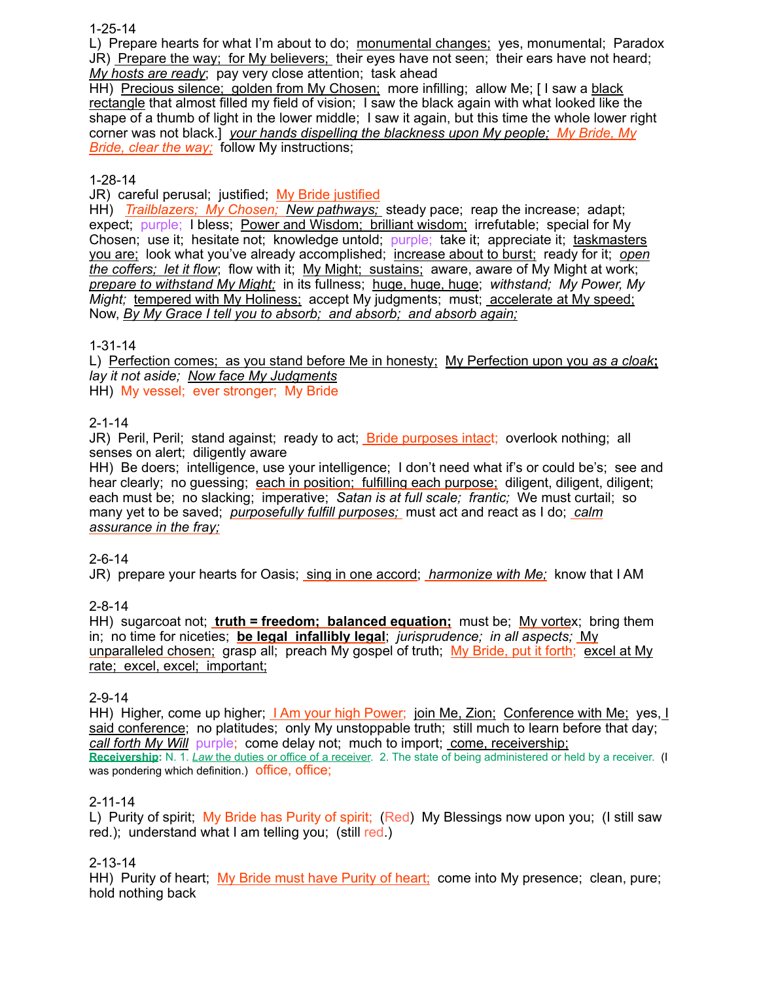1-25-14

L) Prepare hearts for what I'm about to do; monumental changes; yes, monumental; Paradox JR) Prepare the way; for My believers; their eyes have not seen; their ears have not heard; *My hosts are ready*; pay very close attention; task ahead

HH) Precious silence; golden from My Chosen; more infilling; allow Me; [ I saw a black rectangle that almost filled my field of vision; I saw the black again with what looked like the shape of a thumb of light in the lower middle; I saw it again, but this time the whole lower right corner was not black.] *your hands dispelling the blackness upon My people; My Bride, My Bride, clear the way;* follow My instructions;

### 1-28-14

JR) careful perusal; justified; My Bride justified

HH) *Trailblazers; My Chosen; New pathways;* steady pace; reap the increase; adapt; expect; purple; I bless; Power and Wisdom; brilliant wisdom; irrefutable; special for My Chosen; use it; hesitate not; knowledge untold; purple; take it; appreciate it; taskmasters you are; look what you've already accomplished; increase about to burst; ready for it; *open the coffers; let it flow*; flow with it; My Might; sustains; aware, aware of My Might at work; *prepare to withstand My Might;* in its fullness; huge, huge, huge; *withstand; My Power, My Might;* tempered with My Holiness; accept My judgments; must; accelerate at My speed; Now, *By My Grace I tell you to absorb; and absorb; and absorb again;*

### 1-31-14

L) Perfection comes; as you stand before Me in honesty; My Perfection upon you *as a cloak***;** *lay it not aside; Now face My Judgments* HH) My vessel; ever stronger; My Bride

## 2-1-14

JR) Peril, Peril; stand against; ready to act; Bride purposes intact; overlook nothing; all senses on alert; diligently aware

HH) Be doers; intelligence, use your intelligence; I don't need what if's or could be's; see and hear clearly; no guessing; each in position; fulfilling each purpose; diligent, diligent, diligent; each must be; no slacking; imperative; *Satan is at full scale; frantic;* We must curtail; so many yet to be saved; *purposefully fulfill purposes;* must act and react as I do; *calm assurance in the fray;*

## 2-6-14

JR) prepare your hearts for Oasis; sing in one accord; *harmonize with Me;* know that I AM

## 2-8-14

HH) sugarcoat not; **truth = freedom; balanced equation;** must be; My vortex; bring them in; no time for niceties; **be legal infallibly legal**; *jurisprudence; in all aspects;* My unparalleled chosen; grasp all; preach My gospel of truth; My Bride, put it forth; excel at My rate; excel, excel; important;

### 2-9-14

HH) Higher, come up higher; *I Am your high Power; join Me, Zion; Conference with Me; yes, I* said conference; no platitudes; only My unstoppable truth; still much to learn before that day; *call forth My Will* purple; come delay not; much to import; come, receivership; **Receivership:** N. 1. *Law* the duties or office of a receiver. 2. The state of being administered or held by a receiver. (I was pondering which definition.) office, office;

### 2-11-14

L) Purity of spirit; My Bride has Purity of spirit; (Red) My Blessings now upon you; (I still saw red.); understand what I am telling you; (still red.)

2-13-14

HH) Purity of heart; My Bride must have Purity of heart; come into My presence; clean, pure; hold nothing back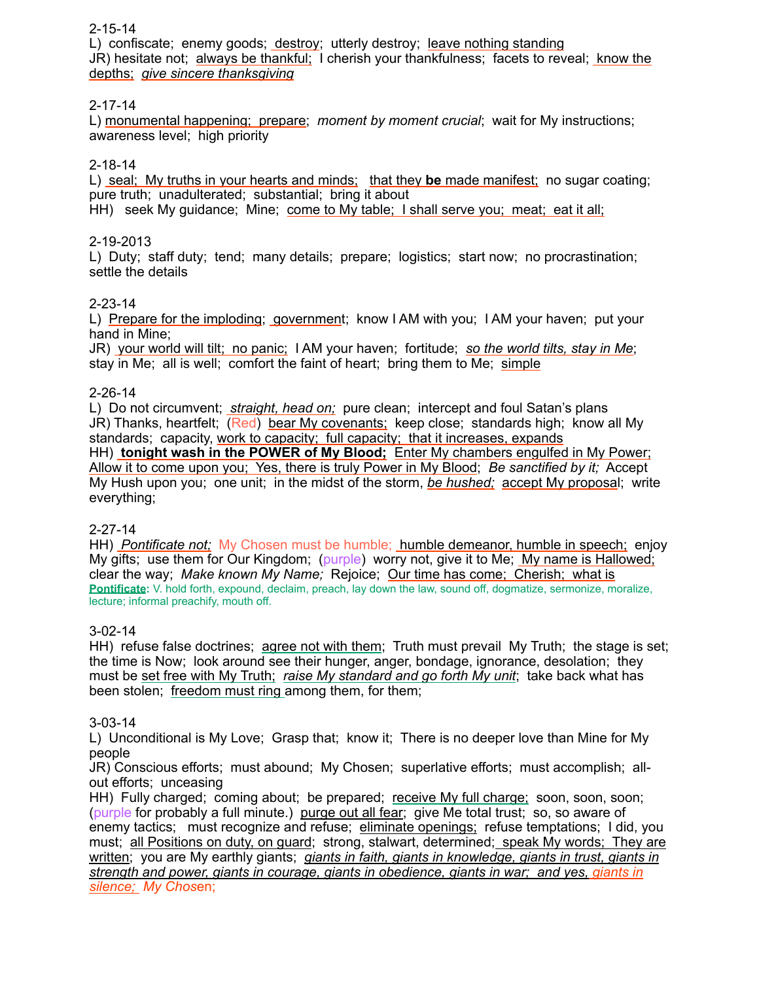### 2-15-14

L) confiscate; enemy goods; destroy; utterly destroy; leave nothing standing JR) hesitate not; always be thankful; I cherish your thankfulness; facets to reveal; know the depths; *give sincere thanksgiving*

### 2-17-14

L) monumental happening; prepare; *moment by moment crucial*; wait for My instructions; awareness level; high priority

### 2-18-14

L) seal; My truths in your hearts and minds; that they **be** made manifest; no sugar coating; pure truth; unadulterated; substantial; bring it about HH) seek My guidance; Mine; come to My table; I shall serve you; meat; eat it all;

### 2-19-2013

L) Duty; staff duty; tend; many details; prepare; logistics; start now; no procrastination; settle the details

### 2-23-14

L) Prepare for the imploding; government; know I AM with you; I AM your haven; put your hand in Mine;

JR) your world will tilt; no panic; I AM your haven; fortitude; *so the world tilts, stay in Me*; stay in Me; all is well; comfort the faint of heart; bring them to Me; simple

### 2-26-14

L) Do not circumvent; *straight, head on;* pure clean; intercept and foul Satan's plans JR) Thanks, heartfelt; (Red) bear My covenants; keep close; standards high; know all My standards; capacity, work to capacity; full capacity; that it increases, expands HH) **tonight wash in the POWER of My Blood;** Enter My chambers engulfed in My Power; Allow it to come upon you; Yes, there is truly Power in My Blood; *Be sanctified by it;* Accept My Hush upon you; one unit; in the midst of the storm, *be hushed;* accept My proposal; write everything;

### 2-27-14

HH) *Pontificate not;* My Chosen must be humble; humble demeanor, humble in speech; enjoy My gifts; use them for Our Kingdom; (purple) worry not, give it to Me; My name is Hallowed; clear the way; *Make known My Name;* Rejoice; Our time has come; Cherish; what is **Pontificate:** V. hold forth, expound, declaim, preach, lay down the law, sound off, dogmatize, sermonize, moralize, lecture; informal preachify, mouth off.

### 3-02-14

HH) refuse false doctrines; agree not with them; Truth must prevail My Truth; the stage is set; the time is Now; look around see their hunger, anger, bondage, ignorance, desolation; they must be set free with My Truth; *raise My standard and go forth My unit*; take back what has been stolen; freedom must ring among them, for them;

### 3-03-14

L) Unconditional is My Love; Grasp that; know it; There is no deeper love than Mine for My people

JR) Conscious efforts; must abound; My Chosen; superlative efforts; must accomplish; allout efforts; unceasing

HH) Fully charged; coming about; be prepared; receive My full charge; soon, soon, soon; (purple for probably a full minute.) purge out all fear; give Me total trust; so, so aware of enemy tactics; must recognize and refuse; eliminate openings; refuse temptations; I did, you must; all Positions on duty, on guard; strong, stalwart, determined; speak My words; They are written; you are My earthly giants; *giants in faith, giants in knowledge, giants in trust, giants in strength and power, giants in courage, giants in obedience, giants in war; and yes, giants in silence; My Chos*en;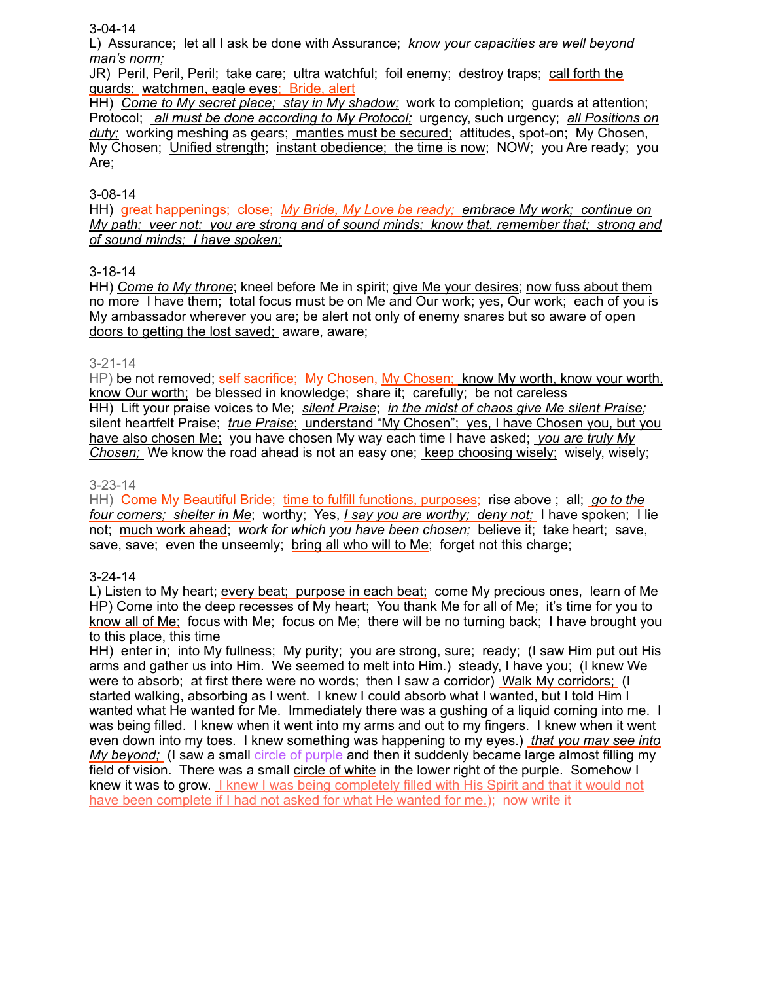### 3-04-14

L) Assurance; let all I ask be done with Assurance; *know your capacities are well beyond man's norm;* 

JR) Peril, Peril, Peril; take care; ultra watchful; foil enemy; destroy traps; call forth the guards; watchmen, eagle eyes; Bride, alert

HH) *Come to My secret place; stay in My shadow;* work to completion; guards at attention; Protocol; *all must be done according to My Protocol;* urgency, such urgency; *all Positions on duty;* working meshing as gears; mantles must be secured; attitudes, spot-on; My Chosen, My Chosen; Unified strength; instant obedience; the time is now; NOW; you Are ready; you Are;

### 3-08-14

HH) great happenings; close; *My Bride, My Love be ready; embrace My work; continue on My path; veer not; you are strong and of sound minds; know that, remember that; strong and of sound minds; I have spoken;*

### 3-18-14

HH) *Come to My throne*; kneel before Me in spirit; give Me your desires; now fuss about them no more I have them; total focus must be on Me and Our work; yes, Our work; each of you is My ambassador wherever you are; be alert not only of enemy snares but so aware of open doors to getting the lost saved; aware, aware;

### 3-21-14

HP) be not removed; self sacrifice; My Chosen, My Chosen; know My worth, know your worth, know Our worth; be blessed in knowledge; share it; carefully; be not careless HH) Lift your praise voices to Me; *silent Praise*; *in the midst of chaos give Me silent Praise;* silent heartfelt Praise; *true Praise*; understand "My Chosen"; yes, I have Chosen you, but you have also chosen Me; you have chosen My way each time I have asked; *you are truly My Chosen;* We know the road ahead is not an easy one; keep choosing wisely; wisely, wisely;

### 3-23-14

HH) Come My Beautiful Bride; time to fulfill functions, purposes; rise above ; all; *go to the four corners; shelter in Me*; worthy; Yes, *I say you are worthy; deny not;* I have spoken; I lie not; much work ahead; *work for which you have been chosen;* believe it; take heart; save, save, save; even the unseemly; bring all who will to Me; forget not this charge;

### 3-24-14

L) Listen to My heart; every beat; purpose in each beat; come My precious ones, learn of Me HP) Come into the deep recesses of My heart; You thank Me for all of Me; it's time for you to know all of Me; focus with Me; focus on Me; there will be no turning back; I have brought you to this place, this time

HH) enter in; into My fullness; My purity; you are strong, sure; ready; (I saw Him put out His arms and gather us into Him. We seemed to melt into Him.) steady, I have you; (I knew We were to absorb; at first there were no words; then I saw a corridor) Walk My corridors; (I started walking, absorbing as I went. I knew I could absorb what I wanted, but I told Him I wanted what He wanted for Me. Immediately there was a gushing of a liquid coming into me. I was being filled. I knew when it went into my arms and out to my fingers. I knew when it went even down into my toes. I knew something was happening to my eyes.) *that you may see into My beyond;* (I saw a small circle of purple and then it suddenly became large almost filling my field of vision. There was a small circle of white in the lower right of the purple. Somehow I knew it was to grow. I knew I was being completely filled with His Spirit and that it would not have been complete if I had not asked for what He wanted for me.); now write it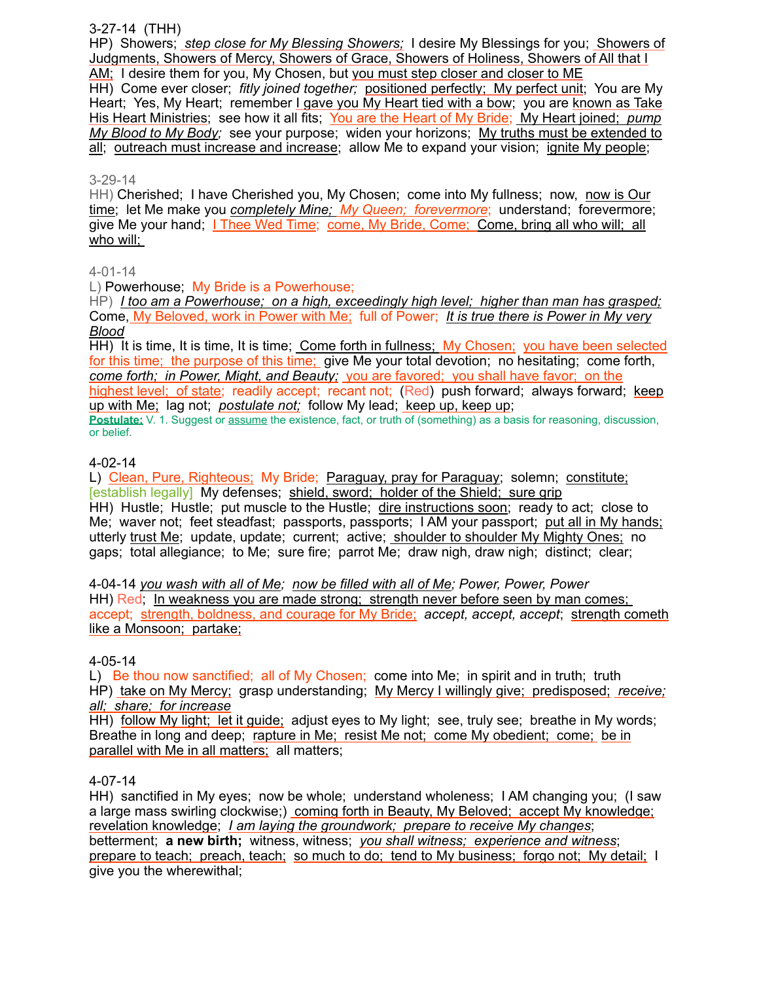### 3-27-14 (THH)

HP) Showers; *step close for My Blessing Showers;* I desire My Blessings for you; Showers of Judgments, Showers of Mercy, Showers of Grace, Showers of Holiness, Showers of All that I AM; I desire them for you, My Chosen, but you must step closer and closer to ME

HH) Come ever closer; *fitly joined together;* positioned perfectly; My perfect unit; You are My Heart; Yes, My Heart; remember I gave you My Heart tied with a bow; you are known as Take His Heart Ministries; see how it all fits; You are the Heart of My Bride; My Heart joined; *pump My Blood to My Body;* see your purpose; widen your horizons; My truths must be extended to all; outreach must increase and increase; allow Me to expand your vision; ignite My people;

### 3-29-14

HH) Cherished; I have Cherished you, My Chosen; come into My fullness; now, now is Our time; let Me make you *completely Mine; My Queen; forevermore*; understand; forevermore; give Me your hand; **I Thee Wed Time; come, My Bride, Come; Come, bring all who will; all** who will;

### 4-01-14

L) Powerhouse; My Bride is a Powerhouse;

HP) *I too am a Powerhouse; on a high, exceedingly high level; higher than man has grasped;*  Come, My Beloved, work in Power with Me; full of Power; *It is true there is Power in My very Blood*

HH) It is time, It is time, It is time; Come forth in fullness; My Chosen; you have been selected for this time; the purpose of this time; give Me your total devotion; no hesitating; come forth, *come forth; in Power, Might, and Beauty;* you are favored; you shall have favor; on the highest level; of state; readily accept; recant not; (Red) push forward; always forward; keep up with Me; lag not; *postulate not;* follow My lead; keep up, keep up;

**Postulate:** V. 1. Suggest or assume the existence, fact, or truth of (something) as a basis for reasoning, discussion, or belief.

## 4-02-14

L) Clean, Pure, Righteous; My Bride; Paraguay, pray for Paraguay; solemn; constitute; [establish legally] My defenses; shield, sword; holder of the Shield; sure grip HH) Hustle; Hustle; put muscle to the Hustle; dire instructions soon; ready to act; close to Me; waver not; feet steadfast; passports, passports; I AM your passport; put all in My hands; utterly trust Me; update, update; current; active; shoulder to shoulder My Mighty Ones; no gaps; total allegiance; to Me; sure fire; parrot Me; draw nigh, draw nigh; distinct; clear;

4-04-14 *you wash with all of Me; now be filled with all of Me; Power, Power, Power* HH) Red; In weakness you are made strong; strength never before seen by man comes; accept; strength, boldness, and courage for My Bride; *accept, accept, accept*; strength cometh like a Monsoon; partake;

### 4-05-14

L) Be thou now sanctified; all of My Chosen; come into Me; in spirit and in truth; truth HP) take on My Mercy; grasp understanding; My Mercy I willingly give; predisposed; *receive; all; share; for increase*

HH) follow My light; let it guide; adjust eyes to My light; see, truly see; breathe in My words; Breathe in long and deep; rapture in Me; resist Me not; come My obedient; come; be in parallel with Me in all matters; all matters;

### 4-07-14

HH) sanctified in My eyes; now be whole; understand wholeness; I AM changing you; (I saw a large mass swirling clockwise;) coming forth in Beauty, My Beloved; accept My knowledge; revelation knowledge; *I am laying the groundwork; prepare to receive My changes*; betterment; **a new birth;** witness, witness; *you shall witness; experience and witness*; prepare to teach; preach, teach; so much to do; tend to My business; forgo not; My detail; I give you the wherewithal;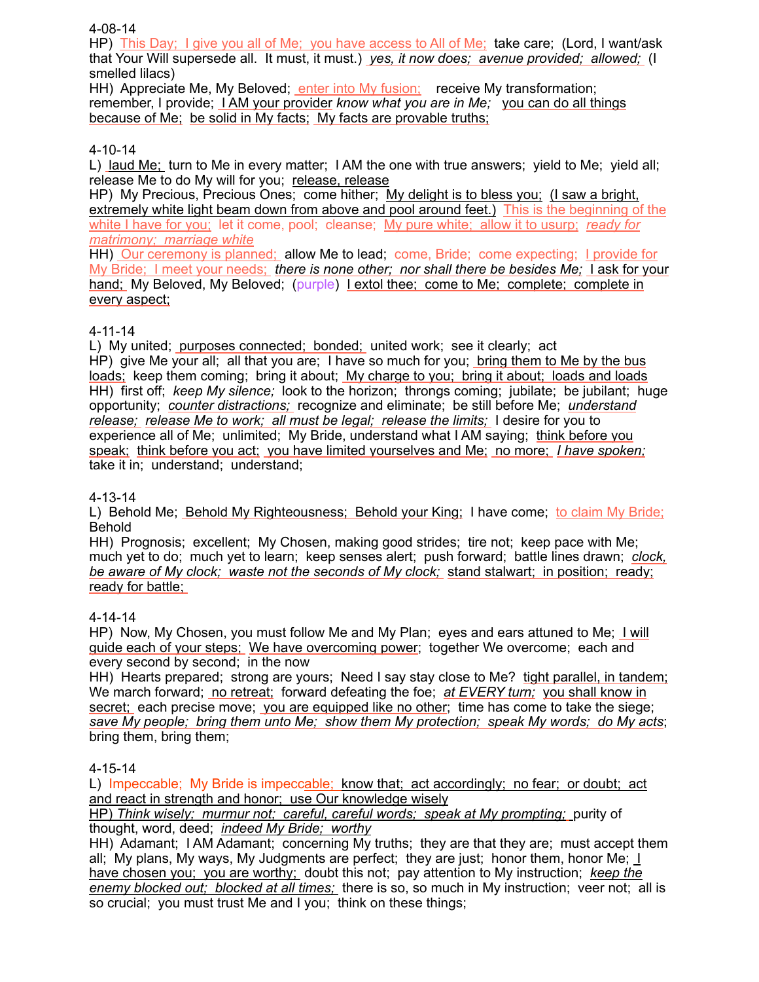### 4-08-14

HP) This Day; I give you all of Me; you have access to All of Me; take care; (Lord, I want/ask that Your Will supersede all. It must, it must.) *yes, it now does; avenue provided; allowed;* (I smelled lilacs)

HH) Appreciate Me, My Beloved; enter into My fusion; receive My transformation; remember, I provide; I AM your provider *know what you are in Me;* you can do all things because of Me; be solid in My facts; My facts are provable truths;

## 4-10-14

L) laud Me; turn to Me in every matter; I AM the one with true answers; yield to Me; yield all; release Me to do My will for you; release, release

HP) My Precious, Precious Ones; come hither; My delight is to bless you; (I saw a bright, extremely white light beam down from above and pool around feet.) This is the beginning of the white I have for you; let it come, pool; cleanse; My pure white; allow it to usurp; *ready for matrimony; marriage white*

HH) Our ceremony is planned; allow Me to lead; come, Bride; come expecting; I provide for My Bride; I meet your needs; *there is none other; nor shall there be besides Me;* I ask for your hand; My Beloved, My Beloved; (purple) I extol thee; come to Me; complete; complete in every aspect;

## 4-11-14

L) My united; purposes connected; bonded; united work; see it clearly; act HP) give Me your all; all that you are; I have so much for you; bring them to Me by the bus loads; keep them coming; bring it about; My charge to you; bring it about; loads and loads HH) first off; *keep My silence;* look to the horizon; throngs coming; jubilate; be jubilant; huge opportunity; *counter distractions;* recognize and eliminate; be still before Me; *understand release; release Me to work; all must be legal; release the limits;* I desire for you to experience all of Me; unlimited; My Bride, understand what I AM saying; think before you speak; think before you act; you have limited yourselves and Me; no more; *I have spoken;* take it in; understand; understand;

## 4-13-14

L) Behold Me; Behold My Righteousness; Behold your King; I have come; to claim My Bride; Behold

HH) Prognosis; excellent; My Chosen, making good strides; tire not; keep pace with Me; much yet to do; much yet to learn; keep senses alert; push forward; battle lines drawn; *clock, be aware of My clock; waste not the seconds of My clock;* stand stalwart; in position; ready; ready for battle;

## 4-14-14

HP) Now, My Chosen, you must follow Me and My Plan; eyes and ears attuned to Me; I will guide each of your steps; We have overcoming power; together We overcome; each and every second by second; in the now

HH) Hearts prepared; strong are yours; Need I say stay close to Me? tight parallel, in tandem; We march forward; no retreat; forward defeating the foe; *at EVERY turn;* you shall know in secret; each precise move; you are equipped like no other; time has come to take the siege; *save My people; bring them unto Me; show them My protection; speak My words; do My acts*; bring them, bring them;

## 4-15-14

L) Impeccable; My Bride is impeccable; know that; act accordingly; no fear; or doubt; act and react in strength and honor; use Our knowledge wisely

HP) *Think wisely; murmur not; careful, careful words; speak at My prompting;* purity of thought, word, deed; *indeed My Bride; worthy*

HH) Adamant; I AM Adamant; concerning My truths; they are that they are; must accept them all; My plans, My ways, My Judgments are perfect; they are just; honor them, honor Me;  $\perp$ have chosen you; you are worthy; doubt this not; pay attention to My instruction; *keep the enemy blocked out; blocked at all times;* there is so, so much in My instruction; veer not; all is so crucial; you must trust Me and I you; think on these things;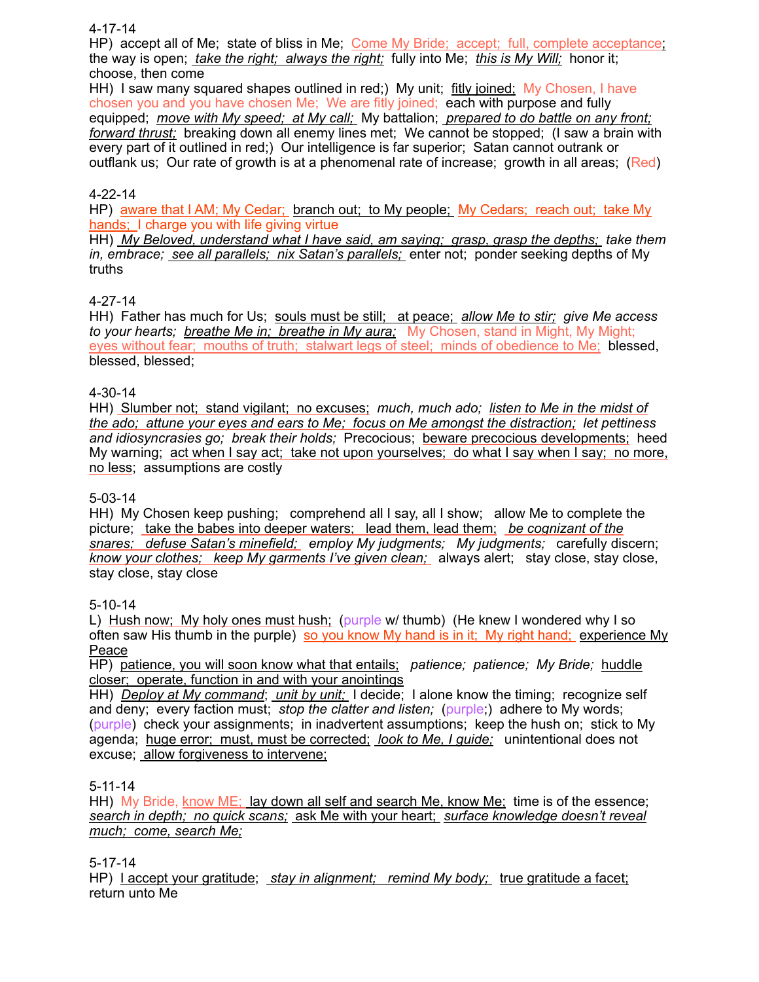### 4-17-14

HP) accept all of Me; state of bliss in Me; Come My Bride; accept; full, complete acceptance; the way is open; *take the right; always the right;* fully into Me; *this is My Will;* honor it; choose, then come

HH) I saw many squared shapes outlined in red;) My unit; fitly joined; My Chosen, I have chosen you and you have chosen Me; We are fitly joined; each with purpose and fully equipped; *move with My speed; at My call;* My battalion; *prepared to do battle on any front; forward thrust;* breaking down all enemy lines met; We cannot be stopped; (I saw a brain with every part of it outlined in red;) Our intelligence is far superior; Satan cannot outrank or outflank us; Our rate of growth is at a phenomenal rate of increase; growth in all areas; (Red)

### 4-22-14

HP) aware that I AM; My Cedar; branch out; to My people; My Cedars; reach out; take My hands; I charge you with life giving virtue

HH) *My Beloved, understand what I have said, am saying; grasp, grasp the depths; take them in, embrace; see all parallels; nix Satan's parallels;* enter not; ponder seeking depths of My truths

### 4-27-14

HH) Father has much for Us; souls must be still; at peace; *allow Me to stir; give Me access to your hearts; breathe Me in; breathe in My aura;* My Chosen, stand in Might, My Might; eyes without fear; mouths of truth; stalwart legs of steel; minds of obedience to Me; blessed, blessed, blessed;

### 4-30-14

HH) Slumber not; stand vigilant; no excuses; *much, much ado; listen to Me in the midst of the ado; attune your eyes and ears to Me; focus on Me amongst the distraction; let pettiness and idiosyncrasies go; break their holds;* Precocious; beware precocious developments; heed My warning; act when I say act; take not upon yourselves; do what I say when I say; no more, no less; assumptions are costly

### 5-03-14

HH) My Chosen keep pushing; comprehend all I say, all I show; allow Me to complete the picture; take the babes into deeper waters; lead them, lead them; *be cognizant of the snares; defuse Satan's minefield; employ My judgments; My judgments;* carefully discern; *know your clothes; keep My garments I've given clean;* always alert; stay close, stay close, stay close, stay close

## 5-10-14

L) Hush now; My holy ones must hush; (purple w/ thumb) (He knew I wondered why I so often saw His thumb in the purple) so you know My hand is in it; My right hand; experience My Peace

HP) patience, you will soon know what that entails; *patience; patience; My Bride;* huddle closer; operate, function in and with your anointings

HH) *Deploy at My command*; *unit by unit;* I decide; I alone know the timing; recognize self and deny; every faction must; *stop the clatter and listen;* (purple;) adhere to My words; (purple) check your assignments; in inadvertent assumptions; keep the hush on; stick to My agenda; huge error; must, must be corrected; *look to Me, I guide;* unintentional does not excuse; allow forgiveness to intervene;

### 5-11-14

HH) My Bride, know ME; lay down all self and search Me, know Me; time is of the essence; *search in depth; no quick scans;* ask Me with your heart; *surface knowledge doesn't reveal much; come, search Me;*

### 5-17-14

HP) I accept your gratitude; *stay in alignment; remind My body;* true gratitude a facet; return unto Me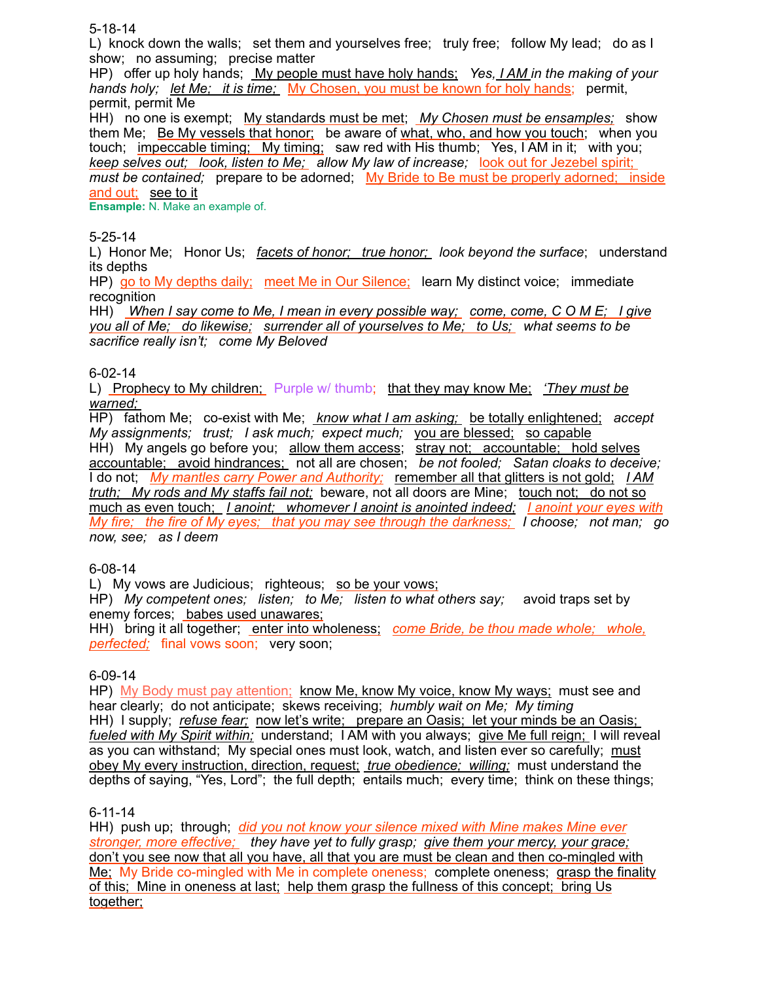5-18-14

L) knock down the walls; set them and yourselves free; truly free; follow My lead; do as I show; no assuming; precise matter

HP) offer up holy hands; My people must have holy hands; *Yes, I AM in the making of your hands holy; let Me; it is time; My Chosen, you must be known for holy hands; permit,* permit, permit Me

HH) no one is exempt; My standards must be met; My Chosen must be ensamples; show them Me; Be My vessels that honor; be aware of what, who, and how you touch; when you touch; impeccable timing; My timing; saw red with His thumb; Yes, I AM in it; with you; *keep selves out; look, listen to Me; allow My law of increase;* look out for Jezebel spirit; *must be contained;* prepare to be adorned; My Bride to Be must be properly adorned; inside and out; see to it

**Ensample:** N. Make an example of.

## 5-25-14

L) Honor Me; Honor Us; *facets of honor; true honor; look beyond the surface*; understand its depths

HP) go to My depths daily; meet Me in Our Silence; learn My distinct voice; immediate recognition

HH) *When I say come to Me, I mean in every possible way; come, come, C O M E; I give you all of Me; do likewise; surrender all of yourselves to Me; to Us; what seems to be sacrifice really isn't; come My Beloved*

### 6-02-14

L) Prophecy to My children; Purple w/ thumb; that they may know Me; *'They must be warned;* 

HP) fathom Me; co-exist with Me; *know what I am asking;* be totally enlightened; *accept My assignments; trust; I ask much; expect much; you are blessed; so capable* HH) My angels go before you; allow them access; stray not; accountable; hold selves accountable; avoid hindrances; not all are chosen; *be not fooled; Satan cloaks to deceive;* I do not; *My mantles carry Power and Authority;* remember all that glitters is not gold; *I AM truth; My rods and My staffs fail not;* beware, not all doors are Mine; touch not; do not so much as even touch; *I anoint; whomever I anoint is anointed indeed; I anoint your eyes with My fire; the fire of My eyes; that you may see through the darkness; I choose; not man; go now, see; as I deem*

## 6-08-14

L) My vows are Judicious; righteous; so be your vows;

HP) *My competent ones; listen; to Me; listen to what others say;* avoid traps set by enemy forces; babes used unawares;

HH) bring it all together; enter into wholeness; *come Bride, be thou made whole; whole, perfected;* final vows soon; very soon;

## 6-09-14

HP) My Body must pay attention; know Me, know My voice, know My ways; must see and hear clearly; do not anticipate; skews receiving; *humbly wait on Me; My timing* HH) I supply; *refuse fear;* now let's write; prepare an Oasis; let your minds be an Oasis; *fueled with My Spirit within;* understand; I AM with you always; give Me full reign; I will reveal as you can withstand; My special ones must look, watch, and listen ever so carefully; must obey My every instruction, direction, request; *true obedience; willing;* must understand the depths of saying, "Yes, Lord"; the full depth; entails much; every time; think on these things;

## 6-11-14

HH) push up; through; *did you not know your silence mixed with Mine makes Mine ever stronger, more effective; they have yet to fully grasp; give them your mercy, your grace;* don't you see now that all you have, all that you are must be clean and then co-mingled with Me; My Bride co-mingled with Me in complete oneness; complete oneness; grasp the finality of this; Mine in oneness at last; help them grasp the fullness of this concept; bring Us together;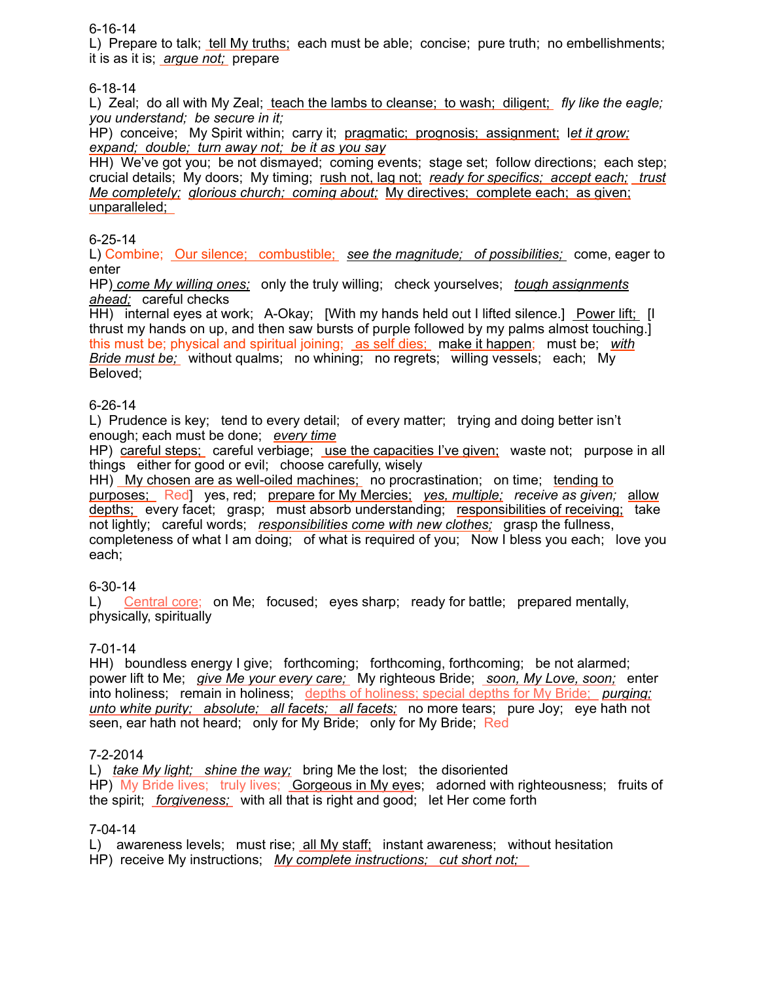## 6-16-14

L) Prepare to talk; tell My truths; each must be able; concise; pure truth; no embellishments; it is as it is; *argue not;* prepare

### 6-18-14

L) Zeal; do all with My Zeal; teach the lambs to cleanse; to wash; diligent; *fly like the eagle; you understand; be secure in it;* 

HP) conceive; My Spirit within; carry it; pragmatic; prognosis; assignment; l*et it grow; expand; double; turn away not; be it as you say*

HH) We've got you; be not dismayed; coming events; stage set; follow directions; each step; crucial details; My doors; My timing; rush not, lag not; *ready for specifics; accept each; trust Me completely; glorious church; coming about;* My directives; complete each; as given; unparalleled;

### 6-25-14

L) Combine; Our silence; combustible; *see the magnitude; of possibilities;* come, eager to enter

HP) *come My willing ones;* only the truly willing; check yourselves; *tough assignments ahead;* careful checks

HH) internal eyes at work; A-Okay; [With my hands held out I lifted silence.] Power lift; [I thrust my hands on up, and then saw bursts of purple followed by my palms almost touching.] this must be; physical and spiritual joining; as self dies; make it happen; must be; *with Bride must be;* without qualms; no whining; no regrets; willing vessels; each; My Beloved;

### 6-26-14

L) Prudence is key; tend to every detail; of every matter; trying and doing better isn't enough; each must be done; *every time*

HP) careful steps; careful verbiage; use the capacities I've given; waste not; purpose in all things either for good or evil; choose carefully, wisely

HH) My chosen are as well-oiled machines; no procrastination; on time; tending to purposes; Red] yes, red; prepare for My Mercies; *yes, multiple; receive as given;* allow depths; every facet; grasp; must absorb understanding; responsibilities of receiving; take not lightly; careful words; *responsibilities come with new clothes;* grasp the fullness, completeness of what I am doing; of what is required of you; Now I bless you each; love you each;

## 6-30-14

L) Central core; on Me; focused; eyes sharp; ready for battle; prepared mentally, physically, spiritually

## 7-01-14

HH) boundless energy I give; forthcoming; forthcoming, forthcoming; be not alarmed; power lift to Me; *give Me your every care;* My righteous Bride; *soon, My Love, soon;* enter into holiness; remain in holiness; depths of holiness; special depths for My Bride; *purging; unto white purity; absolute; all facets; all facets;* no more tears; pure Joy; eye hath not seen, ear hath not heard; only for My Bride; only for My Bride; Red

### 7-2-2014

L) *take My light; shine the way;* bring Me the lost; the disoriented HP) My Bride lives; truly lives; Gorgeous in My eyes; adorned with righteousness; fruits of the spirit; *forgiveness;* with all that is right and good; let Her come forth

### 7-04-14

L) awareness levels; must rise; all My staff; instant awareness; without hesitation HP) receive My instructions; *My complete instructions; cut short not;*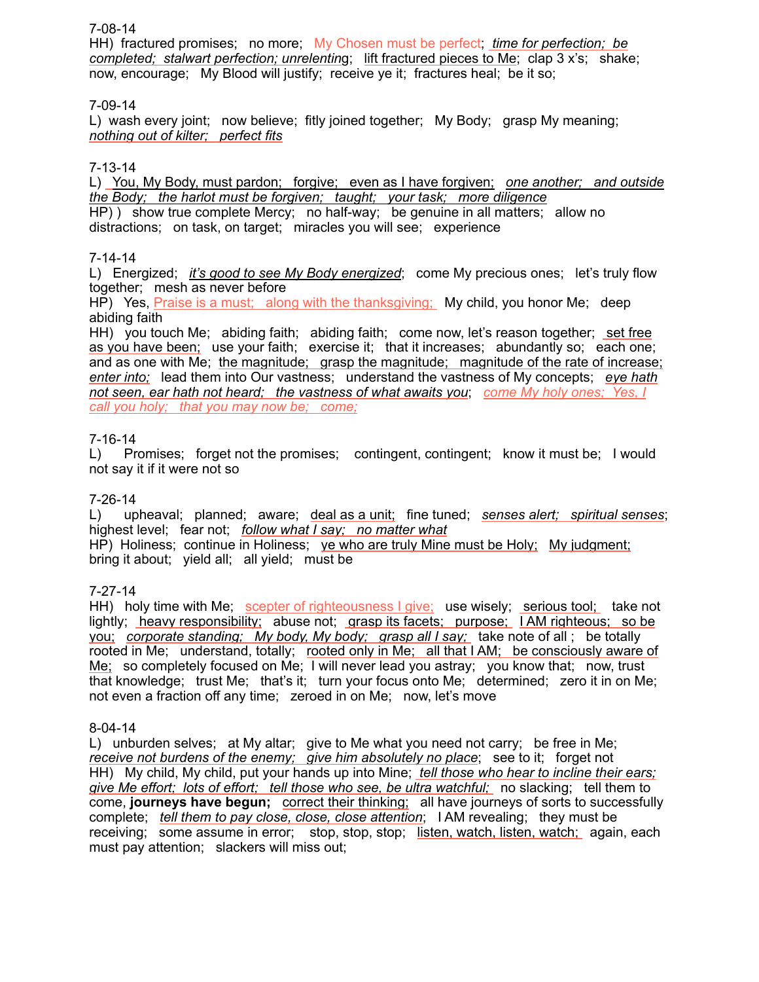### 7-08-14

HH) fractured promises; no more; My Chosen must be perfect; *time for perfection; be completed; stalwart perfection; unrelentin*g; lift fractured pieces to Me; clap 3 x's; shake; now, encourage; My Blood will justify; receive ye it; fractures heal; be it so;

## 7-09-14

L) wash every joint; now believe; fitly joined together; My Body; grasp My meaning; *nothing out of kilter; perfect fits*

### 7-13-14

L) You, My Body, must pardon; forgive; even as I have forgiven; *one another; and outside the Body; the harlot must be forgiven; taught; your task; more diligence* HP) ) show true complete Mercy; no half-way; be genuine in all matters; allow no distractions; on task, on target; miracles you will see; experience

### 7-14-14

L) Energized; *it's good to see My Body energized*; come My precious ones; let's truly flow together; mesh as never before

HP) Yes, Praise is a must; along with the thanksgiving; My child, you honor Me; deep abiding faith

HH) you touch Me; abiding faith; abiding faith; come now, let's reason together; set free as you have been; use your faith; exercise it; that it increases; abundantly so; each one; and as one with Me; the magnitude; grasp the magnitude; magnitude of the rate of increase; *enter into;* lead them into Our vastness; understand the vastness of My concepts; *eye hath not seen, ear hath not heard; the vastness of what awaits you*; *come My holy ones; Yes, I call you holy; that you may now be; come;*

### 7-16-14

L) Promises; forget not the promises; contingent, contingent; know it must be; I would not say it if it were not so

### 7-26-14

L) upheaval; planned; aware; deal as a unit; fine tuned; *senses alert; spiritual senses*; highest level; fear not; *follow what I say; no matter what* HP) Holiness; continue in Holiness; ye who are truly Mine must be Holy; My judgment; bring it about; yield all; all yield; must be

7-27-14

HH) holy time with Me; scepter of righteousness I give; use wisely; serious tool; take not lightly; heavy responsibility; abuse not; grasp its facets; purpose; I AM righteous; so be you; *corporate standing; My body, My body; grasp all I say;* take note of all ; be totally rooted in Me; understand, totally; rooted only in Me; all that I AM; be consciously aware of Me; so completely focused on Me; I will never lead you astray; you know that; now, trust that knowledge; trust Me; that's it; turn your focus onto Me; determined; zero it in on Me; not even a fraction off any time; zeroed in on Me; now, let's move

### 8-04-14

L) unburden selves; at My altar; give to Me what you need not carry; be free in Me; *receive not burdens of the enemy; give him absolutely no place*; see to it; forget not HH) My child, My child, put your hands up into Mine; *tell those who hear to incline their ears; give Me effort; lots of effort; tell those who see, be ultra watchful;* no slacking; tell them to come, **journeys have begun;** correct their thinking; all have journeys of sorts to successfully complete; *tell them to pay close, close, close attention*; I AM revealing; they must be receiving; some assume in error; stop, stop, stop; listen, watch, listen, watch; again, each must pay attention; slackers will miss out;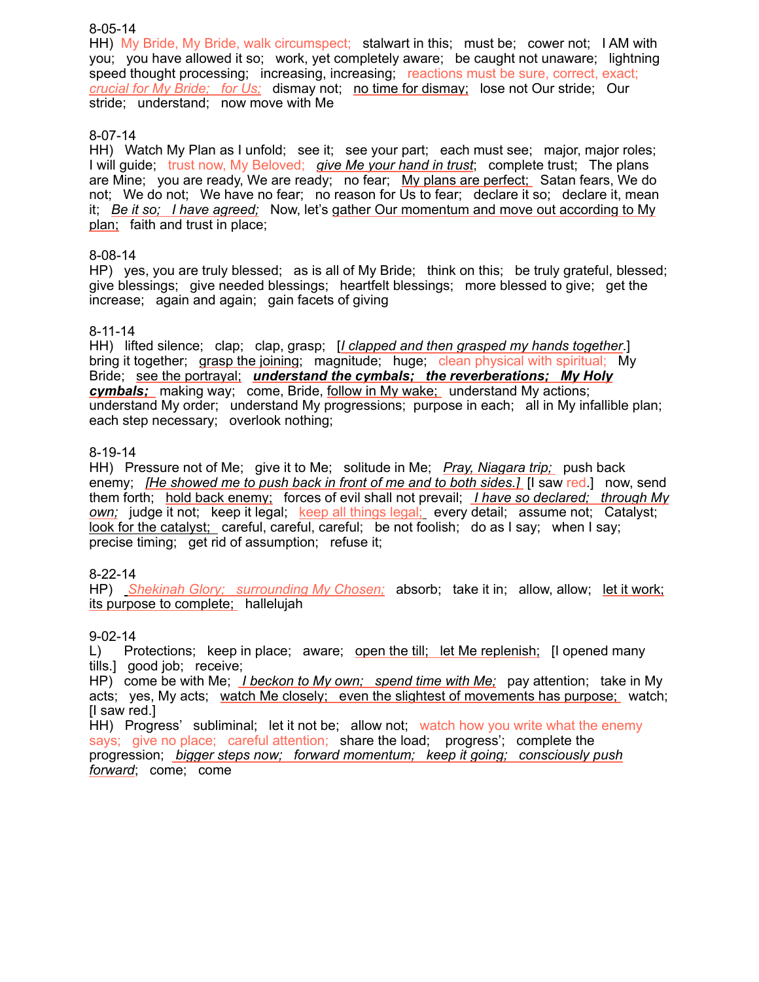### 8-05-14

HH) My Bride, My Bride, walk circumspect; stalwart in this; must be; cower not; I AM with you; you have allowed it so; work, yet completely aware; be caught not unaware; lightning speed thought processing; increasing, increasing; reactions must be sure, correct, exact; *crucial for My Bride; for Us;* dismay not; no time for dismay; lose not Our stride; Our stride; understand; now move with Me

### 8-07-14

HH) Watch My Plan as I unfold; see it; see your part; each must see; major, major roles; I will guide; trust now, My Beloved; *give Me your hand in trust*; complete trust; The plans are Mine; you are ready, We are ready; no fear; My plans are perfect; Satan fears, We do not; We do not; We have no fear; no reason for Us to fear; declare it so; declare it, mean it; *Be it so; I have agreed;* Now, let's gather Our momentum and move out according to My plan; faith and trust in place;

### 8-08-14

HP) yes, you are truly blessed; as is all of My Bride; think on this; be truly grateful, blessed; give blessings; give needed blessings; heartfelt blessings; more blessed to give; get the increase; again and again; gain facets of giving

### 8-11-14

HH) lifted silence; clap; clap, grasp; [*I clapped and then grasped my hands together*.] bring it together; grasp the joining; magnitude; huge; clean physical with spiritual; My Bride; see the portrayal; *understand the cymbals; the reverberations; My Holy cymbals;* making way; come, Bride, follow in My wake; understand My actions; understand My order; understand My progressions; purpose in each; all in My infallible plan; each step necessary; overlook nothing;

### 8-19-14

HH) Pressure not of Me; give it to Me; solitude in Me; *Pray, Niagara trip;* push back enemy; *[He showed me to push back in front of me and to both sides.]* [I saw red.] now, send them forth; hold back enemy; forces of evil shall not prevail; *I have so declared; through My own;* judge it not; keep it legal; keep all things legal; every detail; assume not; Catalyst; look for the catalyst; careful, careful, careful; be not foolish; do as I say; when I say; precise timing; get rid of assumption; refuse it;

### 8-22-14

HP) *Shekinah Glory; surrounding My Chosen;* absorb; take it in; allow, allow; let it work; its purpose to complete; hallelujah

### 9-02-14

L) Protections; keep in place; aware; open the till; let Me replenish; [I opened many tills.] good job; receive;

HP) come be with Me; *I beckon to My own; spend time with Me;* pay attention; take in My acts; yes, My acts; watch Me closely; even the slightest of movements has purpose; watch; [I saw red.]

HH) Progress' subliminal; let it not be; allow not; watch how you write what the enemy says; give no place; careful attention; share the load; progress'; complete the progression; *bigger steps now; forward momentum; keep it going; consciously push forward*; come; come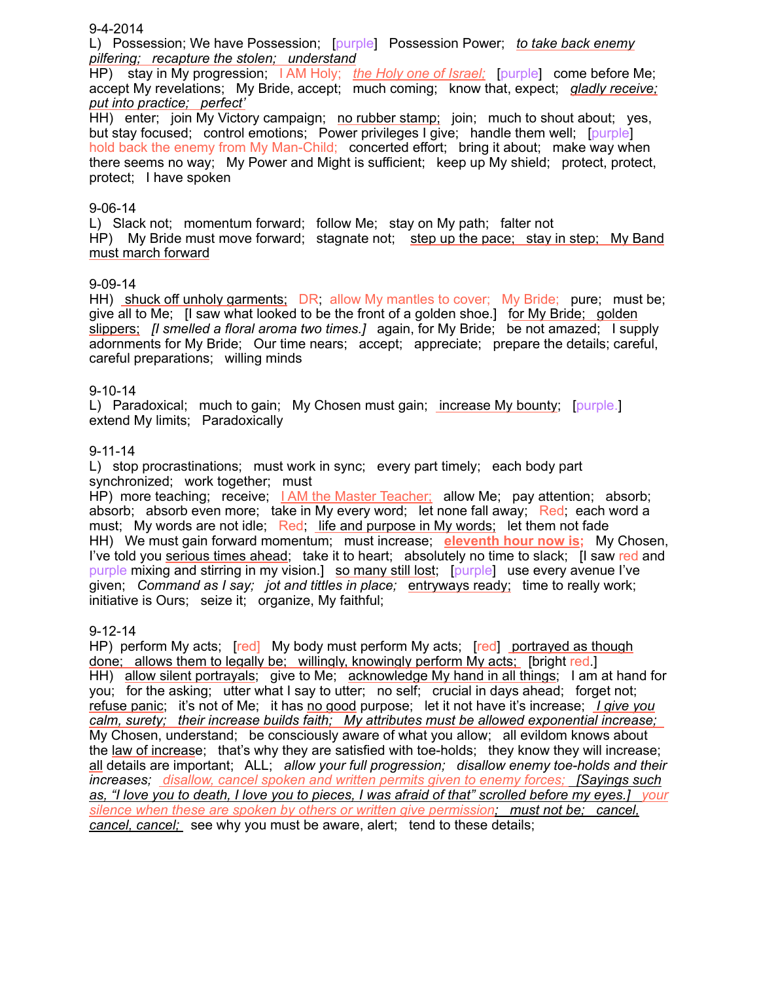#### 9-4-2014

L) Possession; We have Possession; [purple] Possession Power; *to take back enemy pilfering; recapture the stolen; understand*

HP) stay in My progression; I AM Holy; *the Holy one of Israel;* [purple] come before Me; accept My revelations; My Bride, accept; much coming; know that, expect; *gladly receive; put into practice; perfect'*

HH) enter; join My Victory campaign; no rubber stamp; join; much to shout about; yes, but stay focused; control emotions; Power privileges I give; handle them well; [purple] hold back the enemy from My Man-Child; concerted effort; bring it about; make way when there seems no way; My Power and Might is sufficient; keep up My shield; protect, protect, protect; I have spoken

#### 9-06-14

L) Slack not; momentum forward; follow Me; stay on My path; falter not HP) My Bride must move forward; stagnate not; step up the pace; stay in step; My Band must march forward

#### 9-09-14

HH) shuck off unholy garments; DR; allow My mantles to cover; My Bride; pure; must be; give all to Me; [I saw what looked to be the front of a golden shoe.] for My Bride; golden slippers; *[I smelled a floral aroma two times.]* again, for My Bride; be not amazed; I supply adornments for My Bride; Our time nears; accept; appreciate; prepare the details; careful, careful preparations; willing minds

#### 9-10-14

L) Paradoxical; much to gain; My Chosen must gain; increase My bounty; [purple.] extend My limits; Paradoxically

#### 9-11-14

L) stop procrastinations; must work in sync; every part timely; each body part synchronized; work together; must

HP) more teaching; receive; LAM the Master Teacher; allow Me; pay attention; absorb; absorb; absorb even more; take in My every word; let none fall away; Red; each word a must; My words are not idle; Red; life and purpose in My words; let them not fade HH) We must gain forward momentum; must increase; **eleventh hour now is;** My Chosen, I've told you serious times ahead; take it to heart; absolutely no time to slack; [I saw red and purple mixing and stirring in my vision.] so many still lost; [purple] use every avenue I've given; *Command as I say; jot and tittles in place;* entryways ready; time to really work; initiative is Ours; seize it; organize, My faithful;

#### 9-12-14

HP) perform My acts; [red] My body must perform My acts; [red] portrayed as though done; allows them to legally be; willingly, knowingly perform My acts; [bright red.] HH) allow silent portrayals; give to Me; acknowledge My hand in all things; I am at hand for you; for the asking; utter what I say to utter; no self; crucial in days ahead; forget not; refuse panic; it's not of Me; it has no good purpose; let it not have it's increase; *I give you calm, surety; their increase builds faith; My attributes must be allowed exponential increase;*  My Chosen, understand; be consciously aware of what you allow; all evildom knows about the law of increase; that's why they are satisfied with toe-holds; they know they will increase; all details are important; ALL; *allow your full progression; disallow enemy toe-holds and their increases; disallow, cancel spoken and written permits given to enemy forces; [Sayings such as, "I love you to death, I love you to pieces, I was afraid of that" scrolled before my eyes.] your silence when these are spoken by others or written give permission; must not be; cancel, cancel, cancel;* see why you must be aware, alert; tend to these details;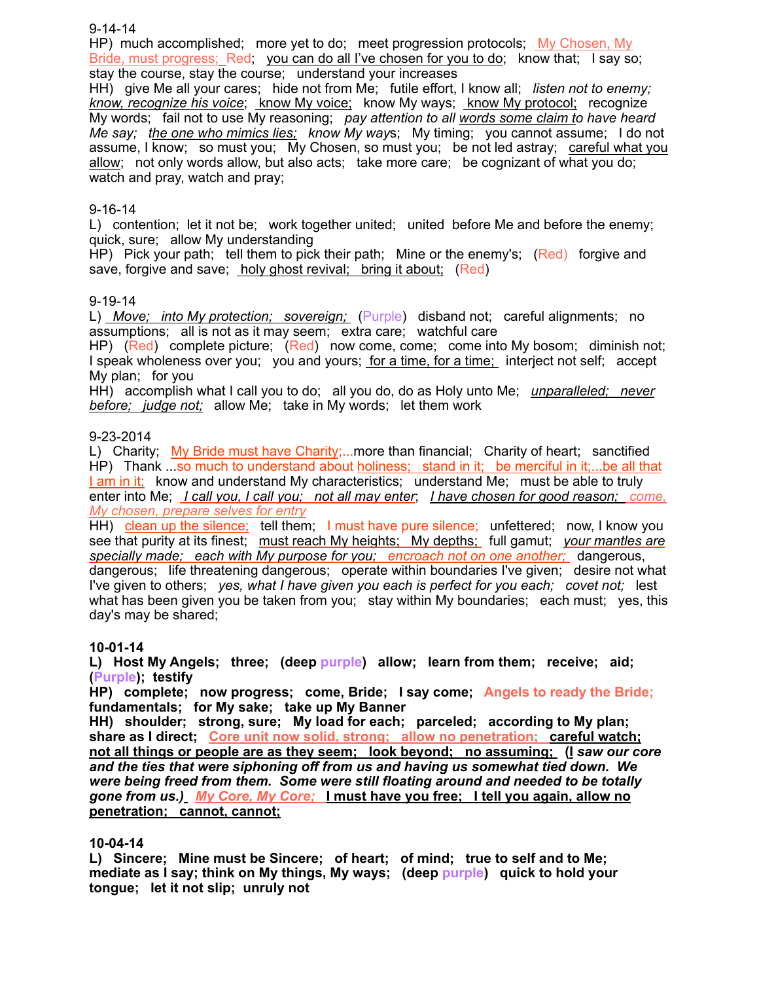9-14-14

HP) much accomplished; more yet to do; meet progression protocols; My Chosen, My Bride, must progress; Red; you can do all I've chosen for you to do; know that; I say so; stay the course, stay the course; understand your increases

HH) give Me all your cares; hide not from Me; futile effort, I know all; *listen not to enemy; know, recognize his voice*; know My voice; know My ways; know My protocol; recognize My words; fail not to use My reasoning; *pay attention to all words some claim to have heard Me say; the one who mimics lies; know My way*s; My timing; you cannot assume; I do not assume, I know; so must you; My Chosen, so must you; be not led astray; careful what you allow; not only words allow, but also acts; take more care; be cognizant of what you do; watch and pray, watch and pray;

### 9-16-14

L) contention; let it not be; work together united; united before Me and before the enemy; quick, sure; allow My understanding

HP) Pick your path; tell them to pick their path; Mine or the enemy's; (Red) forgive and save, forgive and save; holy ghost revival; bring it about; (Red)

### 9-19-14

L) *Move; into My protection; sovereign;* (Purple) disband not; careful alignments; no assumptions; all is not as it may seem; extra care; watchful care

HP) (Red) complete picture; (Red) now come, come; come into My bosom; diminish not; I speak wholeness over you; you and yours; for a time, for a time; interject not self; accept My plan; for you

HH) accomplish what I call you to do; all you do, do as Holy unto Me; *unparalleled; never before; judge not;* allow Me; take in My words; let them work

### 9-23-2014

L) Charity; My Bride must have Charity;...more than financial; Charity of heart; sanctified HP) Thank ...so much to understand about holiness; stand in it; be merciful in it;...be all that I am in it; know and understand My characteristics; understand Me; must be able to truly enter into Me; *I call you, I call you; not all may enter*; *I have chosen for good reason; come, My chosen, prepare selves for entry*

HH) clean up the silence; tell them; I must have pure silence; unfettered; now, I know you see that purity at its finest; must reach My heights; My depths; full gamut; *your mantles are specially made; each with My purpose for you; encroach not on one another;* dangerous, dangerous; life threatening dangerous; operate within boundaries I've given; desire not what I've given to others; *yes, what I have given you each is perfect for you each; covet not;* lest what has been given you be taken from you; stay within My boundaries; each must; yes, this day's may be shared;

### **10-01-14**

**L) Host My Angels; three; (deep purple) allow; learn from them; receive; aid; (Purple); testify**

**HP) complete; now progress; come, Bride; I say come; Angels to ready the Bride; fundamentals; for My sake; take up My Banner**

**HH) shoulder; strong, sure; My load for each; parceled; according to My plan; share as I direct; Core unit now solid, strong; allow no penetration; careful watch; not all things or people are as they seem; look beyond; no assuming; (I** *saw our core and the ties that were siphoning off from us and having us somewhat tied down. We were being freed from them. Some were still floating around and needed to be totally gone from us.)**My Core, My Core;* **I must have you free; I tell you again, allow no penetration; cannot, cannot;**

### **10-04-14**

**L) Sincere; Mine must be Sincere; of heart; of mind; true to self and to Me; mediate as I say; think on My things, My ways; (deep purple) quick to hold your tongue; let it not slip; unruly not**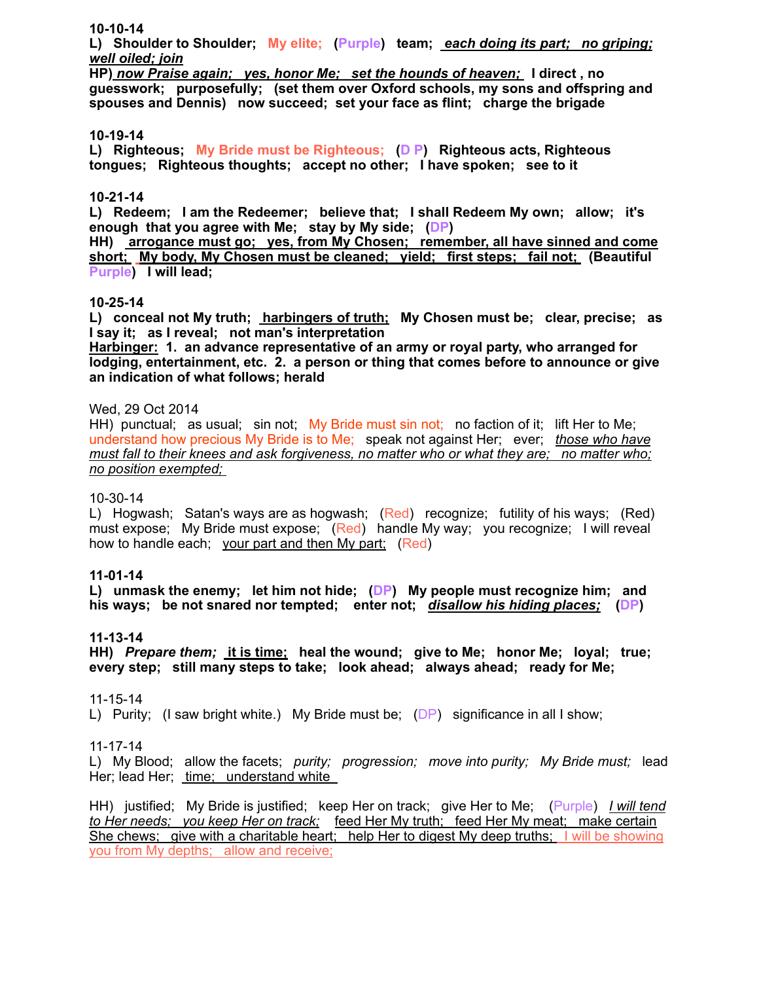#### **10-10-14**

**L) Shoulder to Shoulder; My elite; (Purple) team;** *each doing its part; no griping; well oiled; join*

**HP)** *now Praise again; yes, honor Me; set the hounds of heaven;* **I direct , no guesswork; purposefully; (set them over Oxford schools, my sons and offspring and spouses and Dennis) now succeed; set your face as flint; charge the brigade**

#### **10-19-14**

**L) Righteous; My Bride must be Righteous; (D P) Righteous acts, Righteous tongues; Righteous thoughts; accept no other; I have spoken; see to it**

#### **10-21-14**

**L) Redeem; I am the Redeemer; believe that; I shall Redeem My own; allow; it's enough that you agree with Me; stay by My side; (DP)**

**HH) arrogance must go; yes, from My Chosen; remember, all have sinned and come short; My body, My Chosen must be cleaned; yield; first steps; fail not; (Beautiful Purple) I will lead;** 

#### **10-25-14**

**L) conceal not My truth; harbingers of truth; My Chosen must be; clear, precise; as I say it; as I reveal; not man's interpretation** 

**Harbinger: 1. an advance representative of an army or royal party, who arranged for lodging, entertainment, etc. 2. a person or thing that comes before to announce or give an indication of what follows; herald**

#### Wed, 29 Oct 2014

HH) punctual; as usual; sin not; My Bride must sin not; no faction of it; lift Her to Me; understand how precious My Bride is to Me; speak not against Her; ever; *those who have must fall to their knees and ask forgiveness, no matter who or what they are; no matter who; no position exempted;* 

#### 10-30-14

L) Hogwash; Satan's ways are as hogwash; (Red) recognize; futility of his ways; (Red) must expose; My Bride must expose; (Red) handle My way; you recognize; I will reveal how to handle each; your part and then My part; (Red)

#### **11-01-14**

**L) unmask the enemy; let him not hide; (DP) My people must recognize him; and his ways; be not snared nor tempted; enter not;** *disallow his hiding places;* **(DP)** 

### **11-13-14**

**HH)** *Prepare them;* **it is time; heal the wound; give to Me; honor Me; loyal; true; every step; still many steps to take; look ahead; always ahead; ready for Me;** 

#### 11-15-14

L) Purity; (I saw bright white.) My Bride must be; (DP) significance in all I show;

#### 11-17-14

L) My Blood; allow the facets; *purity; progression; move into purity; My Bride must;* lead Her; lead Her; time; understand white

HH) justified; My Bride is justified; keep Her on track; give Her to Me; (Purple) *I will tend to Her needs; you keep Her on track;* feed Her My truth; feed Her My meat; make certain She chews; give with a charitable heart; help Her to digest My deep truths; I will be showing you from My depths; allow and receive;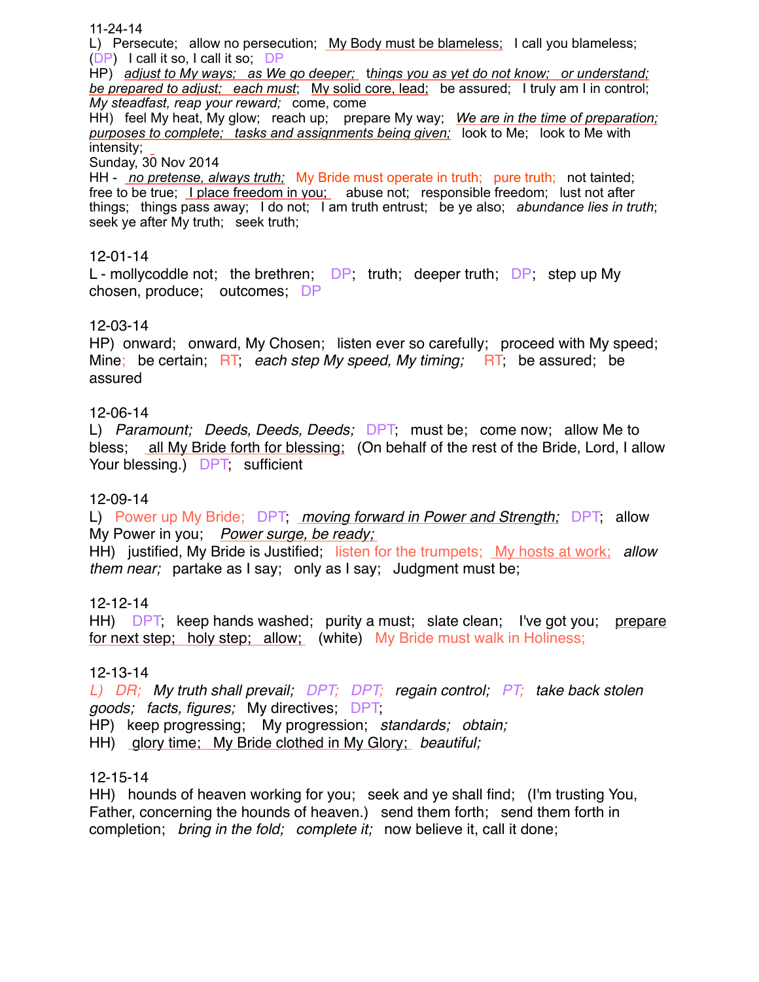11-24-14

L) Persecute; allow no persecution; My Body must be blameless; I call you blameless; (DP) I call it so, I call it so; DP HP) *adjust to My ways; as We go deeper;* t*hings you as yet do not know; or understand; be prepared to adjust; each must*; My solid core, lead; be assured; I truly am I in control; *My steadfast, reap your reward;* come, come HH) feel My heat, My glow; reach up; prepare My way; *We are in the time of preparation; purposes to complete; tasks and assignments being given;* look to Me; look to Me with intensity; Sunday, 30 Nov 2014 HH - *no pretense, always truth;* My Bride must operate in truth; pure truth; not tainted; free to be true; I place freedom in you; abuse not; responsible freedom; lust not after things; things pass away; I do not; I am truth entrust; be ye also; *abundance lies in truth*; seek ye after My truth; seek truth; 12-01-14

L - mollycoddle not; the brethren;  $\Box P$ ; truth; deeper truth;  $\Box P$ ; step up My chosen, produce; outcomes; DP

## 12-03-14

HP) onward; onward, My Chosen; listen ever so carefully; proceed with My speed; Mine; be certain; RT; *each step My speed, My timing;* RT; be assured; be assured

### 12-06-14

L) *Paramount; Deeds, Deeds, Deeds;* DPT; must be; come now; allow Me to bless; all My Bride forth for blessing; (On behalf of the rest of the Bride, Lord, I allow Your blessing.) DPT, sufficient

### 12-09-14

L) Power up My Bride; DPT; *moving forward in Power and Strength;* DPT; allow My Power in you; *Power surge, be ready;* 

HH) justified, My Bride is Justified; listen for the trumpets; My hosts at work; *allow them near;* partake as I say; only as I say; Judgment must be;

### 12-12-14

HH) DPT; keep hands washed; purity a must; slate clean; I've got you; prepare for next step; holy step; allow; (white) My Bride must walk in Holiness;

### 12-13-14

*L)* DR; My truth shall prevail, DPT; DPT; regain control; PT; take back stolen *goods; facts, figures;* My directives; DPT;

HP) keep progressing; My progression; *standards; obtain;*

HH) glory time; My Bride clothed in My Glory; *beautiful;* 

### 12-15-14

HH) hounds of heaven working for you; seek and ye shall find; (I'm trusting You, Father, concerning the hounds of heaven.) send them forth; send them forth in completion; *bring in the fold; complete it;* now believe it, call it done;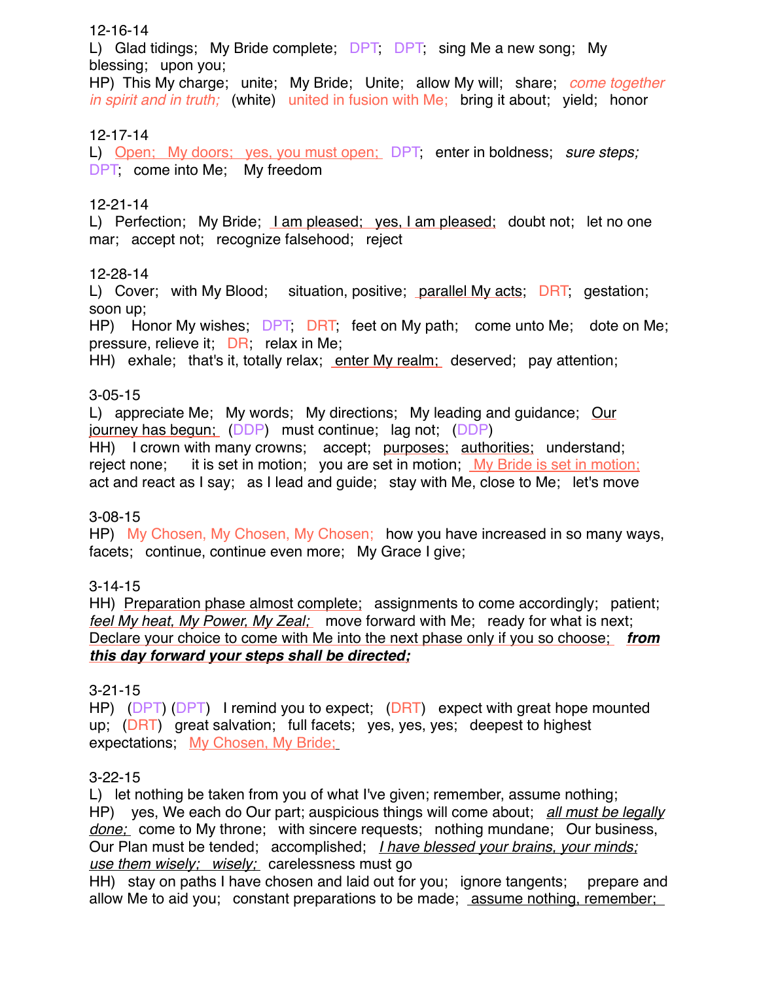## 12-16-14

L) Glad tidings; My Bride complete; DPT, DPT, sing Me a new song; My blessing; upon you;

HP) This My charge; unite; My Bride; Unite; allow My will; share; *come together in spirit and in truth;* (white) united in fusion with Me; bring it about; yield; honor

## 12-17-14

L) Open; My doors; yes, you must open; DPT, enter in boldness; *sure steps;* DPT, come into Me; My freedom

## 12-21-14

L) Perfection; My Bride; <u>I am pleased; yes, I am pleased;</u> doubt not; let no one mar; accept not; recognize falsehood; reject

## 12-28-14

L) Cover; with My Blood; situation, positive; parallel My acts; DRT; gestation; soon up;

HP) Honor My wishes; DPT; DRT; feet on My path; come unto Me; dote on Me; pressure, relieve it; DR; relax in Me;

HH) exhale; that's it, totally relax; enter My realm; deserved; pay attention;

## 3-05-15

L) appreciate Me; My words; My directions; My leading and guidance; Our journey has begun; (DDP) must continue; lag not; (DDP)

HH) I crown with many crowns; accept; purposes; authorities; understand; reject none; it is set in motion; you are set in motion; My Bride is set in motion; act and react as I say; as I lead and guide; stay with Me, close to Me; let's move

## 3-08-15

HP) My Chosen, My Chosen, My Chosen; how you have increased in so many ways, facets; continue, continue even more; My Grace I give;

## 3-14-15

HH) Preparation phase almost complete; assignments to come accordingly; patient; *feel My heat, My Power, My Zeal;* move forward with Me; ready for what is next; Declare your choice to come with Me into the next phase only if you so choose; *from this day forward your steps shall be directed;*

## 3-21-15

HP) (DPT) (DPT) I remind you to expect; (DRT) expect with great hope mounted up; (DRT) great salvation; full facets; yes, yes, yes; deepest to highest expectations; My Chosen, My Bride;

## 3-22-15

L) let nothing be taken from you of what I've given; remember, assume nothing; HP) yes, We each do Our part; auspicious things will come about; *all must be legally done;* come to My throne; with sincere requests; nothing mundane; Our business, Our Plan must be tended; accomplished; *I have blessed your brains, your minds; use them wisely; wisely;* carelessness must go

HH) stay on paths I have chosen and laid out for you; ignore tangents; prepare and allow Me to aid you; constant preparations to be made; assume nothing, remember;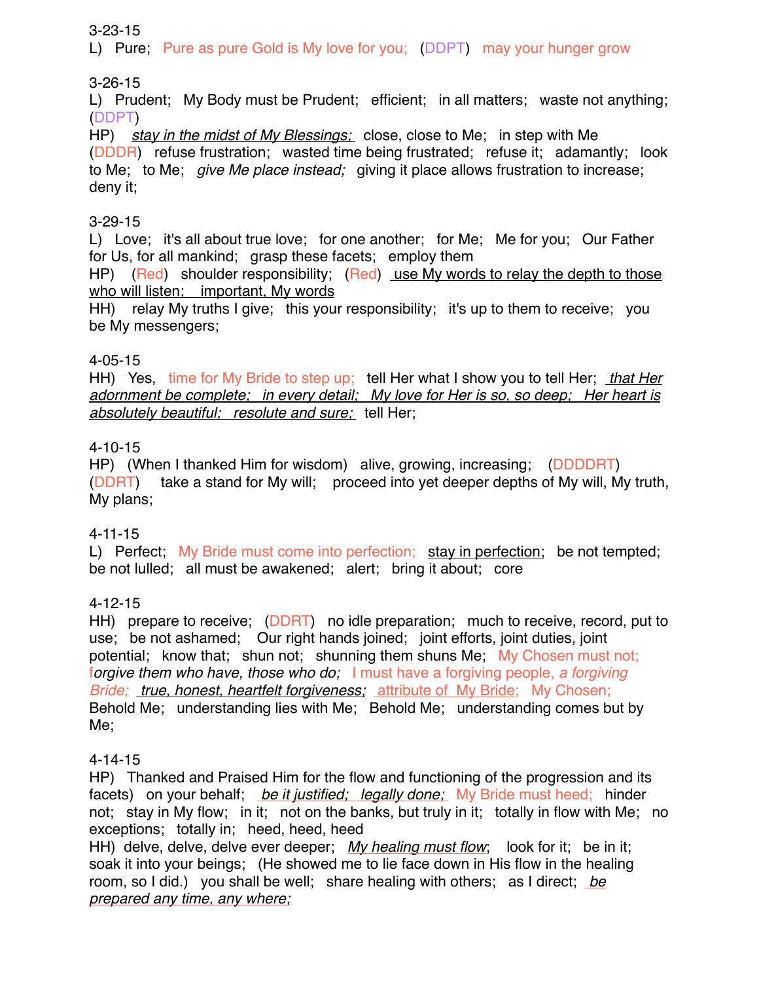## 3-23-15

L) Pure; Pure as pure Gold is My love for you; (DDPT) may your hunger grow

# 3-26-15

L) Prudent; My Body must be Prudent; efficient; in all matters; waste not anything; (DDPT)

HP) *stay in the midst of My Blessings;* close, close to Me; in step with Me (DDDR) refuse frustration; wasted time being frustrated; refuse it; adamantly; look to Me; to Me; *give Me place instead;* giving it place allows frustration to increase; deny it;

## 3-29-15

L) Love; it's all about true love; for one another; for Me; Me for you; Our Father for Us, for all mankind; grasp these facets; employ them

HP) (Red) shoulder responsibility; (Red) use My words to relay the depth to those who will listen; important, My words

HH) relay My truths I give; this your responsibility; it's up to them to receive; you be My messengers;

# 4-05-15

HH) Yes, time for My Bride to step up; tell Her what I show you to tell Her; *that Her adornment be complete; in every detail; My love for Her is so, so deep; Her heart is absolutely beautiful; resolute and sure;* tell Her;

# 4-10-15

HP) (When I thanked Him for wisdom) alive, growing, increasing; (DDDDRT) (DDRT) take a stand for My will; proceed into yet deeper depths of My will, My truth, My plans;

## 4-11-15

L) Perfect; My Bride must come into perfection; stay in perfection; be not tempted; be not lulled; all must be awakened; alert; bring it about; core

## 4-12-15

HH) prepare to receive; (DDRT) no idle preparation; much to receive, record, put to use; be not ashamed; Our right hands joined; joint efforts, joint duties, joint potential; know that; shun not; shunning them shuns Me; My Chosen must not; f*orgive them who have, those who do;* I must have a forgiving people, *a forgiving Bride; true, honest, heartfelt forgiveness;* attribute of My Bride; My Chosen; Behold Me; understanding lies with Me; Behold Me; understanding comes but by Me;

## 4-14-15

HP) Thanked and Praised Him for the flow and functioning of the progression and its facets) on your behalf; *be it justified; legally done;* My Bride must heed; hinder not; stay in My flow; in it; not on the banks, but truly in it; totally in flow with Me; no exceptions; totally in; heed, heed, heed

HH) delve, delve, delve ever deeper; *My healing must flow*; look for it; be in it; soak it into your beings; (He showed me to lie face down in His flow in the healing room, so I did.) you shall be well; share healing with others; as I direct; *be prepared any time, any where;*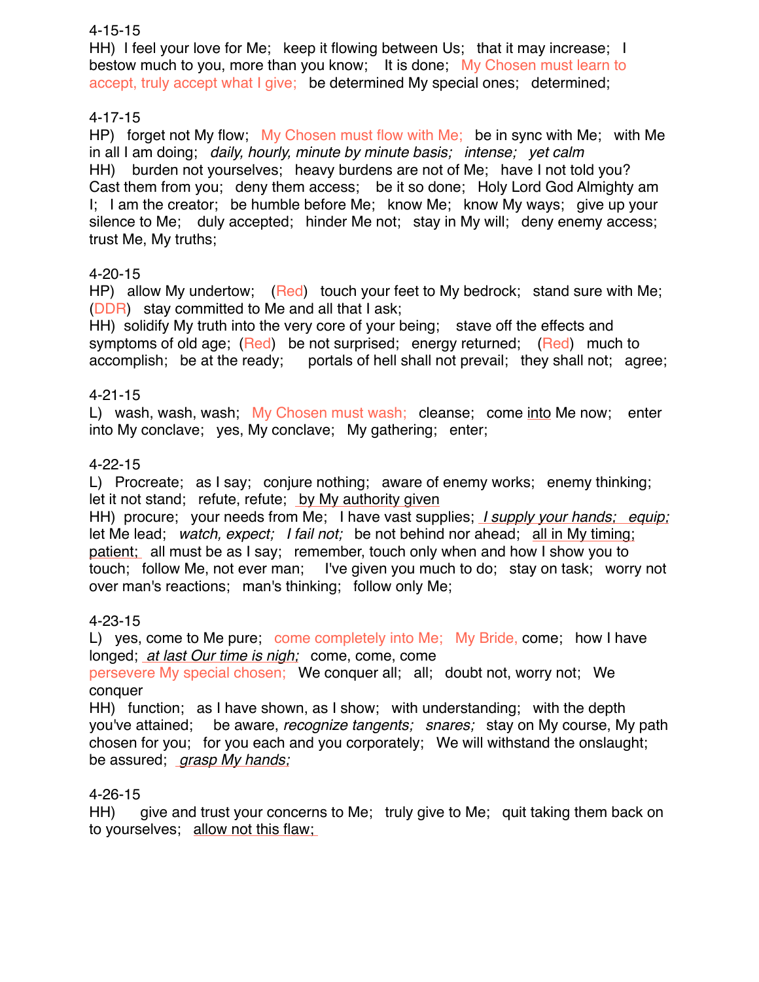## 4-15-15

HH) I feel your love for Me; keep it flowing between Us; that it may increase; I bestow much to you, more than you know; It is done; My Chosen must learn to accept, truly accept what I give; be determined My special ones; determined;

## 4-17-15

HP) forget not My flow; My Chosen must flow with Me; be in sync with Me; with Me in all I am doing; *daily, hourly, minute by minute basis; intense; yet calm* HH) burden not yourselves; heavy burdens are not of Me; have I not told you? Cast them from you; deny them access; be it so done; Holy Lord God Almighty am I; I am the creator; be humble before Me; know Me; know My ways; give up your silence to Me; duly accepted; hinder Me not; stay in My will; deny enemy access; trust Me, My truths;

## 4-20-15

HP) allow My undertow; (Red) touch your feet to My bedrock; stand sure with Me; (DDR) stay committed to Me and all that I ask;

HH) solidify My truth into the very core of your being; stave off the effects and symptoms of old age; (Red) be not surprised; energy returned; (Red) much to accomplish; be at the ready; portals of hell shall not prevail; they shall not; agree;

## 4-21-15

L) wash, wash, wash; My Chosen must wash; cleanse; come into Me now; enter into My conclave; yes, My conclave; My gathering; enter;

## 4-22-15

L) Procreate; as I say; conjure nothing; aware of enemy works; enemy thinking; let it not stand; refute, refute; by My authority given

HH) procure; your needs from Me; I have vast supplies; *I supply your hands; equip;* let Me lead; *watch, expect; I fail not;* be not behind nor ahead; all in My timing; patient; all must be as I say; remember, touch only when and how I show you to touch; follow Me, not ever man; I've given you much to do; stay on task; worry not over man's reactions; man's thinking; follow only Me;

## 4-23-15

L) yes, come to Me pure; come completely into Me; My Bride, come; how I have longed; *at last Our time is nigh;* come, come, come

persevere My special chosen; We conquer all; all; doubt not, worry not; We conquer

HH) function; as I have shown, as I show; with understanding; with the depth you've attained; be aware, *recognize tangents; snares;* stay on My course, My path chosen for you; for you each and you corporately; We will withstand the onslaught; be assured; *grasp My hands;*

## 4-26-15

HH) give and trust your concerns to Me; truly give to Me; quit taking them back on to yourselves; allow not this flaw;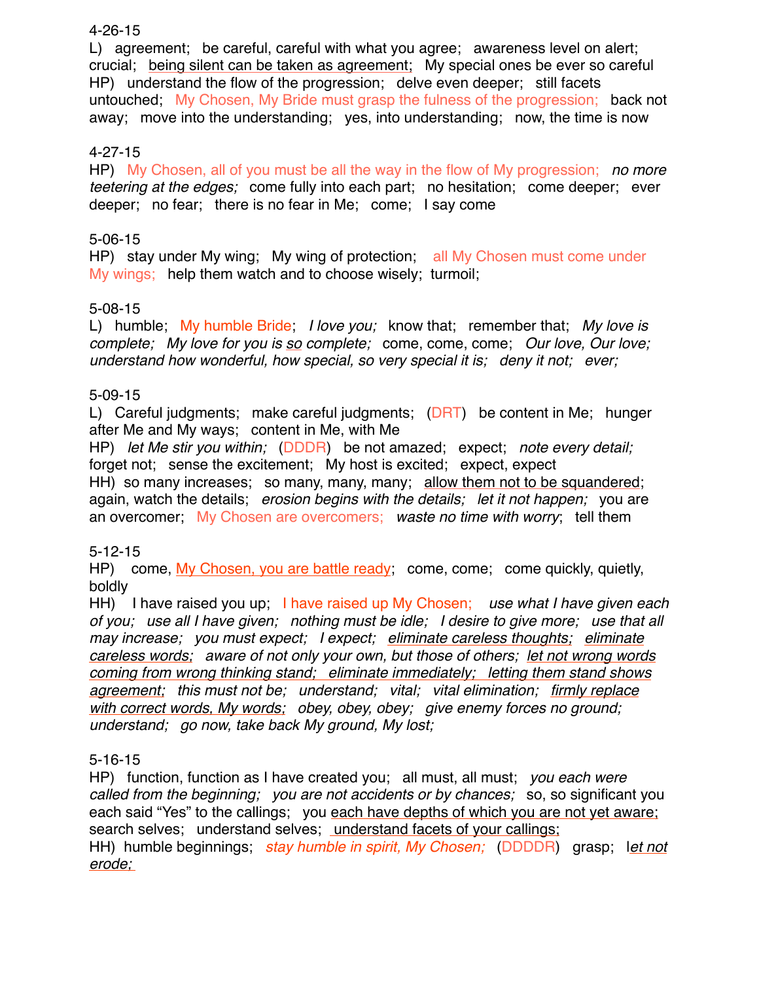## 4-26-15

L) agreement; be careful, careful with what you agree; awareness level on alert; crucial; being silent can be taken as agreement; My special ones be ever so careful HP) understand the flow of the progression; delve even deeper; still facets untouched; My Chosen, My Bride must grasp the fulness of the progression; back not away; move into the understanding; yes, into understanding; now, the time is now

# 4-27-15

HP) My Chosen, all of you must be all the way in the flow of My progression; *no more teetering at the edges;* come fully into each part; no hesitation; come deeper; ever deeper; no fear; there is no fear in Me; come; I say come

# 5-06-15

HP) stay under My wing; My wing of protection; all My Chosen must come under My wings; help them watch and to choose wisely; turmoil;

## 5-08-15

L) humble; My humble Bride; *I love you;* know that; remember that; *My love is complete; My love for you is so complete;* come, come, come; *Our love, Our love; understand how wonderful, how special, so very special it is; deny it not; ever;*

## 5-09-15

L) Careful judgments; make careful judgments; (DRT) be content in Me; hunger after Me and My ways; content in Me, with Me

HP) *let Me stir you within;* (DDDR) be not amazed; expect; *note every detail;* forget not; sense the excitement; My host is excited; expect, expect

HH) so many increases; so many, many, many; allow them not to be squandered; again, watch the details; *erosion begins with the details; let it not happen;* you are an overcomer; My Chosen are overcomers; *waste no time with worry*; tell them

## 5-12-15

HP) come, My Chosen, you are battle ready; come, come; come quickly, quietly, boldly

HH) I have raised you up; I have raised up My Chosen; *use what I have given each of you; use all I have given; nothing must be idle; I desire to give more; use that all may increase; you must expect; I expect; eliminate careless thoughts; eliminate careless words; aware of not only your own, but those of others; let not wrong words coming from wrong thinking stand; eliminate immediately; letting them stand shows agreement; this must not be; understand; vital; vital elimination; firmly replace with correct words, My words; obey, obey, obey; give enemy forces no ground; understand; go now, take back My ground, My lost;*

## 5-16-15

HP) function, function as I have created you; all must, all must; *you each were called from the beginning; you are not accidents or by chances;* so, so significant you each said "Yes" to the callings; you each have depths of which you are not yet aware; search selves; understand selves; understand facets of your callings; HH) humble beginnings; *stay humble in spirit, My Chosen;* (DDDDR) grasp; l*et not erode;*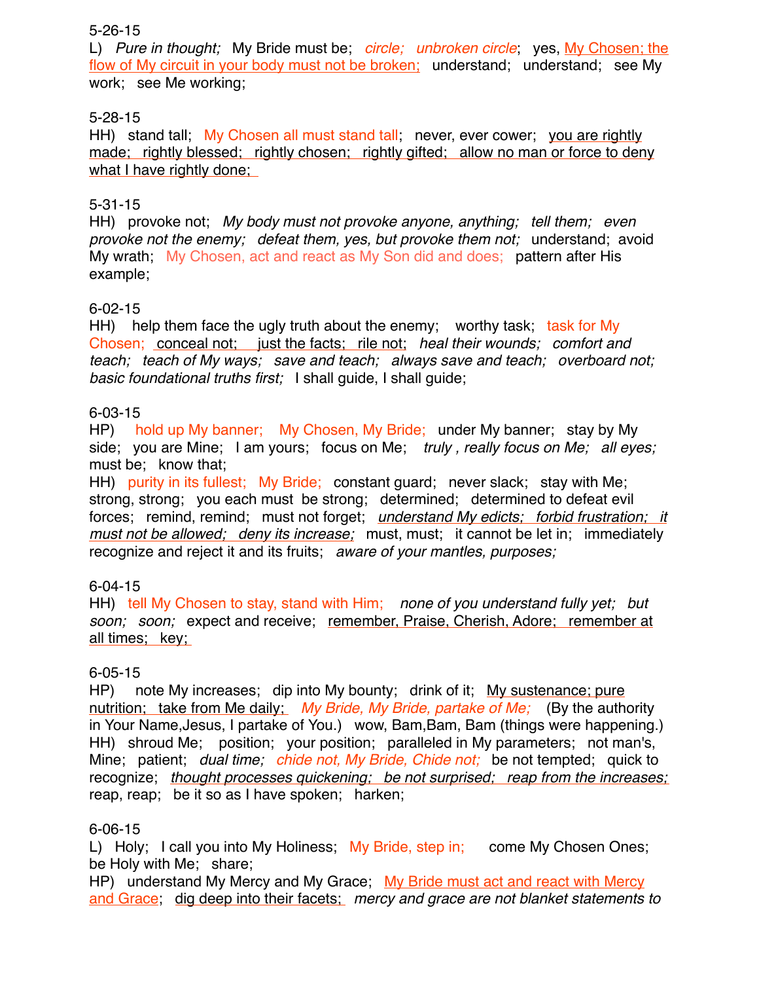## 5-26-15

L) *Pure in thought;* My Bride must be; *circle; unbroken circle*; yes, My Chosen; the flow of My circuit in your body must not be broken; understand; understand; see My work; see Me working;

## 5-28-15

HH) stand tall; My Chosen all must stand tall; never, ever cower; you are rightly made; rightly blessed; rightly chosen; rightly gifted; allow no man or force to deny what I have rightly done;

# 5-31-15

HH) provoke not; *My body must not provoke anyone, anything; tell them; even provoke not the enemy; defeat them, yes, but provoke them not;* understand; avoid My wrath; My Chosen, act and react as My Son did and does; pattern after His example;

# 6-02-15

HH) help them face the ugly truth about the enemy; worthy task; task for My Chosen; conceal not; just the facts; rile not; *heal their wounds; comfort and teach; teach of My ways; save and teach; always save and teach; overboard not; basic foundational truths first;* I shall guide, I shall guide;

## 6-03-15

HP) hold up My banner; My Chosen, My Bride; under My banner; stay by My side; you are Mine; I am yours; focus on Me; *truly , really focus on Me; all eyes;*  must be; know that;

HH) purity in its fullest; My Bride; constant guard; never slack; stay with Me; strong, strong; you each must be strong; determined; determined to defeat evil forces; remind, remind; must not forget; *understand My edicts; forbid frustration; it must not be allowed; deny its increase;* must, must; it cannot be let in; immediately recognize and reject it and its fruits; *aware of your mantles, purposes;*

# 6-04-15

HH) tell My Chosen to stay, stand with Him; *none of you understand fully yet; but soon; soon;* expect and receive; remember, Praise, Cherish, Adore; remember at all times; key;

## 6-05-15

HP) note My increases; dip into My bounty; drink of it; My sustenance; pure nutrition; take from Me daily; *My Bride, My Bride, partake of Me;* (By the authority in Your Name,Jesus, I partake of You.) wow, Bam,Bam, Bam (things were happening.) HH) shroud Me; position; your position; paralleled in My parameters; not man's, Mine; patient; *dual time; chide not, My Bride, Chide not;* be not tempted; quick to recognize; *thought processes quickening; be not surprised; reap from the increases;*  reap, reap; be it so as I have spoken; harken;

## 6-06-15

L) Holy; I call you into My Holiness; My Bride, step in; come My Chosen Ones; be Holy with Me; share;

HP) understand My Mercy and My Grace; My Bride must act and react with Mercy and Grace; dig deep into their facets; *mercy and grace are not blanket statements to*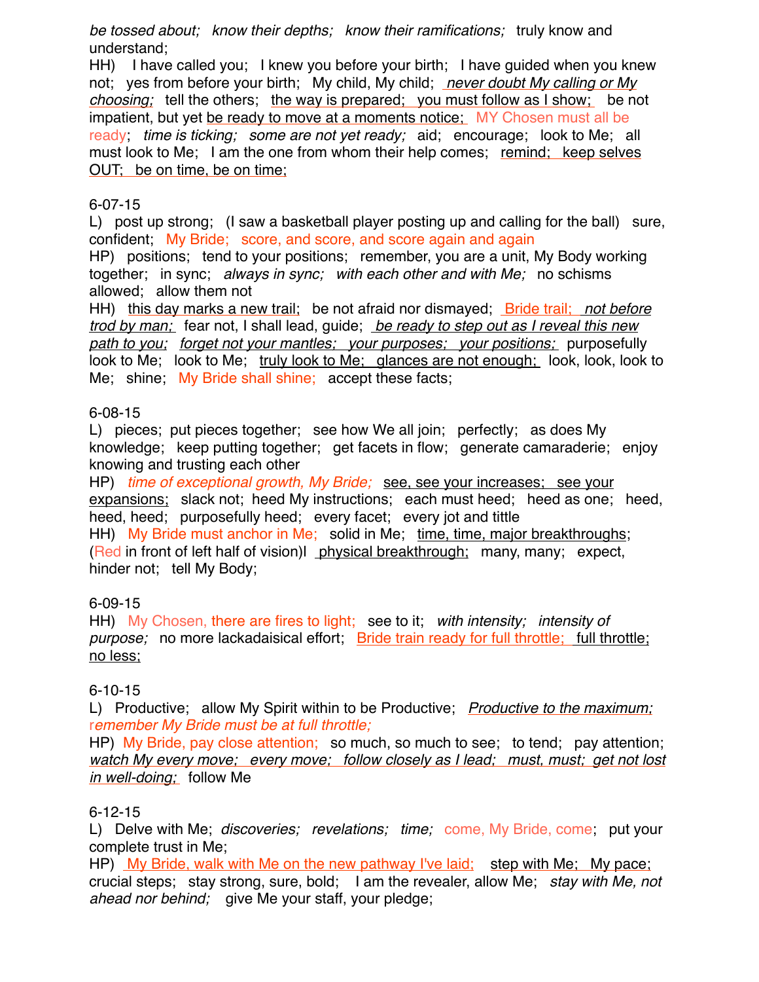*be tossed about; know their depths; know their ramifications;* truly know and understand;

HH) I have called you; I knew you before your birth; I have guided when you knew not; yes from before your birth; My child, My child; *never doubt My calling or My choosing;* tell the others; the way is prepared; you must follow as I show; be not impatient, but yet be ready to move at a moments notice; MY Chosen must all be ready; *time is ticking; some are not yet ready;* aid; encourage; look to Me; all must look to Me; I am the one from whom their help comes; remind; keep selves OUT; be on time, be on time;

## 6-07-15

L) post up strong; (I saw a basketball player posting up and calling for the ball) sure, confident; My Bride; score, and score, and score again and again

HP) positions; tend to your positions; remember, you are a unit, My Body working together; in sync; *always in sync; with each other and with Me;* no schisms allowed; allow them not

HH) this day marks a new trail; be not afraid nor dismayed; Bride trail; *not before trod by man;* fear not, I shall lead, guide; *be ready to step out as I reveal this new path to you; forget not your mantles; your purposes; your positions;* purposefully look to Me; look to Me; truly look to Me; glances are not enough; look, look, look to Me; shine; My Bride shall shine; accept these facts;

## 6-08-15

L) pieces; put pieces together; see how We all join; perfectly; as does My knowledge; keep putting together; get facets in flow; generate camaraderie; enjoy knowing and trusting each other

HP) *time of exceptional growth, My Bride;* see, see your increases; see your expansions; slack not; heed My instructions; each must heed; heed as one; heed, heed, heed; purposefully heed; every facet; every jot and tittle HH) My Bride must anchor in Me; solid in Me; time, time, major breakthroughs; (Red in front of left half of vision)l physical breakthrough; many, many; expect, hinder not; tell My Body;

# 6-09-15

HH) My Chosen, there are fires to light; see to it; *with intensity; intensity of purpose;* no more lackadaisical effort; Bride train ready for full throttle; full throttle; no less;

# 6-10-15

L) Productive; allow My Spirit within to be Productive; *Productive to the maximum;* r*emember My Bride must be at full throttle;* 

HP) My Bride, pay close attention; so much, so much to see; to tend; pay attention; *watch My every move; every move; follow closely as I lead; must, must; get not lost in well-doing;* follow Me

# 6-12-15

L) Delve with Me; *discoveries; revelations; time; come*, My Bride, come, put your complete trust in Me;

HP) My Bride, walk with Me on the new pathway I've laid; step with Me; My pace; crucial steps; stay strong, sure, bold; I am the revealer, allow Me; *stay with Me, not ahead nor behind;* give Me your staff, your pledge;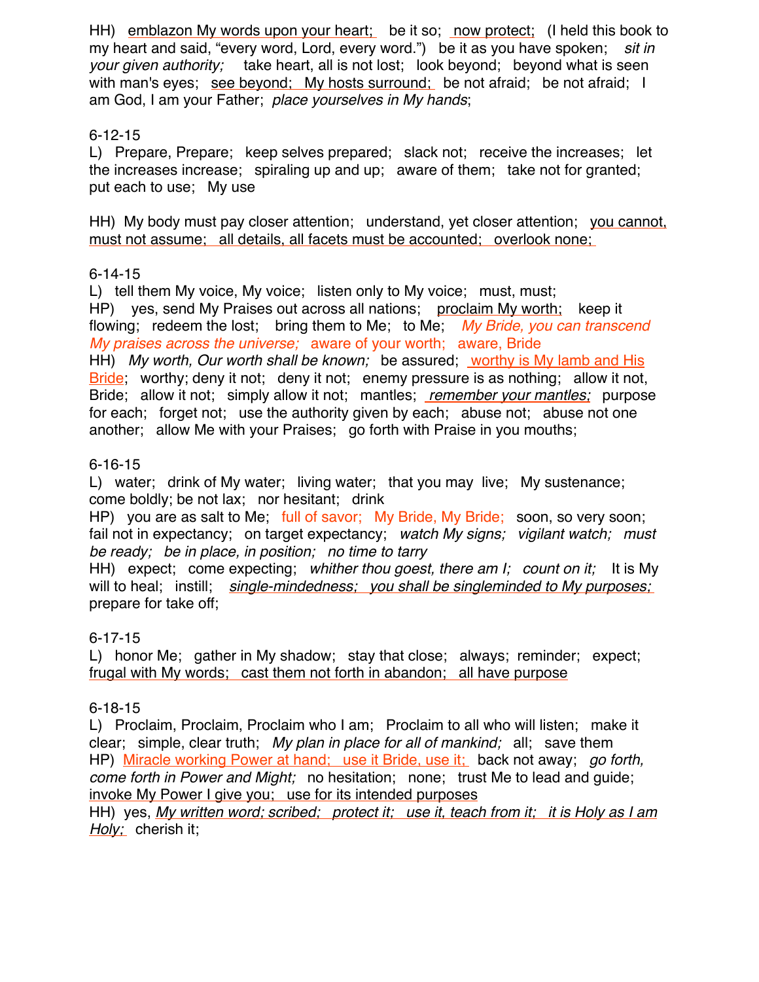HH) emblazon My words upon your heart; be it so; now protect; (I held this book to my heart and said, "every word, Lord, every word.") be it as you have spoken; *sit in your given authority;* take heart, all is not lost; look beyond; beyond what is seen with man's eyes; see beyond; My hosts surround; be not afraid; be not afraid; I am God, I am your Father; *place yourselves in My hands*;

# 6-12-15

L) Prepare, Prepare; keep selves prepared; slack not; receive the increases; let the increases increase; spiraling up and up; aware of them; take not for granted; put each to use; My use

HH) My body must pay closer attention; understand, yet closer attention; you cannot, must not assume; all details, all facets must be accounted; overlook none;

## 6-14-15

L) tell them My voice, My voice; listen only to My voice; must, must; HP) yes, send My Praises out across all nations; proclaim My worth; keep it flowing; redeem the lost; bring them to Me; to Me; *My Bride, you can transcend My praises across the universe;* aware of your worth; aware, Bride

HH) *My worth, Our worth shall be known;* be assured; worthy is My lamb and His Bride; worthy; deny it not; deny it not; enemy pressure is as nothing; allow it not, Bride; allow it not; simply allow it not; mantles; *remember your mantles;* purpose for each; forget not; use the authority given by each; abuse not; abuse not one another; allow Me with your Praises; go forth with Praise in you mouths;

# 6-16-15

L) water; drink of My water; living water; that you may live; My sustenance; come boldly; be not lax; nor hesitant; drink

HP) you are as salt to Me; full of savor; My Bride, My Bride; soon, so very soon; fail not in expectancy; on target expectancy; *watch My signs; vigilant watch; must be ready; be in place, in position; no time to tarry*

HH) expect; come expecting; *whither thou goest, there am I; count on it;* It is My will to heal; instill; *single-mindedness; you shall be singleminded to My purposes;*  prepare for take off;

# 6-17-15

L) honor Me; gather in My shadow; stay that close; always; reminder; expect; frugal with My words; cast them not forth in abandon; all have purpose

# 6-18-15

L) Proclaim, Proclaim, Proclaim who I am; Proclaim to all who will listen; make it clear; simple, clear truth; *My plan in place for all of mankind;* all; save them HP) Miracle working Power at hand; use it Bride, use it; back not away; *go forth, come forth in Power and Might;* no hesitation; none; trust Me to lead and guide; invoke My Power I give you; use for its intended purposes

HH) yes, *My written word; scribed; protect it; use it, teach from it; it is Holy as I am Holy;* cherish it;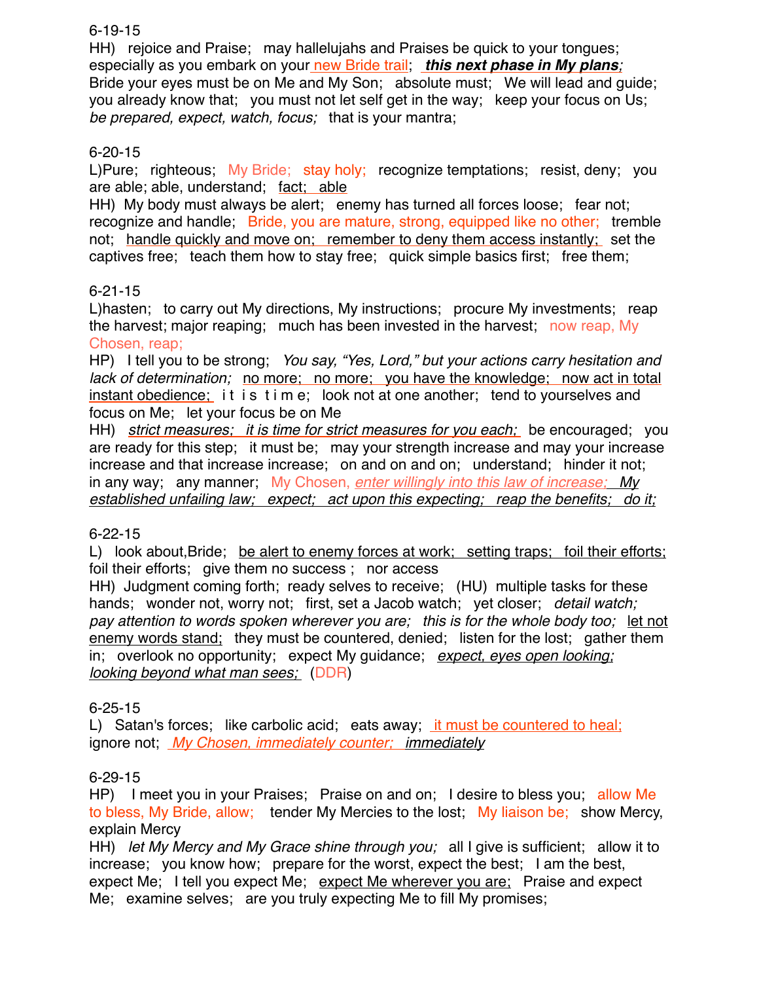6-19-15

HH) rejoice and Praise; may hallelujahs and Praises be quick to your tongues; especially as you embark on your new Bride trail; this next phase in My plans; Bride your eyes must be on Me and My Son; absolute must; We will lead and guide; you already know that; you must not let self get in the way; keep your focus on Us; *be prepared, expect, watch, focus;* that is your mantra;

# 6-20-15

L)Pure; righteous; My Bride; stay holy; recognize temptations; resist, deny; you are able; able, understand; fact; able

HH) My body must always be alert; enemy has turned all forces loose; fear not; recognize and handle; Bride, you are mature, strong, equipped like no other; tremble not; handle quickly and move on; remember to deny them access instantly; set the captives free; teach them how to stay free; quick simple basics first; free them;

# 6-21-15

L)hasten; to carry out My directions, My instructions; procure My investments; reap the harvest; major reaping; much has been invested in the harvest; now reap, My Chosen, reap;

HP) I tell you to be strong; *You say, "Yes, Lord," but your actions carry hesitation and lack of determination;* no more; no more; you have the knowledge; now act in total instant obedience; it is time; look not at one another; tend to yourselves and focus on Me; let your focus be on Me

HH) *strict measures; it is time for strict measures for you each;* be encouraged; you are ready for this step; it must be; may your strength increase and may your increase increase and that increase increase; on and on and on; understand; hinder it not; in any way; any manner; My Chosen, *enter willingly into this law of increase; My established unfailing law; expect; act upon this expecting; reap the benefits; do it;*

## 6-22-15

L) look about, Bride; be alert to enemy forces at work; setting traps; foil their efforts; foil their efforts; give them no success ; nor access

HH) Judgment coming forth; ready selves to receive; (HU) multiple tasks for these hands; wonder not, worry not; first, set a Jacob watch; yet closer; *detail watch; pay attention to words spoken wherever you are; this is for the whole body too;* let not enemy words stand; they must be countered, denied; listen for the lost; gather them in; overlook no opportunity; expect My guidance; *expect, eyes open looking; looking beyond what man sees;* (DDR)

## 6-25-15

L) Satan's forces; like carbolic acid; eats away; it must be countered to heal; ignore not; *My Chosen, immediately counter; immediately*

# 6-29-15

HP) I meet you in your Praises; Praise on and on; I desire to bless you; allow Me to bless, My Bride, allow; tender My Mercies to the lost; My liaison be; show Mercy, explain Mercy

HH) *let My Mercy and My Grace shine through you;* all I give is sufficient; allow it to increase; you know how; prepare for the worst, expect the best; I am the best, expect Me; I tell you expect Me; expect Me wherever you are; Praise and expect Me; examine selves; are you truly expecting Me to fill My promises;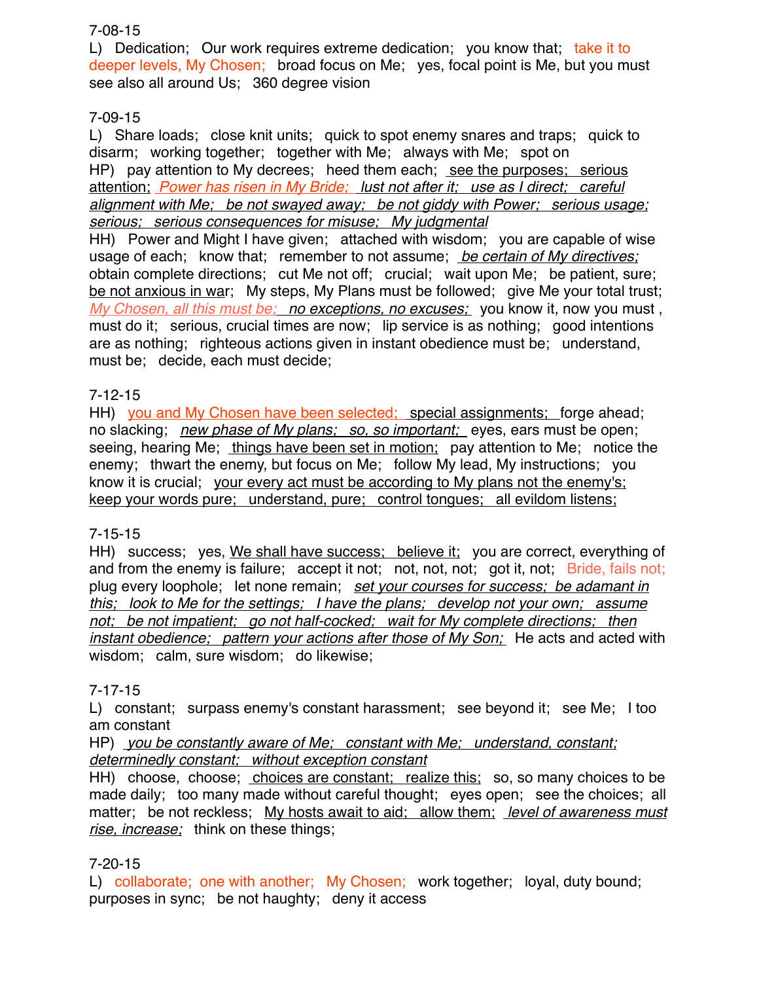# 7-08-15

L) Dedication; Our work requires extreme dedication; you know that; take it to deeper levels, My Chosen; broad focus on Me; yes, focal point is Me, but you must see also all around Us; 360 degree vision

# 7-09-15

L) Share loads; close knit units; quick to spot enemy snares and traps; quick to disarm; working together; together with Me; always with Me; spot on HP) pay attention to My decrees; heed them each; see the purposes; serious attention; *Power has risen in My Bride; lust not after it; use as I direct; careful alignment with Me; be not swayed away; be not giddy with Power; serious usage; serious; serious consequences for misuse; My judgmental* HH) Power and Might I have given; attached with wisdom; you are capable of wise usage of each; know that; remember to not assume; *be certain of My directives;* obtain complete directions; cut Me not off; crucial; wait upon Me; be patient, sure;

be not anxious in war; My steps, My Plans must be followed; give Me your total trust; *My Chosen, all this must be; no exceptions, no excuses;* you know it, now you must , must do it; serious, crucial times are now; lip service is as nothing; good intentions are as nothing; righteous actions given in instant obedience must be; understand, must be; decide, each must decide;

# 7-12-15

HH) you and My Chosen have been selected; special assignments; forge ahead; no slacking; *new phase of My plans; so, so important;* eyes, ears must be open; seeing, hearing Me; things have been set in motion; pay attention to Me; notice the enemy; thwart the enemy, but focus on Me; follow My lead, My instructions; you know it is crucial; your every act must be according to My plans not the enemy's; keep your words pure; understand, pure; control tongues; all evildom listens;

# 7-15-15

HH) success; yes, We shall have success; believe it; you are correct, everything of and from the enemy is failure; accept it not; not, not, not; got it, not; Bride, fails not; plug every loophole; let none remain; *set your courses for success; be adamant in this; look to Me for the settings; I have the plans; develop not your own; assume not; be not impatient; go not half-cocked; wait for My complete directions; then instant obedience; pattern your actions after those of My Son;* He acts and acted with wisdom; calm, sure wisdom; do likewise;

## 7-17-15

L) constant; surpass enemy's constant harassment; see beyond it; see Me; I too am constant

HP) *you be constantly aware of Me; constant with Me; understand, constant; determinedly constant; without exception constant*

HH) choose, choose; choices are constant; realize this; so, so many choices to be made daily; too many made without careful thought; eyes open; see the choices; all matter; be not reckless; My hosts await to aid; allow them; *level of awareness must rise, increase;* think on these things;

## 7-20-15

L) collaborate; one with another; My Chosen; work together; loyal, duty bound; purposes in sync; be not haughty; deny it access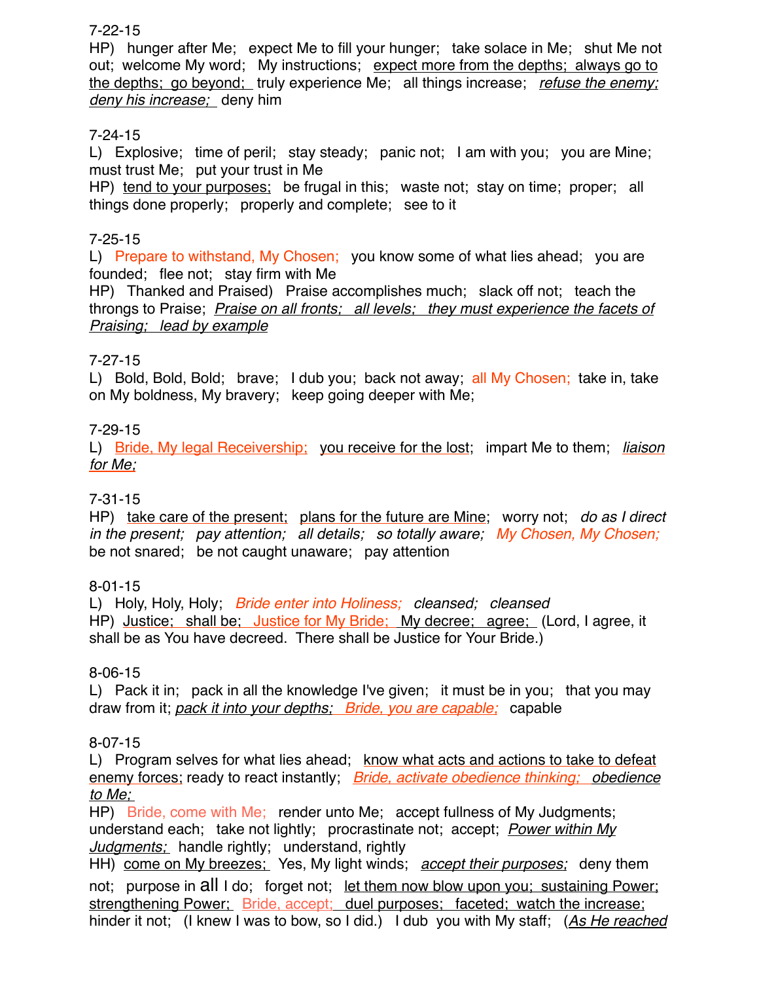7-22-15

HP) hunger after Me; expect Me to fill your hunger; take solace in Me; shut Me not out; welcome My word; My instructions; expect more from the depths; always go to the depths; go beyond; truly experience Me; all things increase; *refuse the enemy; deny his increase;* deny him

# 7-24-15

L) Explosive; time of peril; stay steady; panic not; I am with you; you are Mine; must trust Me; put your trust in Me

HP) tend to your purposes; be frugal in this; waste not; stay on time; proper; all things done properly; properly and complete; see to it

# 7-25-15

L) Prepare to withstand, My Chosen; you know some of what lies ahead; you are founded; flee not; stay firm with Me

HP) Thanked and Praised) Praise accomplishes much; slack off not; teach the throngs to Praise; *Praise on all fronts; all levels; they must experience the facets of Praising; lead by example*

# 7-27-15

L) Bold, Bold, Bold; brave; I dub you; back not away; all My Chosen; take in, take on My boldness, My bravery; keep going deeper with Me;

# 7-29-15

L) Bride, My legal Receivership; you receive for the lost; impart Me to them; *liaison for Me;*

# 7-31-15

HP) take care of the present; plans for the future are Mine; worry not; *do as I direct in the present; pay attention; all details; so totally aware; My Chosen, My Chosen;*  be not snared; be not caught unaware; pay attention

# 8-01-15

L) Holy, Holy, Holy; *Bride enter into Holiness; cleansed; cleansed* HP) Justice; shall be; Justice for My Bride; My decree; agree; (Lord, I agree, it shall be as You have decreed. There shall be Justice for Your Bride.)

## 8-06-15

L) Pack it in; pack in all the knowledge I've given; it must be in you; that you may draw from it; *pack it into your depths; Bride, you are capable;* capable

# 8-07-15

L) Program selves for what lies ahead; know what acts and actions to take to defeat enemy forces; ready to react instantly; *Bride, activate obedience thinking; obedience to Me;* 

HP) Bride, come with Me; render unto Me; accept fullness of My Judgments; understand each; take not lightly; procrastinate not; accept; *Power within My Judgments;* handle rightly; understand, rightly

HH) come on My breezes; Yes, My light winds; *accept their purposes;* deny them not; purpose in all I do; forget not; let them now blow upon you; sustaining Power; strengthening Power; Bride, accept; duel purposes; faceted; watch the increase; hinder it not; (I knew I was to bow, so I did.) I dub you with My staff; (*As He reached*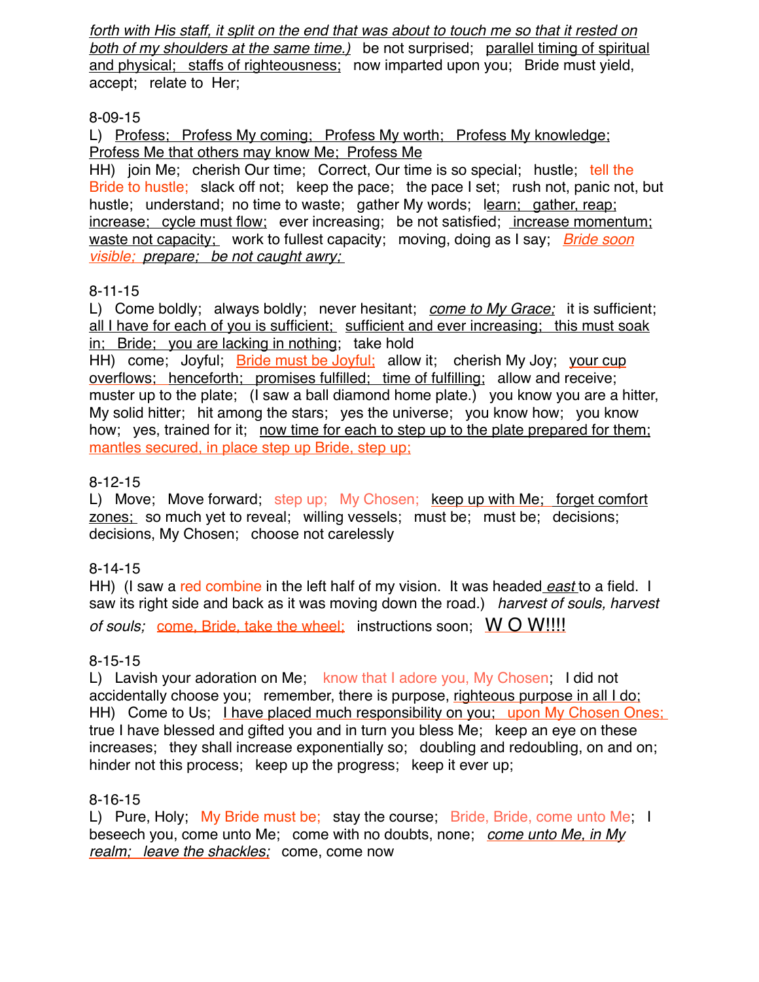*forth with His staff, it split on the end that was about to touch me so that it rested on both of my shoulders at the same time.)* be not surprised; parallel timing of spiritual and physical; staffs of righteousness; now imparted upon you; Bride must yield, accept; relate to Her;

# 8-09-15

L) Profess; Profess My coming; Profess My worth; Profess My knowledge; Profess Me that others may know Me; Profess Me

HH) join Me; cherish Our time; Correct, Our time is so special; hustle; tell the Bride to hustle; slack off not; keep the pace; the pace I set; rush not, panic not, but hustle; understand; no time to waste; gather My words; learn; gather, reap; increase; cycle must flow; ever increasing; be not satisfied; increase momentum; waste not capacity; work to fullest capacity; moving, doing as I say; *Bride soon visible; prepare; be not caught awry;* 

# 8-11-15

L) Come boldly; always boldly; never hesitant; *come to My Grace;* it is sufficient; all I have for each of you is sufficient; sufficient and ever increasing; this must soak in; Bride; you are lacking in nothing; take hold

HH) come; Joyful; Bride must be Joyful; allow it; cherish My Joy; your cup overflows; henceforth; promises fulfilled; time of fulfilling; allow and receive; muster up to the plate; (I saw a ball diamond home plate.) you know you are a hitter, My solid hitter; hit among the stars; yes the universe; you know how; you know how; yes, trained for it; now time for each to step up to the plate prepared for them; mantles secured, in place step up Bride, step up;

# 8-12-15

L) Move; Move forward; step up; My Chosen; keep up with Me; forget comfort zones; so much yet to reveal; willing vessels; must be; must be; decisions; decisions, My Chosen; choose not carelessly

# 8-14-15

HH) (I saw a red combine in the left half of my vision. It was headed *east* to a field. I saw its right side and back as it was moving down the road.) *harvest of souls, harvest of souls;* come, Bride, take the wheel; instructions soon; W O W!!!!

# 8-15-15

L) Lavish your adoration on Me; know that I adore you, My Chosen; I did not accidentally choose you; remember, there is purpose, righteous purpose in all I do; HH) Come to Us; I have placed much responsibility on you; upon My Chosen Ones; true I have blessed and gifted you and in turn you bless Me; keep an eye on these increases; they shall increase exponentially so; doubling and redoubling, on and on; hinder not this process; keep up the progress; keep it ever up;

## 8-16-15

L) Pure, Holy; My Bride must be; stay the course; Bride, Bride, come unto Me; I beseech you, come unto Me; come with no doubts, none; *come unto Me, in My realm; leave the shackles;* come, come now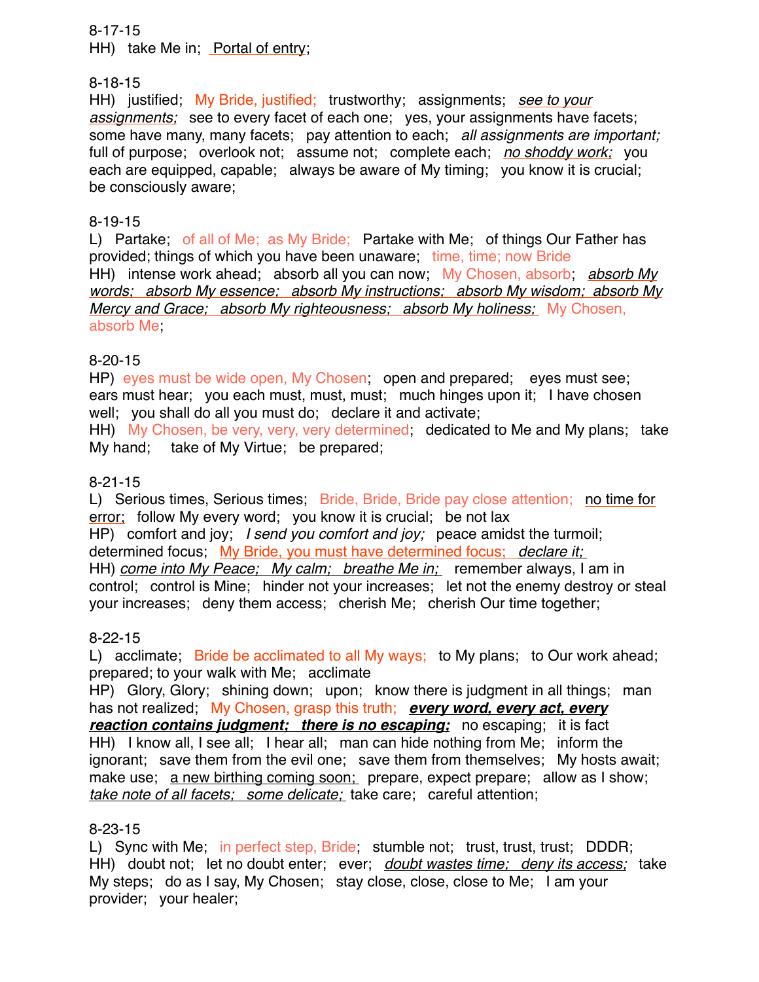## 8-17-15

HH) take Me in; Portal of entry;

## 8-18-15

HH) justified; My Bride, justified; trustworthy; assignments; *see to your assignments;* see to every facet of each one; yes, your assignments have facets; some have many, many facets; pay attention to each; *all assignments are important;*  full of purpose; overlook not; assume not; complete each; *no shoddy work;* you each are equipped, capable; always be aware of My timing; you know it is crucial; be consciously aware;

## 8-19-15

L) Partake; of all of Me; as My Bride; Partake with Me; of things Our Father has provided; things of which you have been unaware; time, time; now Bride HH) intense work ahead; absorb all you can now; My Chosen, absorb; *absorb My words; absorb My essence; absorb My instructions; absorb My wisdom; absorb My Mercy and Grace; absorb My righteousness; absorb My holiness;* My Chosen, absorb Me;

# 8-20-15

HP) eyes must be wide open, My Chosen; open and prepared; eyes must see; ears must hear; you each must, must, must; much hinges upon it; I have chosen well; you shall do all you must do; declare it and activate;

HH) My Chosen, be very, very, very determined; dedicated to Me and My plans; take My hand; take of My Virtue; be prepared;

# 8-21-15

L) Serious times, Serious times; Bride, Bride, Bride pay close attention; no time for error; follow My every word; you know it is crucial; be not lax HP) comfort and joy; *I send you comfort and joy;* peace amidst the turmoil; determined focus; My Bride, you must have determined focus; *declare it;*  HH) *come into My Peace; My calm; breathe Me in;* remember always, I am in control; control is Mine; hinder not your increases; let not the enemy destroy or steal your increases; deny them access; cherish Me; cherish Our time together;

## 8-22-15

L) acclimate; Bride be acclimated to all My ways; to My plans; to Our work ahead; prepared; to your walk with Me; acclimate

HP) Glory, Glory; shining down; upon; know there is judgment in all things; man has not realized; My Chosen, grasp this truth; *every word, every act, every reaction contains judgment; there is no escaping; no escaping; it is fact* HH) I know all, I see all; I hear all; man can hide nothing from Me; inform the ignorant; save them from the evil one; save them from themselves; My hosts await; make use; a new birthing coming soon; prepare, expect prepare; allow as I show; *take note of all facets; some delicate;* take care; careful attention;

## 8-23-15

L) Sync with Me; in perfect step, Bride; stumble not; trust, trust, trust; DDDR; HH) doubt not; let no doubt enter; ever; *doubt wastes time; deny its access;* take My steps; do as I say, My Chosen; stay close, close, close to Me; I am your provider; your healer;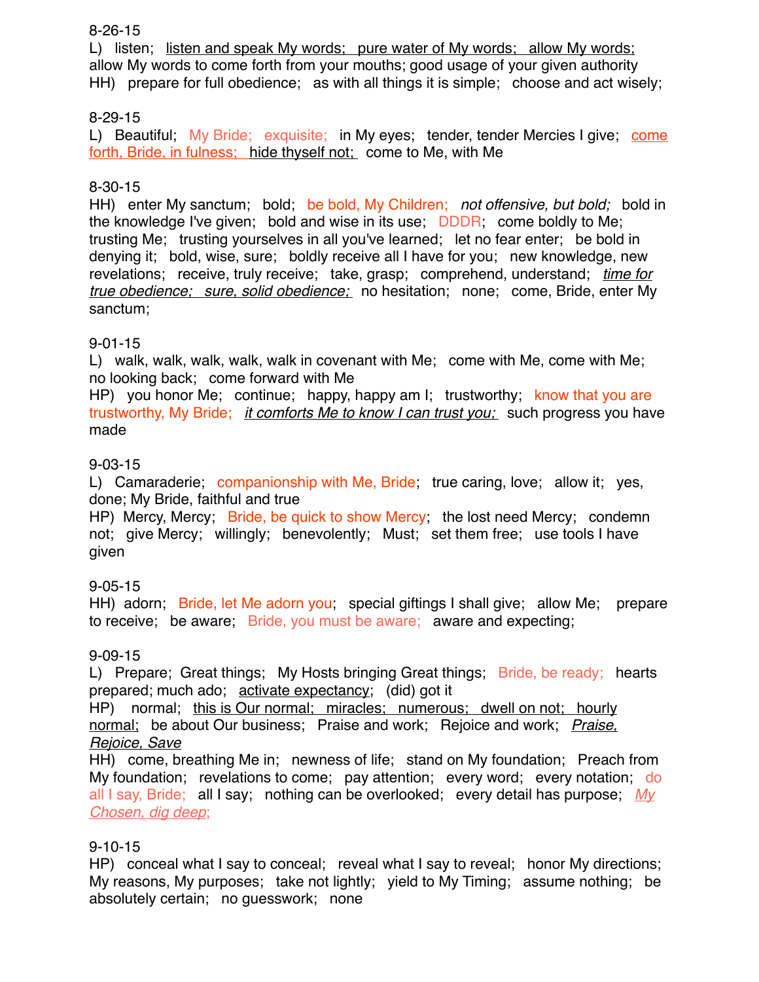## 8-26-15

L) listen; listen and speak My words; pure water of My words; allow My words; allow My words to come forth from your mouths; good usage of your given authority HH) prepare for full obedience; as with all things it is simple; choose and act wisely;

# 8-29-15

L) Beautiful; My Bride; exquisite; in My eyes; tender, tender Mercies I give; come forth, Bride, in fulness; hide thyself not; come to Me, with Me

# 8-30-15

HH) enter My sanctum; bold; be bold, My Children; *not offensive, but bold;* bold in the knowledge I've given; bold and wise in its use; DDDR; come boldly to Me; trusting Me; trusting yourselves in all you've learned; let no fear enter; be bold in denying it; bold, wise, sure; boldly receive all I have for you; new knowledge, new revelations; receive, truly receive; take, grasp; comprehend, understand; *time for true obedience; sure, solid obedience;* no hesitation; none; come, Bride, enter My sanctum;

# 9-01-15

L) walk, walk, walk, walk, walk in covenant with Me; come with Me, come with Me; no looking back; come forward with Me

HP) you honor Me; continue; happy, happy am I; trustworthy; know that you are trustworthy, My Bride; *it comforts Me to know I can trust you;* such progress you have made

# 9-03-15

L) Camaraderie; companionship with Me, Bride; true caring, love; allow it; yes, done; My Bride, faithful and true

HP) Mercy, Mercy; Bride, be quick to show Mercy; the lost need Mercy; condemn not; give Mercy; willingly; benevolently; Must; set them free; use tools I have given

# 9-05-15

HH) adorn; Bride, let Me adorn you; special giftings I shall give; allow Me; prepare to receive; be aware; Bride, you must be aware; aware and expecting;

# 9-09-15

L) Prepare; Great things; My Hosts bringing Great things; Bride, be ready; hearts prepared; much ado; activate expectancy; (did) got it

HP) normal; this is Our normal; miracles; numerous; dwell on not; hourly normal; be about Our business; Praise and work; Rejoice and work; *Praise, Rejoice, Save*

HH) come, breathing Me in; newness of life; stand on My foundation; Preach from My foundation; revelations to come; pay attention; every word; every notation; do all I say, Bride; all I say; nothing can be overlooked; every detail has purpose; *My Chosen, dig deep*;

## 9-10-15

HP) conceal what I say to conceal; reveal what I say to reveal; honor My directions; My reasons, My purposes; take not lightly; yield to My Timing; assume nothing; be absolutely certain; no guesswork; none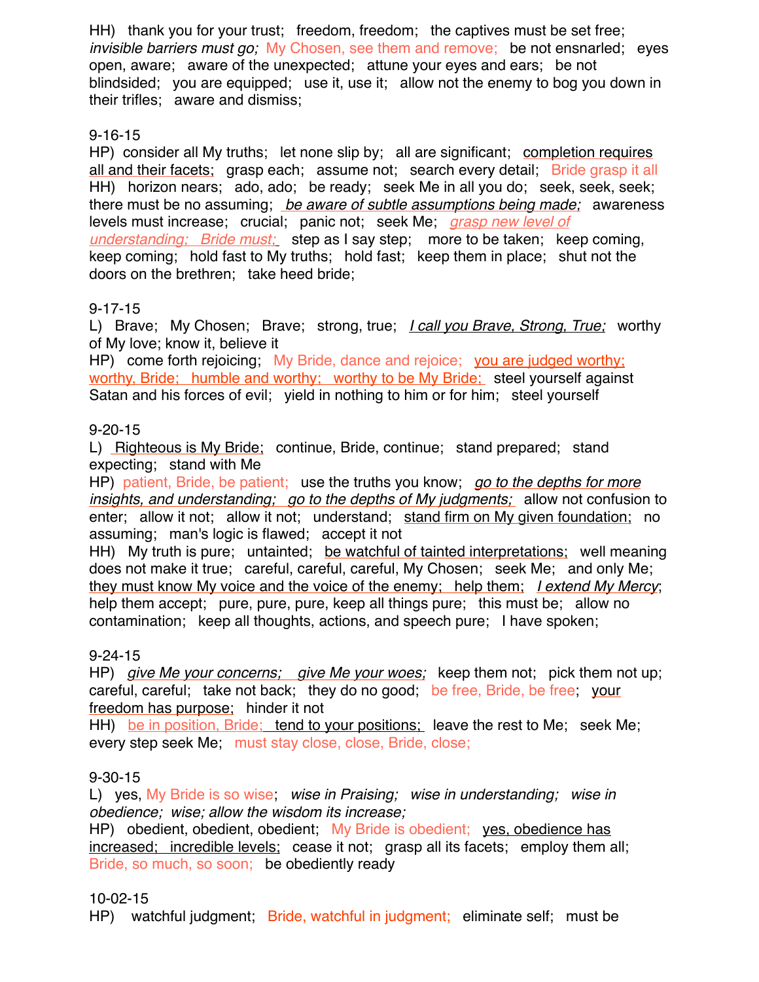HH) thank you for your trust; freedom, freedom; the captives must be set free; *invisible barriers must go;* My Chosen, see them and remove; be not ensnarled; eyes open, aware; aware of the unexpected; attune your eyes and ears; be not blindsided; you are equipped; use it, use it; allow not the enemy to bog you down in their trifles; aware and dismiss;

# 9-16-15

HP) consider all My truths; let none slip by; all are significant; completion requires all and their facets; grasp each; assume not; search every detail; Bride grasp it all HH) horizon nears; ado, ado; be ready; seek Me in all you do; seek, seek, seek; there must be no assuming; *be aware of subtle assumptions being made;* awareness levels must increase; crucial; panic not; seek Me; *grasp new level of understanding; Bride must;* step as I say step; more to be taken; keep coming, keep coming; hold fast to My truths; hold fast; keep them in place; shut not the doors on the brethren; take heed bride;

# 9-17-15

L) Brave; My Chosen; Brave; strong, true; *I call you Brave, Strong, True;* worthy of My love; know it, believe it

HP) come forth rejoicing; My Bride, dance and rejoice; you are judged worthy; worthy, Bride; humble and worthy; worthy to be My Bride; steel yourself against Satan and his forces of evil; yield in nothing to him or for him; steel yourself

## 9-20-15

L) Righteous is My Bride; continue, Bride, continue; stand prepared; stand expecting; stand with Me

HP) patient, Bride, be patient; use the truths you know; *go to the depths for more insights, and understanding; go to the depths of My judgments;* allow not confusion to enter; allow it not; allow it not; understand; stand firm on My given foundation; no assuming; man's logic is flawed; accept it not

HH) My truth is pure; untainted; be watchful of tainted interpretations; well meaning does not make it true; careful, careful, careful, My Chosen; seek Me; and only Me; they must know My voice and the voice of the enemy; help them; *I extend My Mercy*; help them accept; pure, pure, pure, keep all things pure; this must be; allow no contamination; keep all thoughts, actions, and speech pure; I have spoken;

## 9-24-15

HP) *give Me your concerns; give Me your woes;* keep them not; pick them not up; careful, careful; take not back; they do no good; be free, Bride, be free; your freedom has purpose; hinder it not

HH) be in position, Bride; tend to your positions; leave the rest to Me; seek Me; every step seek Me; must stay close, close, Bride, close;

## 9-30-15

L) yes, My Bride is so wise; *wise in Praising; wise in understanding; wise in obedience; wise; allow the wisdom its increase;* 

HP) obedient, obedient, obedient; My Bride is obedient; yes, obedience has increased; incredible levels; cease it not; grasp all its facets; employ them all; Bride, so much, so soon; be obediently ready

# 10-02-15

HP) watchful judgment; Bride, watchful in judgment; eliminate self; must be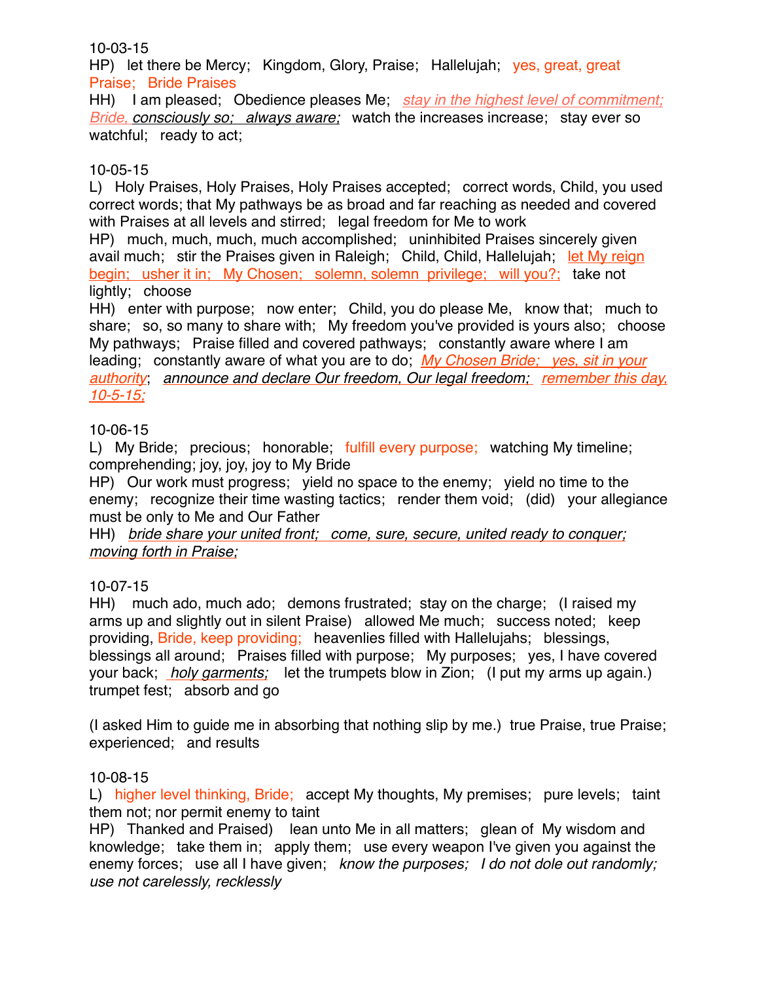## 10-03-15

HP) let there be Mercy; Kingdom, Glory, Praise; Hallelujah; yes, great, great Praise; Bride Praises

HH) I am pleased; Obedience pleases Me; *stay in the highest level of commitment; Bride, consciously so; always aware;* watch the increases increase; stay ever so watchful; ready to act;

## 10-05-15

L) Holy Praises, Holy Praises, Holy Praises accepted; correct words, Child, you used correct words; that My pathways be as broad and far reaching as needed and covered with Praises at all levels and stirred; legal freedom for Me to work

HP) much, much, much, much accomplished; uninhibited Praises sincerely given avail much; stir the Praises given in Raleigh; Child, Child, Hallelujah; let My reign begin; usher it in; My Chosen; solemn, solemn privilege; will you?; take not lightly; choose

HH) enter with purpose; now enter; Child, you do please Me, know that; much to share; so, so many to share with; My freedom you've provided is yours also; choose My pathways; Praise filled and covered pathways; constantly aware where I am leading; constantly aware of what you are to do; *My Chosen Bride; yes, sit in your authority*; *announce and declare Our freedom, Our legal freedom; remember this day, 10-5-15;*

# 10-06-15

L) My Bride; precious; honorable; fulfill every purpose; watching My timeline; comprehending; joy, joy, joy to My Bride

HP) Our work must progress; yield no space to the enemy; yield no time to the enemy; recognize their time wasting tactics; render them void; (did) your allegiance must be only to Me and Our Father

HH) *bride share your united front; come, sure, secure, united ready to conquer; moving forth in Praise;*

# 10-07-15

HH) much ado, much ado; demons frustrated; stay on the charge; (I raised my arms up and slightly out in silent Praise) allowed Me much; success noted; keep providing, Bride, keep providing; heavenlies filled with Hallelujahs; blessings, blessings all around; Praises filled with purpose; My purposes; yes, I have covered your back; *holy garments;* let the trumpets blow in Zion; (I put my arms up again.) trumpet fest; absorb and go

(I asked Him to guide me in absorbing that nothing slip by me.) true Praise, true Praise; experienced; and results

## 10-08-15

L) higher level thinking, Bride; accept My thoughts, My premises; pure levels; taint them not; nor permit enemy to taint

HP) Thanked and Praised) lean unto Me in all matters; glean of My wisdom and knowledge; take them in; apply them; use every weapon I've given you against the enemy forces; use all I have given; *know the purposes; I do not dole out randomly; use not carelessly, recklessly*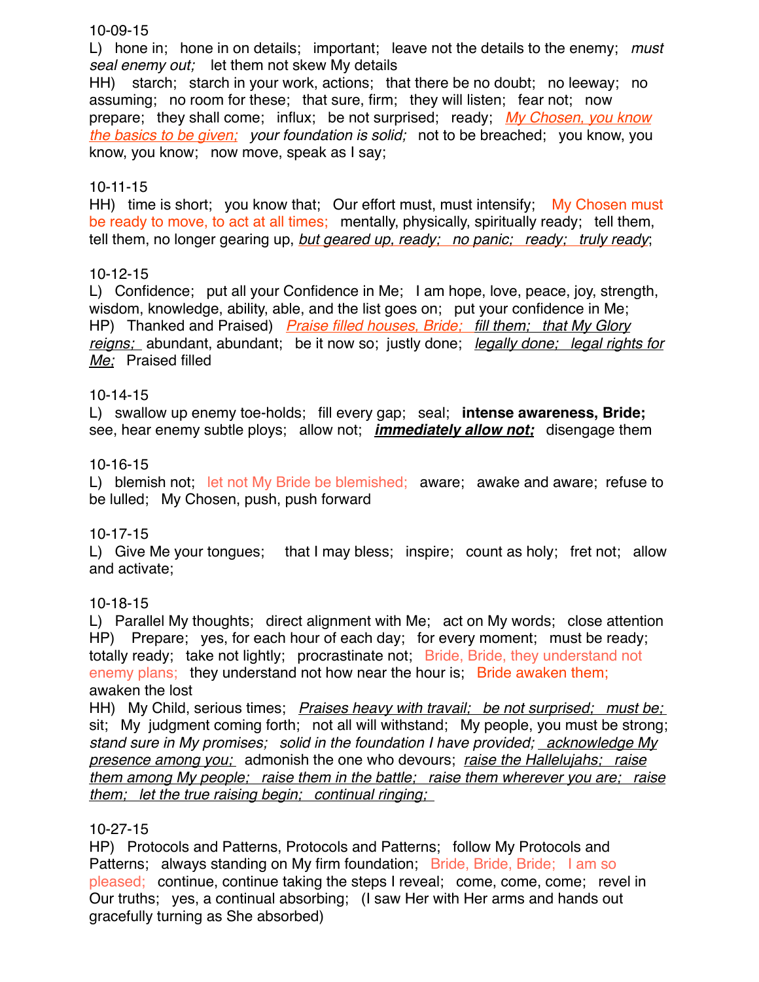## 10-09-15

L) hone in; hone in on details; important; leave not the details to the enemy; *must seal enemy out;* let them not skew My details

HH) starch; starch in your work, actions; that there be no doubt; no leeway; no assuming; no room for these; that sure, firm; they will listen; fear not; now prepare; they shall come; influx; be not surprised; ready; *My Chosen, you know the basics to be given; your foundation is solid;* not to be breached; you know, you know, you know; now move, speak as I say;

## 10-11-15

HH) time is short; you know that; Our effort must, must intensify; My Chosen must be ready to move, to act at all times; mentally, physically, spiritually ready; tell them, tell them, no longer gearing up, *but geared up, ready; no panic; ready; truly ready*;

## 10-12-15

L) Confidence; put all your Confidence in Me; I am hope, love, peace, joy, strength, wisdom, knowledge, ability, able, and the list goes on; put your confidence in Me; HP) Thanked and Praised) *Praise filled houses, Bride; fill them; that My Glory reigns;* abundant, abundant; be it now so; justly done; *legally done; legal rights for Me;* Praised filled

## 10-14-15

L) swallow up enemy toe-holds; fill every gap; seal; **intense awareness, Bride;** see, hear enemy subtle ploys; allow not; *immediately allow not;* disengage them

## 10-16-15

L) blemish not; let not My Bride be blemished; aware; awake and aware; refuse to be lulled; My Chosen, push, push forward

## 10-17-15

L) Give Me your tongues; that I may bless; inspire; count as holy; fret not; allow and activate;

## 10-18-15

L) Parallel My thoughts; direct alignment with Me; act on My words; close attention HP) Prepare; yes, for each hour of each day; for every moment; must be ready; totally ready; take not lightly; procrastinate not; Bride, Bride, they understand not enemy plans; they understand not how near the hour is; Bride awaken them; awaken the lost

HH) My Child, serious times; *Praises heavy with travail; be not surprised; must be;*  sit; My judgment coming forth; not all will withstand; My people, you must be strong; *stand sure in My promises; solid in the foundation I have provided; acknowledge My presence among you;* admonish the one who devours; *raise the Hallelujahs; raise them among My people; raise them in the battle; raise them wherever you are; raise them; let the true raising begin; continual ringing;* 

## 10-27-15

HP) Protocols and Patterns, Protocols and Patterns; follow My Protocols and Patterns; always standing on My firm foundation; Bride, Bride, Bride; I am so pleased; continue, continue taking the steps I reveal; come, come, come; revel in Our truths; yes, a continual absorbing; (I saw Her with Her arms and hands out gracefully turning as She absorbed)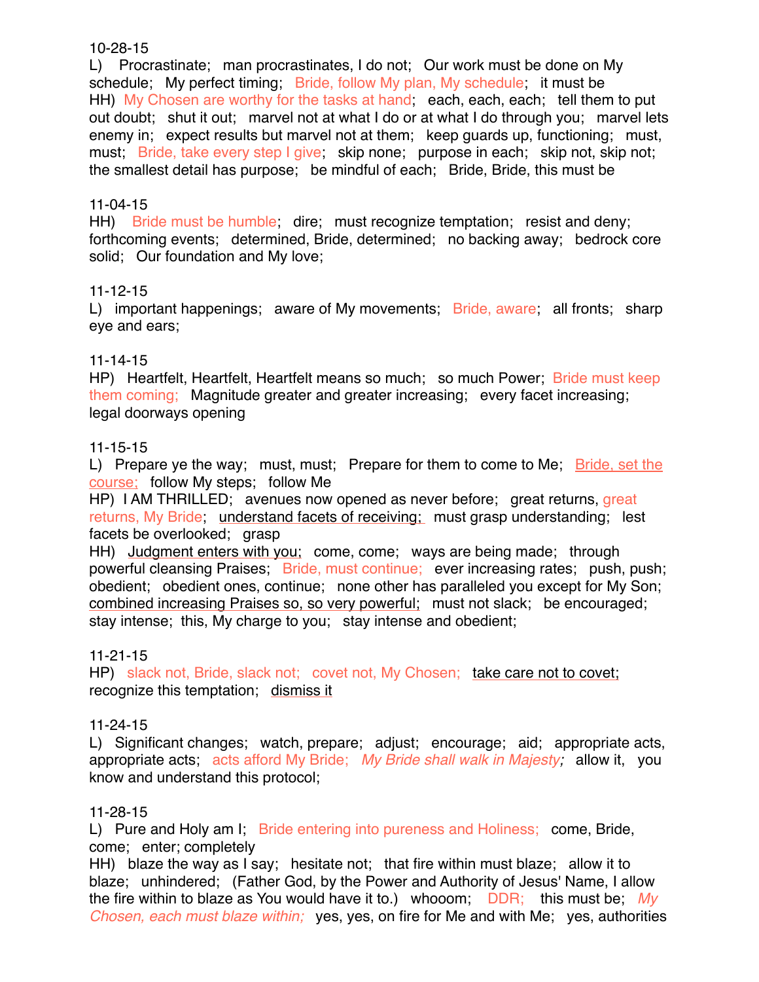## 10-28-15

L) Procrastinate; man procrastinates, I do not; Our work must be done on My schedule; My perfect timing; Bride, follow My plan, My schedule; it must be HH) My Chosen are worthy for the tasks at hand; each, each, each; tell them to put out doubt; shut it out; marvel not at what I do or at what I do through you; marvel lets enemy in; expect results but marvel not at them; keep guards up, functioning; must, must; Bride, take every step I give; skip none; purpose in each; skip not, skip not; the smallest detail has purpose; be mindful of each; Bride, Bride, this must be

## 11-04-15

HH) Bride must be humble; dire; must recognize temptation; resist and deny; forthcoming events; determined, Bride, determined; no backing away; bedrock core solid; Our foundation and My love;

## 11-12-15

L) important happenings; aware of My movements; Bride, aware; all fronts; sharp eye and ears;

# 11-14-15

HP) Heartfelt, Heartfelt, Heartfelt means so much; so much Power; Bride must keep them coming; Magnitude greater and greater increasing; every facet increasing; legal doorways opening

## 11-15-15

L) Prepare ye the way; must, must; Prepare for them to come to Me; Bride, set the course; follow My steps; follow Me

HP) I AM THRILLED; avenues now opened as never before; great returns, great returns, My Bride; understand facets of receiving; must grasp understanding; lest facets be overlooked; grasp

HH) Judgment enters with you; come, come; ways are being made; through powerful cleansing Praises; Bride, must continue; ever increasing rates; push, push; obedient; obedient ones, continue; none other has paralleled you except for My Son; combined increasing Praises so, so very powerful; must not slack; be encouraged; stay intense; this, My charge to you; stay intense and obedient;

## 11-21-15

HP) slack not, Bride, slack not; covet not, My Chosen; take care not to covet; recognize this temptation; dismiss it

## 11-24-15

L) Significant changes; watch, prepare; adjust; encourage; aid; appropriate acts, appropriate acts; acts afford My Bride; *My Bride shall walk in Majesty;* allow it, you know and understand this protocol;

## 11-28-15

L) Pure and Holy am I. Bride entering into pureness and Holiness; come, Bride, come; enter; completely

HH) blaze the way as I say; hesitate not; that fire within must blaze; allow it to blaze; unhindered; (Father God, by the Power and Authority of Jesus' Name, I allow the fire within to blaze as You would have it to.) whooom; DDR; this must be; *My Chosen, each must blaze within;* yes, yes, on fire for Me and with Me; yes, authorities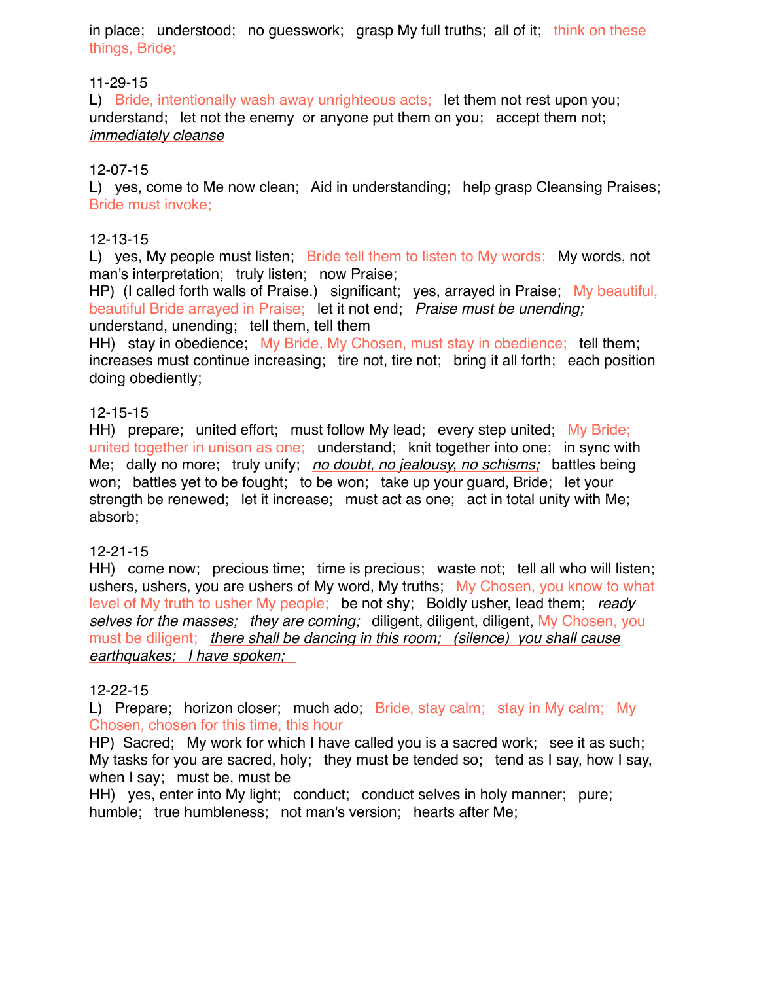in place; understood; no guesswork; grasp My full truths; all of it; think on these things, Bride;

## 11-29-15

L) Bride, intentionally wash away unrighteous acts; let them not rest upon you; understand; let not the enemy or anyone put them on you; accept them not; *immediately cleanse*

# 12-07-15

L) yes, come to Me now clean; Aid in understanding; help grasp Cleansing Praises; Bride must invoke;

# 12-13-15

L) yes, My people must listen; Bride tell them to listen to My words; My words, not man's interpretation; truly listen; now Praise;

HP) (I called forth walls of Praise.) significant; yes, arrayed in Praise; My beautiful, beautiful Bride arrayed in Praise; let it not end; *Praise must be unending;* understand, unending; tell them, tell them

HH) stay in obedience; My Bride, My Chosen, must stay in obedience; tell them; increases must continue increasing; tire not, tire not; bring it all forth; each position doing obediently;

# 12-15-15

HH) prepare; united effort; must follow My lead; every step united; My Bride; united together in unison as one; understand; knit together into one; in sync with Me; dally no more; truly unify; *no doubt, no jealousy, no schisms;* battles being won; battles yet to be fought; to be won; take up your guard, Bride; let your strength be renewed; let it increase; must act as one; act in total unity with Me; absorb;

## 12-21-15

HH) come now; precious time; time is precious; waste not; tell all who will listen; ushers, ushers, you are ushers of My word, My truths; My Chosen, you know to what level of My truth to usher My people; be not shy; Boldly usher, lead them; *ready selves for the masses; they are coming;* diligent, diligent, diligent, My Chosen, you must be diligent; *there shall be dancing in this room; (silence) you shall cause earthquakes; I have spoken;* 

# 12-22-15

L) Prepare; horizon closer; much ado; Bride, stay calm; stay in My calm; My Chosen, chosen for this time, this hour

HP) Sacred; My work for which I have called you is a sacred work; see it as such; My tasks for you are sacred, holy; they must be tended so; tend as I say, how I say, when I say; must be, must be

HH) yes, enter into My light; conduct; conduct selves in holy manner; pure; humble; true humbleness; not man's version; hearts after Me;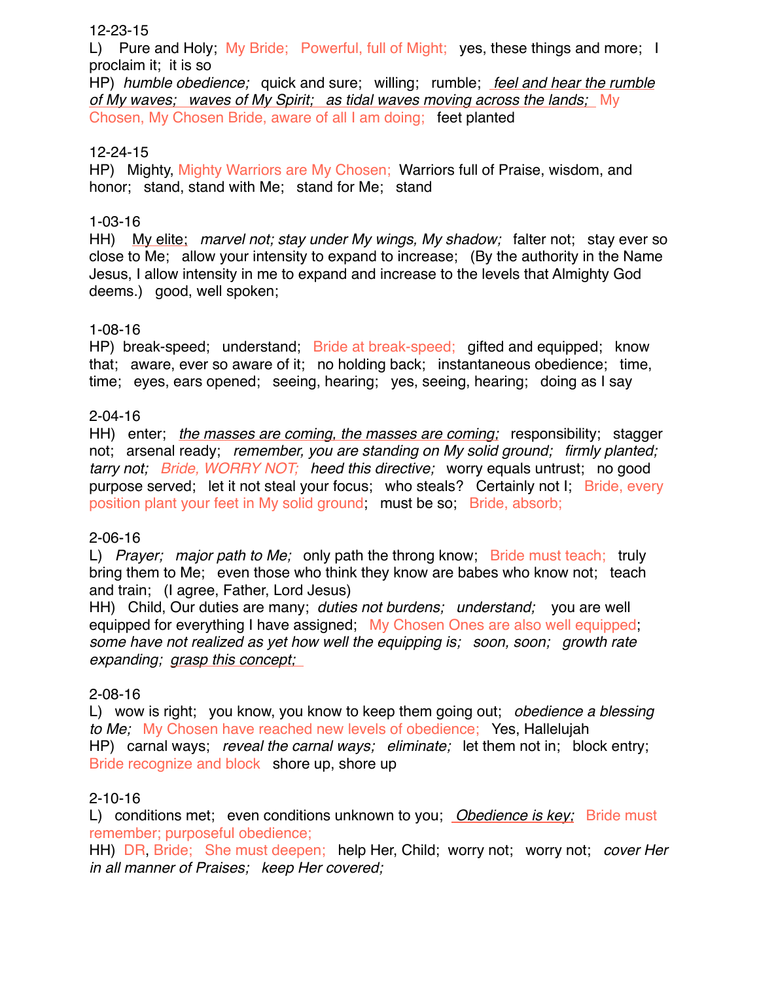## 12-23-15

L) Pure and Holy; My Bride; Powerful, full of Might; yes, these things and more; I proclaim it; it is so

HP) *humble obedience;* quick and sure; willing; rumble; *feel and hear the rumble of My waves; waves of My Spirit; as tidal waves moving across the lands;* My Chosen, My Chosen Bride, aware of all I am doing; feet planted

## 12-24-15

HP) Mighty, Mighty Warriors are My Chosen; Warriors full of Praise, wisdom, and honor; stand, stand with Me; stand for Me; stand

## 1-03-16

HH) My elite; *marvel not; stay under My wings, My shadow;* falter not; stay ever so close to Me; allow your intensity to expand to increase; (By the authority in the Name Jesus, I allow intensity in me to expand and increase to the levels that Almighty God deems.) good, well spoken;

## 1-08-16

HP) break-speed; understand; Bride at break-speed; gifted and equipped; know that; aware, ever so aware of it; no holding back; instantaneous obedience; time, time; eyes, ears opened; seeing, hearing; yes, seeing, hearing; doing as I say

# 2-04-16

HH) enter; *the masses are coming, the masses are coming;* responsibility; stagger not; arsenal ready; *remember, you are standing on My solid ground; firmly planted; tarry not; Bride, WORRY NOT; heed this directive;* worry equals untrust; no good purpose served; let it not steal your focus; who steals? Certainly not I; Bride, every position plant your feet in My solid ground; must be so; Bride, absorb;

## 2-06-16

L) *Prayer; major path to Me;* only path the throng know; Bride must teach; truly bring them to Me; even those who think they know are babes who know not; teach and train; (I agree, Father, Lord Jesus)

HH) Child, Our duties are many; *duties not burdens; understand;* you are well equipped for everything I have assigned; My Chosen Ones are also well equipped; *some have not realized as yet how well the equipping is; soon, soon; growth rate expanding; grasp this concept;* 

## 2-08-16

L) wow is right; you know, you know to keep them going out; *obedience a blessing to Me;* My Chosen have reached new levels of obedience; Yes, Hallelujah HP) carnal ways; *reveal the carnal ways; eliminate;* let them not in; block entry; Bride recognize and block shore up, shore up

## 2-10-16

L) conditions met; even conditions unknown to you; *Obedience is key;* Bride must remember; purposeful obedience;

HH) DR, Bride; She must deepen; help Her, Child; worry not; worry not; *cover Her in all manner of Praises; keep Her covered;*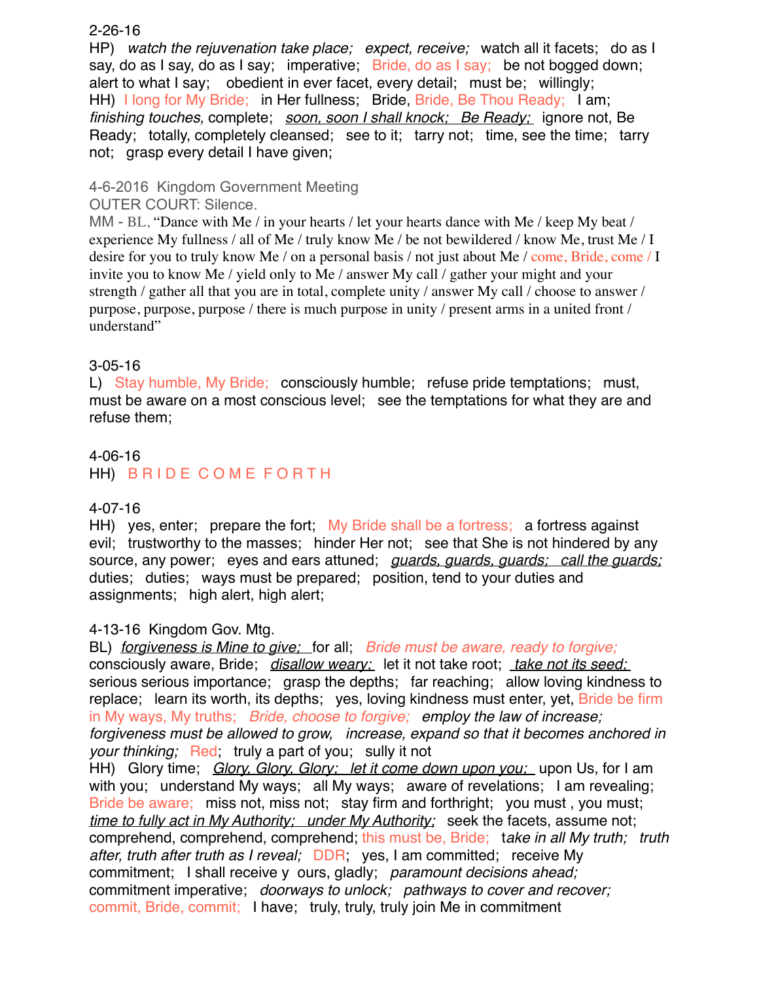## 2-26-16

HP) *watch the rejuvenation take place; expect, receive;* watch all it facets; do as I say, do as I say, do as I say; imperative; Bride, do as I say; be not bogged down; alert to what I say; obedient in ever facet, every detail; must be; willingly; HH) I long for My Bride; in Her fullness; Bride, Bride, Be Thou Ready; I am; *finishing touches,* complete; *soon, soon I shall knock; Be Ready;* ignore not, Be Ready; totally, completely cleansed; see to it; tarry not; time, see the time; tarry not; grasp every detail I have given;

# 4-6-2016 Kingdom Government Meeting

OUTER COURT: Silence.

MM - BL, "Dance with Me / in your hearts / let your hearts dance with Me / keep My beat / experience My fullness / all of Me / truly know Me / be not bewildered / know Me, trust Me / I desire for you to truly know Me / on a personal basis / not just about Me / come, Bride, come / I invite you to know Me / yield only to Me / answer My call / gather your might and your strength / gather all that you are in total, complete unity / answer My call / choose to answer / purpose, purpose, purpose / there is much purpose in unity / present arms in a united front / understand"

# 3-05-16

L) Stay humble, My Bride; consciously humble; refuse pride temptations; must, must be aware on a most conscious level; see the temptations for what they are and refuse them;

# 4-06-16 HH) B R I D E COME FOR TH

## 4-07-16

HH) yes, enter; prepare the fort; My Bride shall be a fortress; a fortress against evil; trustworthy to the masses; hinder Her not; see that She is not hindered by any source, any power; eyes and ears attuned; *guards, guards, guards; call the guards;* duties; duties; ways must be prepared; position, tend to your duties and assignments; high alert, high alert;

## 4-13-16 Kingdom Gov. Mtg.

BL) *forgiveness is Mine to give;* for all; *Bride must be aware, ready to forgive;* consciously aware, Bride; *disallow weary;* let it not take root; *take not its seed;*  serious serious importance; grasp the depths; far reaching; allow loving kindness to replace; learn its worth, its depths; yes, loving kindness must enter, yet, Bride be firm in My ways, My truths; *Bride, choose to forgive; employ the law of increase; forgiveness must be allowed to grow, increase, expand so that it becomes anchored in your thinking;* Red; truly a part of you; sully it not HH) Glory time; *Glory, Glory, Glory; let it come down upon you;* upon Us, for I am with you; understand My ways; all My ways; aware of revelations; I am revealing; Bride be aware; miss not, miss not; stay firm and forthright; you must, you must; *time to fully act in My Authority; under My Authority;* seek the facets, assume not; comprehend, comprehend, comprehend; this must be, Bride; t*ake in all My truth; truth after, truth after truth as I reveal;* DDR; yes, I am committed; receive My commitment; I shall receive y ours, gladly; *paramount decisions ahead;* commitment imperative; *doorways to unlock; pathways to cover and recover;*

commit, Bride, commit; I have; truly, truly, truly join Me in commitment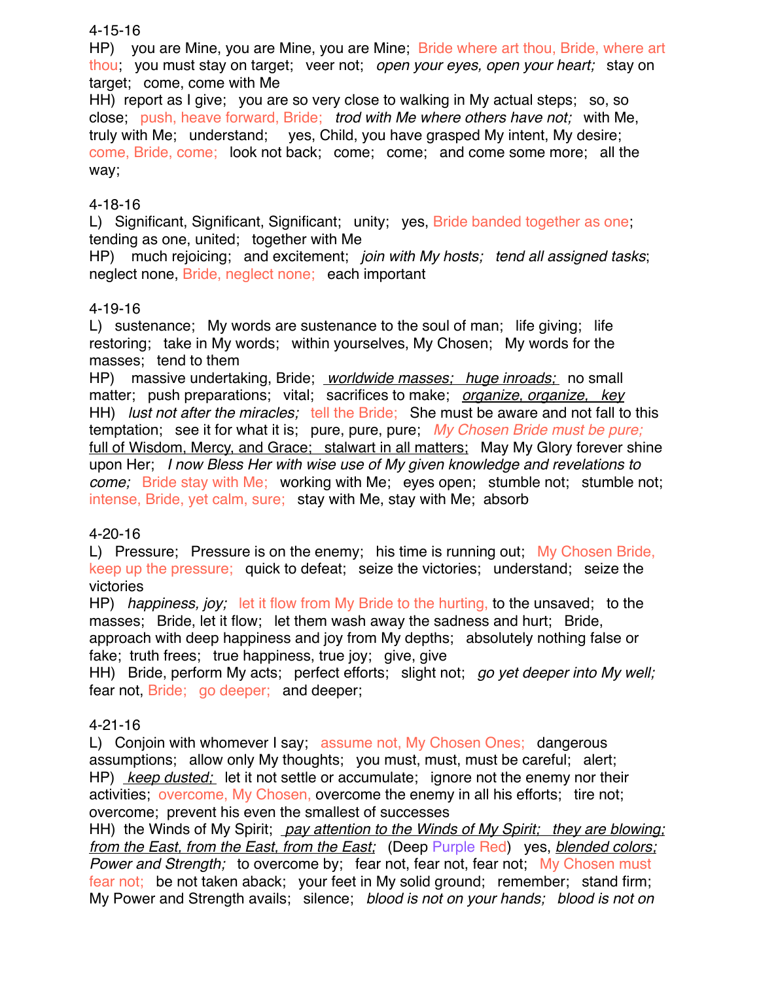## 4-15-16

HP) you are Mine, you are Mine, you are Mine; Bride where art thou, Bride, where art thou; you must stay on target; veer not; *open your eyes, open your heart;* stay on target; come, come with Me

HH) report as I give; you are so very close to walking in My actual steps; so, so close; push, heave forward, Bride; *trod with Me where others have not;* with Me, truly with Me; understand; yes, Child, you have grasped My intent, My desire; come, Bride, come; look not back; come; come; and come some more; all the way;

## 4-18-16

L) Significant, Significant, Significant; unity; yes, Bride banded together as one; tending as one, united; together with Me

HP) much rejoicing; and excitement; *join with My hosts; tend all assigned tasks*; neglect none, Bride, neglect none; each important

## 4-19-16

L) sustenance; My words are sustenance to the soul of man; life giving; life restoring; take in My words; within yourselves, My Chosen; My words for the masses; tend to them

HP) massive undertaking, Bride; *worldwide masses; huge inroads;* no small matter; push preparations; vital; sacrifices to make; *organize, organize, key* HH) *lust not after the miracles;* tell the Bride; She must be aware and not fall to this temptation; see it for what it is; pure, pure, pure; *My Chosen Bride must be pure;* full of Wisdom, Mercy, and Grace; stalwart in all matters; May My Glory forever shine upon Her; *I now Bless Her with wise use of My given knowledge and revelations to come;* Bride stay with Me; working with Me; eyes open; stumble not; stumble not; intense, Bride, yet calm, sure; stay with Me, stay with Me; absorb

## 4-20-16

L) Pressure; Pressure is on the enemy; his time is running out; My Chosen Bride, keep up the pressure; quick to defeat; seize the victories; understand; seize the victories

HP) *happiness, joy;* let it flow from My Bride to the hurting, to the unsaved; to the masses; Bride, let it flow; let them wash away the sadness and hurt; Bride, approach with deep happiness and joy from My depths; absolutely nothing false or fake; truth frees; true happiness, true joy; give, give

HH) Bride, perform My acts; perfect efforts; slight not; *go yet deeper into My well;* fear not, Bride; go deeper; and deeper;

# 4-21-16

L) Conjoin with whomever I say; assume not, My Chosen Ones; dangerous assumptions; allow only My thoughts; you must, must, must be careful; alert; HP) *keep dusted;* let it not settle or accumulate; ignore not the enemy nor their activities; overcome, My Chosen, overcome the enemy in all his efforts; tire not; overcome; prevent his even the smallest of successes

HH) the Winds of My Spirit; *pay attention to the Winds of My Spirit; they are blowing; from the East, from the East, from the East;* (Deep Purple Red) yes, *blended colors; Power and Strength;* to overcome by; fear not, fear not, fear not; My Chosen must fear not; be not taken aback; your feet in My solid ground; remember; stand firm; My Power and Strength avails; silence; *blood is not on your hands; blood is not on*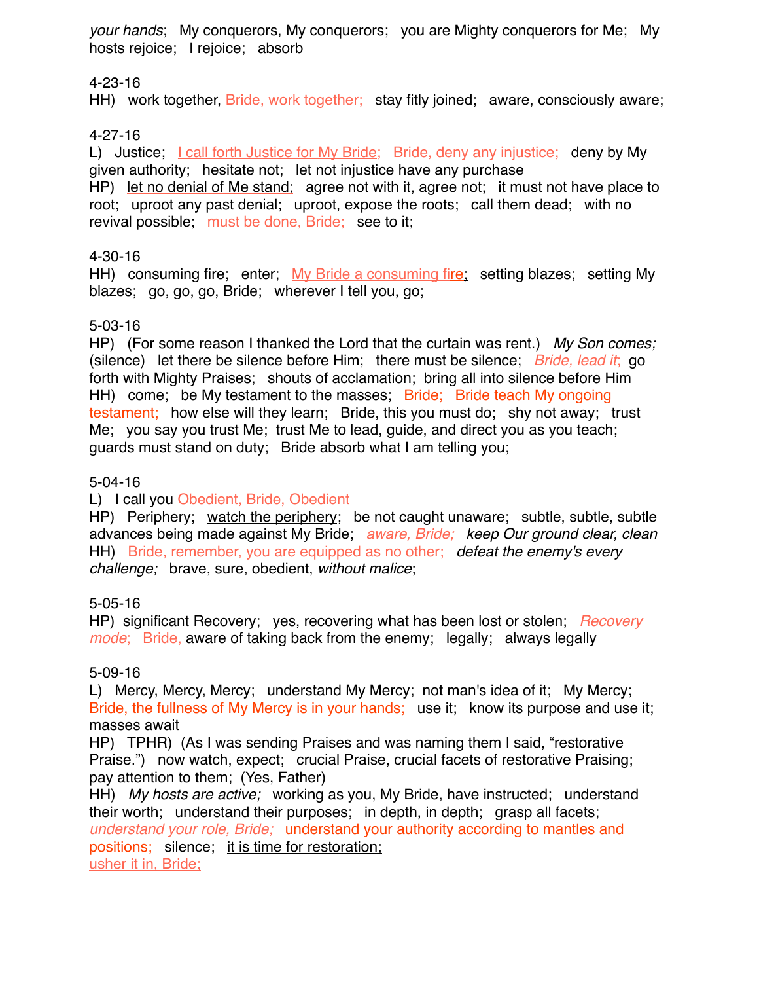*your hands*; My conquerors, My conquerors; you are Mighty conquerors for Me; My hosts rejoice; I rejoice; absorb

# 4-23-16

HH) work together, Bride, work together; stay fitly joined; aware, consciously aware;

# 4-27-16

L) Justice; I call forth Justice for My Bride; Bride, deny any injustice; deny by My given authority; hesitate not; let not injustice have any purchase HP) let no denial of Me stand; agree not with it, agree not; it must not have place to root; uproot any past denial; uproot, expose the roots; call them dead; with no revival possible; must be done, Bride; see to it;

# 4-30-16

HH) consuming fire; enter; My Bride a consuming fire; setting blazes; setting My blazes; go, go, go, Bride; wherever I tell you, go;

# 5-03-16

HP) (For some reason I thanked the Lord that the curtain was rent.) *My Son comes;*  (silence) let there be silence before Him; there must be silence; *Bride, lead it*; go forth with Mighty Praises; shouts of acclamation; bring all into silence before Him HH) come; be My testament to the masses; Bride; Bride teach My ongoing testament; how else will they learn; Bride, this you must do; shy not away; trust Me; you say you trust Me; trust Me to lead, guide, and direct you as you teach; guards must stand on duty; Bride absorb what I am telling you;

# 5-04-16

# L) I call you Obedient, Bride, Obedient

HP) Periphery; watch the periphery; be not caught unaware; subtle, subtle, subtle advances being made against My Bride; *aware, Bride; keep Our ground clear, clean* HH) Bride, remember, you are equipped as no other; *defeat the enemy's every challenge;* brave, sure, obedient, *without malice*;

# 5-05-16

HP) significant Recovery; yes, recovering what has been lost or stolen; *Recovery mode*; Bride, aware of taking back from the enemy; legally; always legally

# 5-09-16

L) Mercy, Mercy, Mercy; understand My Mercy; not man's idea of it; My Mercy; Bride, the fullness of My Mercy is in your hands; use it; know its purpose and use it; masses await

HP) TPHR) (As I was sending Praises and was naming them I said, "restorative Praise.") now watch, expect; crucial Praise, crucial facets of restorative Praising; pay attention to them; (Yes, Father)

HH) *My hosts are active;* working as you, My Bride, have instructed; understand their worth; understand their purposes; in depth, in depth; grasp all facets; *understand your role, Bride;* understand your authority according to mantles and positions; silence; it is time for restoration; usher it in, Bride;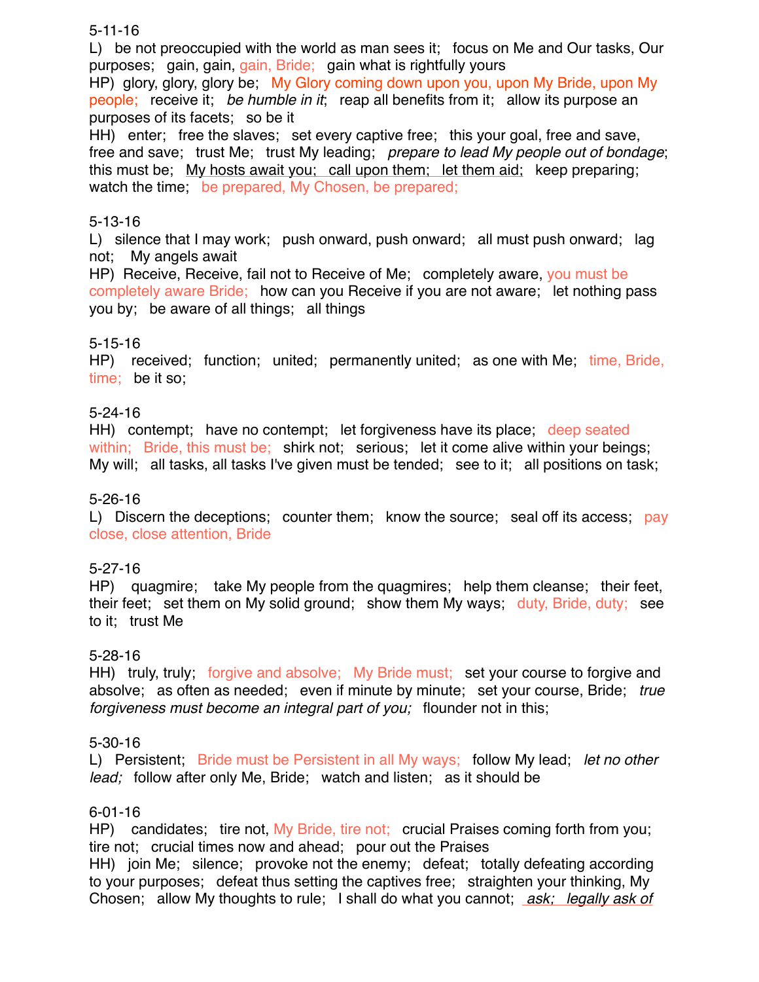## 5-11-16

L) be not preoccupied with the world as man sees it; focus on Me and Our tasks, Our purposes; gain, gain, gain, Bride; gain what is rightfully yours

HP) glory, glory, glory be; My Glory coming down upon you, upon My Bride, upon My people; receive it; *be humble in it*; reap all benefits from it; allow its purpose an purposes of its facets; so be it

HH) enter; free the slaves; set every captive free; this your goal, free and save, free and save; trust Me; trust My leading; *prepare to lead My people out of bondage*; this must be; My hosts await you; call upon them; let them aid; keep preparing; watch the time; be prepared, My Chosen, be prepared;

## 5-13-16

L) silence that I may work; push onward, push onward; all must push onward; lag not; My angels await

HP) Receive, Receive, fail not to Receive of Me; completely aware, you must be completely aware Bride; how can you Receive if you are not aware; let nothing pass you by; be aware of all things; all things

## 5-15-16

HP) received; function; united; permanently united; as one with Me; time, Bride, time; be it so;

## 5-24-16

HH) contempt; have no contempt; let forgiveness have its place; deep seated within; Bride, this must be; shirk not; serious; let it come alive within your beings; My will; all tasks, all tasks I've given must be tended; see to it; all positions on task;

## 5-26-16

L) Discern the deceptions; counter them; know the source; seal off its access; pay close, close attention, Bride

## 5-27-16

HP) quagmire; take My people from the quagmires; help them cleanse; their feet, their feet; set them on My solid ground; show them My ways; duty, Bride, duty; see to it; trust Me

## 5-28-16

HH) truly, truly; forgive and absolve; My Bride must; set your course to forgive and absolve; as often as needed; even if minute by minute; set your course, Bride; *true forgiveness must become an integral part of you;* flounder not in this;

## 5-30-16

L) Persistent; Bride must be Persistent in all My ways; follow My lead; *let no other lead;* follow after only Me, Bride; watch and listen; as it should be

## 6-01-16

HP) candidates; tire not, My Bride, tire not; crucial Praises coming forth from you; tire not; crucial times now and ahead; pour out the Praises

HH) join Me; silence; provoke not the enemy; defeat; totally defeating according to your purposes; defeat thus setting the captives free; straighten your thinking, My Chosen; allow My thoughts to rule; I shall do what you cannot; *ask; legally ask of*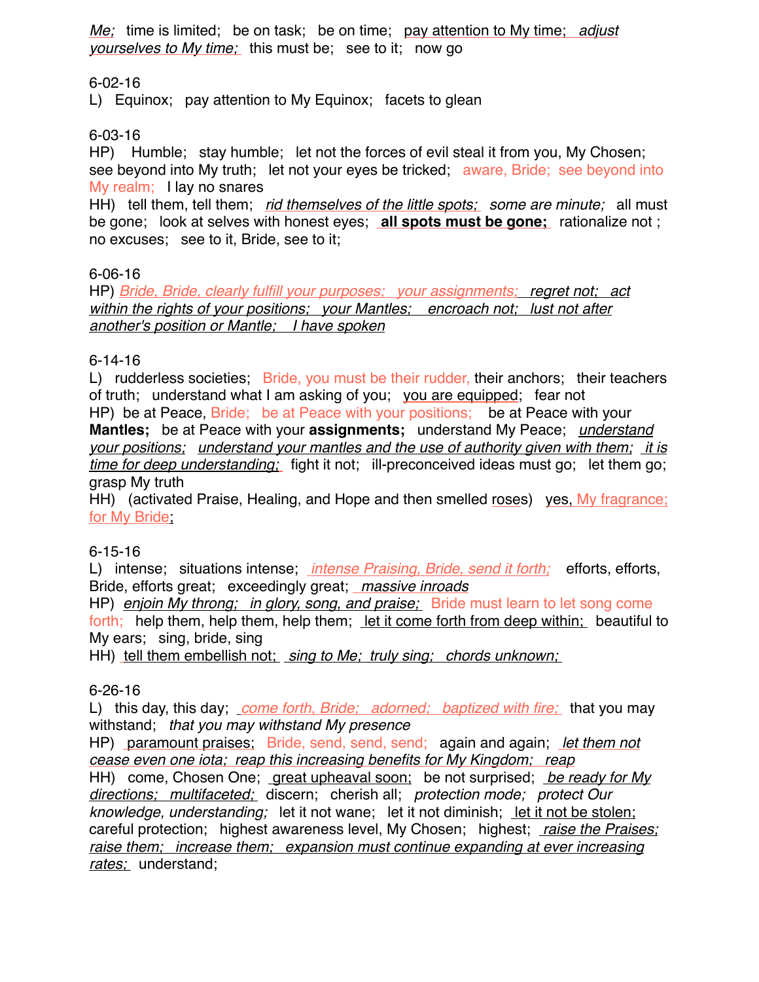*Me;* time is limited; be on task; be on time; pay attention to My time; *adjust yourselves to My time;* this must be; see to it; now go

## 6-02-16

L) Equinox; pay attention to My Equinox; facets to glean

# 6-03-16

HP) Humble; stay humble; let not the forces of evil steal it from you, My Chosen; see beyond into My truth; let not your eyes be tricked; aware, Bride; see beyond into My realm; I lay no snares

HH) tell them, tell them; *rid themselves of the little spots; some are minute;* all must be gone; look at selves with honest eyes; **all spots must be gone;** rationalize not ; no excuses; see to it, Bride, see to it;

# 6-06-16

HP) *Bride, Bride, clearly fulfill your purposes; your assignments; regret not; act within the rights of your positions; your Mantles; encroach not; lust not after another's position or Mantle; I have spoken*

# 6-14-16

L) rudderless societies; Bride, you must be their rudder, their anchors; their teachers of truth; understand what I am asking of you; you are equipped; fear not

HP) be at Peace, Bride; be at Peace with your positions; be at Peace with your **Mantles;** be at Peace with your **assignments;** understand My Peace; *understand your positions; understand your mantles and the use of authority given with them; it is time for deep understanding;* fight it not; ill-preconceived ideas must go; let them go; grasp My truth

HH) (activated Praise, Healing, and Hope and then smelled roses) yes, My fragrance; for My Bride

## 6-15-16

L) intense; situations intense; *intense Praising, Bride, send it forth;* efforts, efforts, Bride, efforts great; exceedingly great; *massive inroads*

HP) *enjoin My throng; in glory, song, and praise;* Bride must learn to let song come forth; help them, help them, help them; let it come forth from deep within; beautiful to My ears; sing, bride, sing

HH) tell them embellish not; *sing to Me; truly sing; chords unknown;* 

## 6-26-16

L) this day, this day; *come forth, Bride; adorned; baptized with fire;* that you may withstand; *that you may withstand My presence*

HP) paramount praises; Bride, send, send, send; again and again; *let them not cease even one iota; reap this increasing benefits for My Kingdom; reap*

HH) come, Chosen One; great upheaval soon; be not surprised; *be ready for My directions; multifaceted;* discern; cherish all; *protection mode; protect Our knowledge, understanding;* let it not wane; let it not diminish; let it not be stolen; careful protection; highest awareness level, My Chosen; highest; *raise the Praises; raise them; increase them; expansion must continue expanding at ever increasing rates;* understand;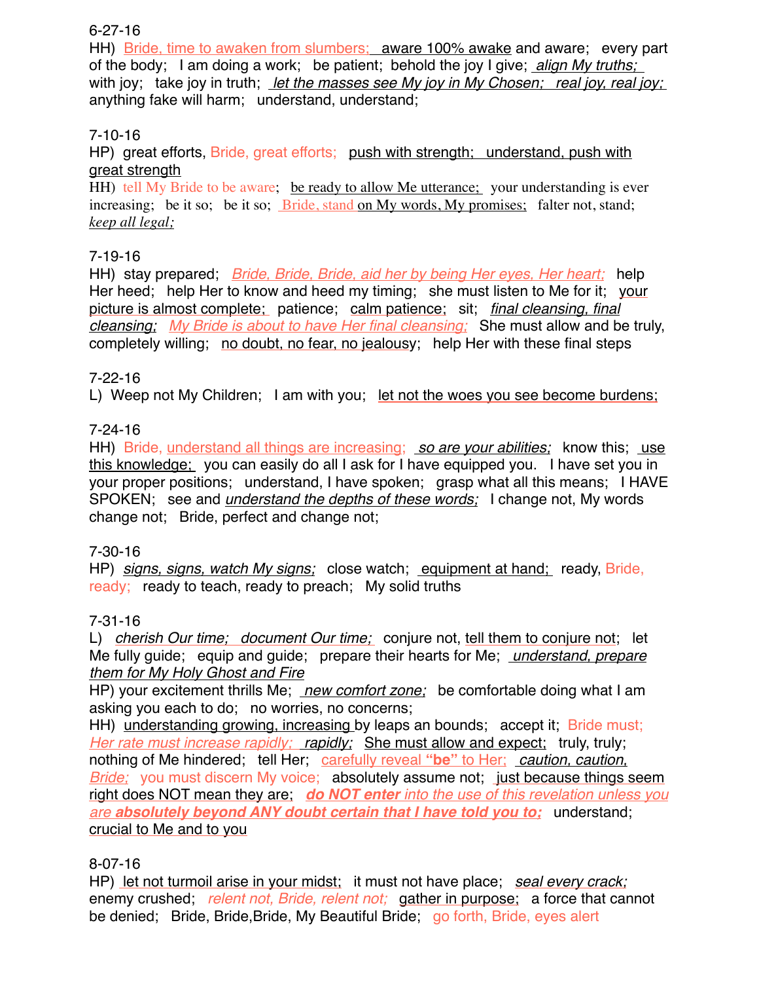# 6-27-16

HH) Bride, time to awaken from slumbers; aware 100% awake and aware; every part of the body; I am doing a work; be patient; behold the joy I give; *align My truths;*  with joy; take joy in truth; *let the masses see My joy in My Chosen; real joy, real joy;*  anything fake will harm; understand, understand;

# 7-10-16

HP) great efforts, Bride, great efforts; push with strength; understand, push with great strength

HH) tell My Bride to be aware; be ready to allow Me utterance; your understanding is ever increasing; be it so; be it so; Bride, stand on My words, My promises; falter not, stand; *keep all legal;*

# 7-19-16

HH) stay prepared; *Bride, Bride, Bride, aid her by being Her eyes, Her heart;* help Her heed; help Her to know and heed my timing; she must listen to Me for it; your picture is almost complete; patience; calm patience; sit; *final cleansing, final cleansing; My Bride is about to have Her final cleansing;* She must allow and be truly, completely willing; no doubt, no fear, no jealousy; help Her with these final steps

# 7-22-16

L) Weep not My Children; I am with you; let not the woes you see become burdens;

# 7-24-16

HH) Bride, understand all things are increasing; *so are your abilities;* know this; use this knowledge; you can easily do all I ask for I have equipped you. I have set you in your proper positions; understand, I have spoken; grasp what all this means; I HAVE SPOKEN; see and *understand the depths of these words;* I change not, My words change not; Bride, perfect and change not;

## 7-30-16

HP) *signs, signs, watch My signs;* close watch; equipment at hand; ready, Bride, ready; ready to teach, ready to preach; My solid truths

## 7-31-16

L) *cherish Our time; document Our time;* conjure not, tell them to conjure not; let Me fully guide; equip and guide; prepare their hearts for Me; *understand, prepare them for My Holy Ghost and Fire*

HP) your excitement thrills Me; *new comfort zone;* be comfortable doing what I am asking you each to do; no worries, no concerns;

HH) understanding growing, increasing by leaps an bounds; accept it; Bride must; *Her rate must increase rapidly; rapidly; She must allow and expect; truly, truly;* nothing of Me hindered; tell Her; carefully reveal **"be"** to Her; *caution, caution, Bride;* you must discern My voice; absolutely assume not; just because things seem right does NOT mean they are; *do NOT enter into the use of this revelation unless you are absolutely beyond ANY doubt certain that I have told you to;* understand; crucial to Me and to you

# 8-07-16

HP) let not turmoil arise in your midst; it must not have place; *seal every crack;* enemy crushed; *relent not, Bride, relent not;* gather in purpose; a force that cannot be denied; Bride, Bride, Bride, My Beautiful Bride; go forth, Bride, eyes alert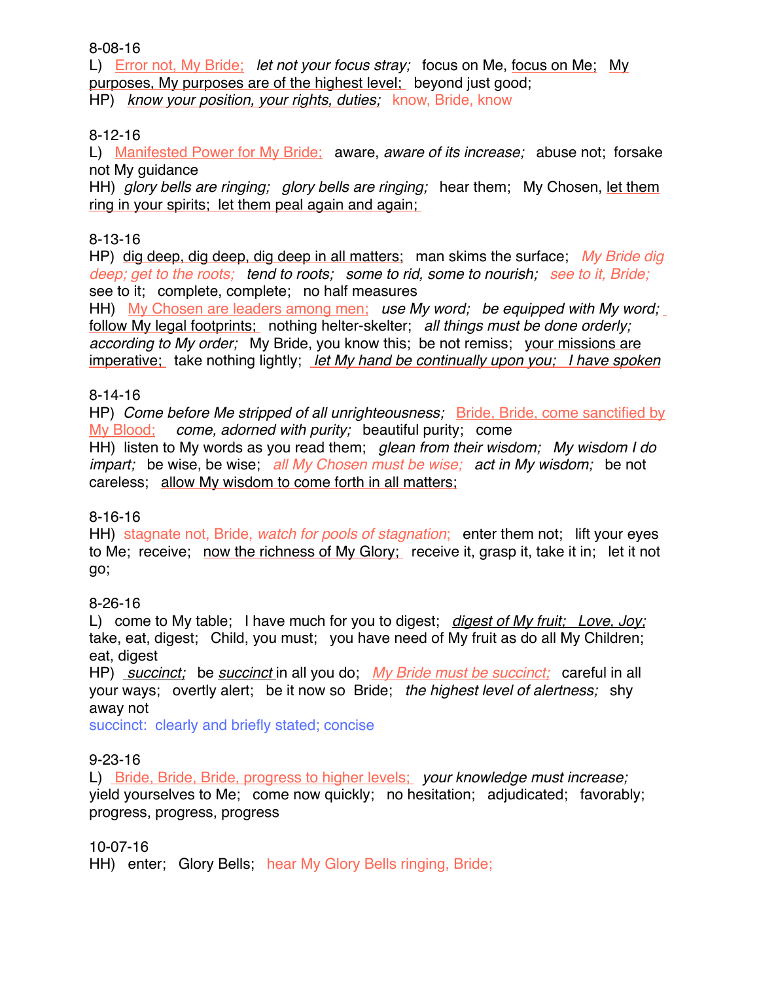8-08-16

L) Error not, My Bride; *let not your focus stray;* focus on Me, focus on Me; My purposes, My purposes are of the highest level; beyond just good; HP) *know your position, your rights, duties;* know, Bride, know

# 8-12-16

L) Manifested Power for My Bride; aware, *aware of its increase;* abuse not; forsake not My guidance

HH) *glory bells are ringing; glory bells are ringing;* hear them; My Chosen, let them ring in your spirits; let them peal again and again;

## 8-13-16

HP) dig deep, dig deep, dig deep in all matters; man skims the surface; *My Bride dig deep; get to the roots; tend to roots; some to rid, some to nourish; see to it, Bride;* see to it; complete, complete; no half measures

HH) My Chosen are leaders among men; *use My word; be equipped with My word;*  follow My legal footprints; nothing helter-skelter; *all things must be done orderly; according to My order;* My Bride, you know this; be not remiss; your missions are imperative; take nothing lightly; *let My hand be continually upon you; I have spoken*

## 8-14-16

HP) *Come before Me stripped of all unrighteousness;* Bride, Bride, come sanctified by My Blood; *come, adorned with purity;* beautiful purity; come

HH) listen to My words as you read them; *glean from their wisdom; My wisdom I do impart;* be wise, be wise; *all My Chosen must be wise; act in My wisdom;* be not careless; allow My wisdom to come forth in all matters;

## 8-16-16

HH) stagnate not, Bride, *watch for pools of stagnation*; enter them not; lift your eyes to Me; receive; now the richness of My Glory; receive it, grasp it, take it in; let it not go;

## 8-26-16

L) come to My table; I have much for you to digest; *digest of My fruit; Love, Joy;* take, eat, digest; Child, you must; you have need of My fruit as do all My Children; eat, digest

HP) *succinct;* be *succinct* in all you do; *My Bride must be succinct;* careful in all your ways; overtly alert; be it now so Bride; *the highest level of alertness;* shy away not

succinct: clearly and briefly stated; concise

## 9-23-16

L) Bride, Bride, Bride, progress to higher levels; *your knowledge must increase;*  yield yourselves to Me; come now quickly; no hesitation; adjudicated; favorably; progress, progress, progress

## 10-07-16

HH) enter; Glory Bells; hear My Glory Bells ringing, Bride;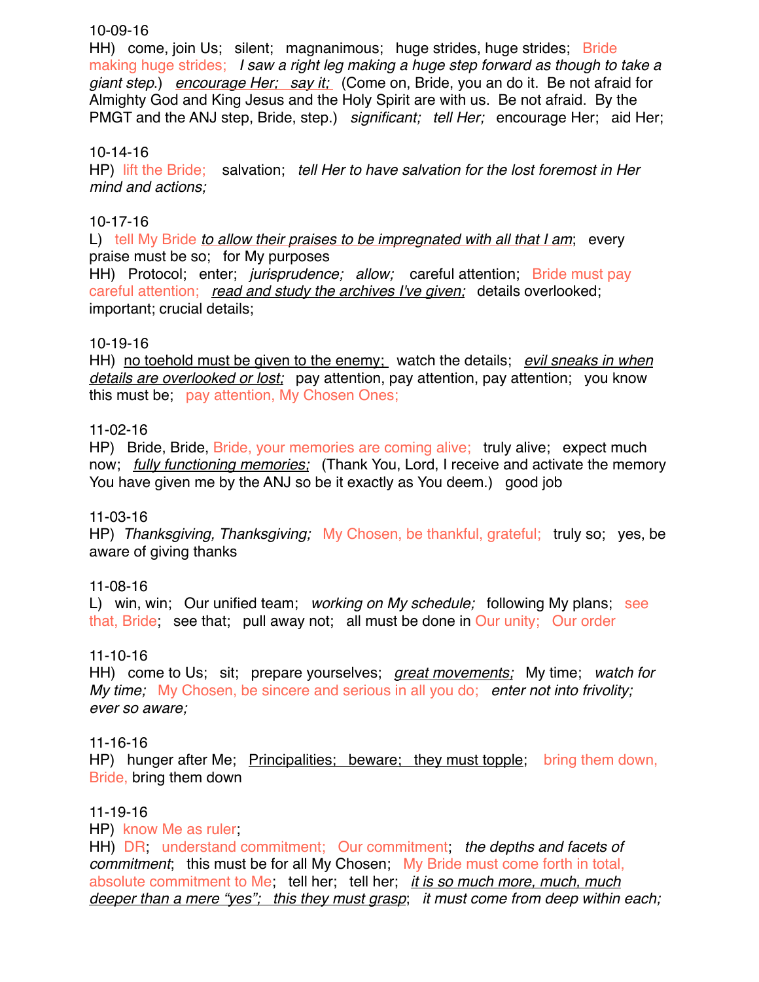## 10-09-16

HH) come, join Us; silent; magnanimous; huge strides, huge strides; Bride making huge strides; *I saw a right leg making a huge step forward as though to take a giant step*.) *encourage Her; say it;* (Come on, Bride, you an do it. Be not afraid for Almighty God and King Jesus and the Holy Spirit are with us. Be not afraid. By the PMGT and the ANJ step, Bride, step.) *significant; tell Her;* encourage Her; aid Her;

## 10-14-16

HP) lift the Bride; salvation; *tell Her to have salvation for the lost foremost in Her mind and actions;* 

# 10-17-16

L) tell My Bride *to allow their praises to be impregnated with all that I am*; every praise must be so; for My purposes

HH) Protocol; enter; *jurisprudence; allow;* careful attention; Bride must pay careful attention; *read and study the archives I've given;* details overlooked; important; crucial details;

# 10-19-16

HH) no toehold must be given to the enemy; watch the details; *evil sneaks in when details are overlooked or lost;* pay attention, pay attention, pay attention; you know this must be; pay attention, My Chosen Ones;

# 11-02-16

HP) Bride, Bride, Bride, your memories are coming alive; truly alive; expect much now; *fully functioning memories;* (Thank You, Lord, I receive and activate the memory You have given me by the ANJ so be it exactly as You deem.) good job

## 11-03-16

HP) *Thanksgiving, Thanksgiving;* My Chosen, be thankful, grateful; truly so; yes, be aware of giving thanks

# 11-08-16

L) win, win; Our unified team; *working on My schedule;* following My plans; see that, Bride; see that; pull away not; all must be done in Our unity; Our order

## 11-10-16

HH) come to Us; sit; prepare yourselves; *great movements;* My time; *watch for My time;* My Chosen, be sincere and serious in all you do; *enter not into frivolity; ever so aware;*

## 11-16-16

HP) hunger after Me; Principalities; beware; they must topple; bring them down, Bride, bring them down

## 11-19-16

HP) know Me as ruler;

HH) DR; understand commitment; Our commitment; *the depths and facets of commitment*; this must be for all My Chosen; My Bride must come forth in total, absolute commitment to Me; tell her; tell her; *it is so much more, much, much deeper than a mere "yes"; this they must grasp*; *it must come from deep within each;*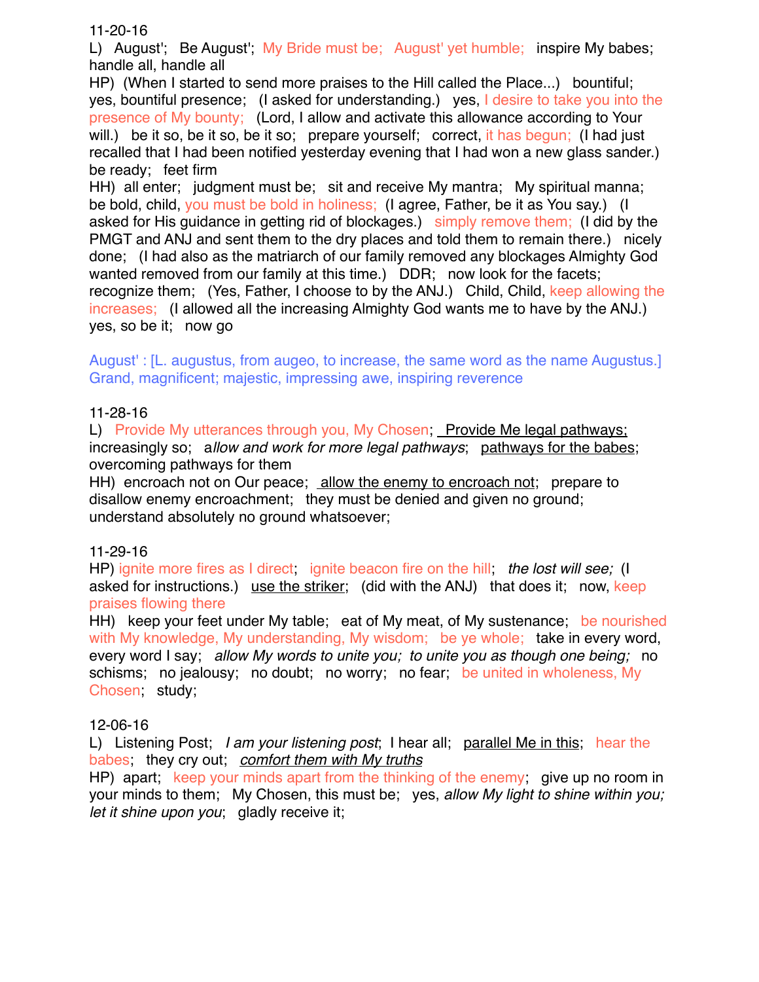11-20-16

L) August'; Be August'; My Bride must be; August' yet humble; inspire My babes; handle all, handle all

HP) (When I started to send more praises to the Hill called the Place...) bountiful; yes, bountiful presence; (I asked for understanding.) yes, I desire to take you into the presence of My bounty; (Lord, I allow and activate this allowance according to Your will.) be it so, be it so, be it so; prepare yourself; correct, it has begun; (I had just recalled that I had been notified yesterday evening that I had won a new glass sander.) be ready; feet firm

HH) all enter; judgment must be; sit and receive My mantra; My spiritual manna; be bold, child, you must be bold in holiness; (I agree, Father, be it as You say.) (I asked for His guidance in getting rid of blockages.) simply remove them; (I did by the PMGT and ANJ and sent them to the dry places and told them to remain there.) nicely done; (I had also as the matriarch of our family removed any blockages Almighty God wanted removed from our family at this time.) DDR; now look for the facets; recognize them; (Yes, Father, I choose to by the ANJ.) Child, Child, keep allowing the increases; (I allowed all the increasing Almighty God wants me to have by the ANJ.) yes, so be it; now go

August' : [L. augustus, from augeo, to increase, the same word as the name Augustus.] Grand, magnificent; majestic, impressing awe, inspiring reverence

## 11-28-16

L) Provide My utterances through you, My Chosen; Provide Me legal pathways; increasingly so; a*llow and work for more legal pathways*; pathways for the babes; overcoming pathways for them

HH) encroach not on Our peace; allow the enemy to encroach not; prepare to disallow enemy encroachment; they must be denied and given no ground; understand absolutely no ground whatsoever;

## 11-29-16

HP) ignite more fires as I direct; ignite beacon fire on the hill; *the lost will see;* (I asked for instructions.) use the striker; (did with the ANJ) that does it; now, keep praises flowing there

HH) keep your feet under My table; eat of My meat, of My sustenance; be nourished with My knowledge, My understanding, My wisdom; be ye whole; take in every word, every word I say; *allow My words to unite you; to unite you as though one being;* no schisms; no jealousy; no doubt; no worry; no fear; be united in wholeness, My Chosen; study;

## 12-06-16

L) Listening Post; *I am your listening post*; I hear all; parallel Me in this; hear the babes; they cry out; *comfort them with My truths*

HP) apart; keep your minds apart from the thinking of the enemy; give up no room in your minds to them; My Chosen, this must be; yes, *allow My light to shine within you; let it shine upon you*; gladly receive it;